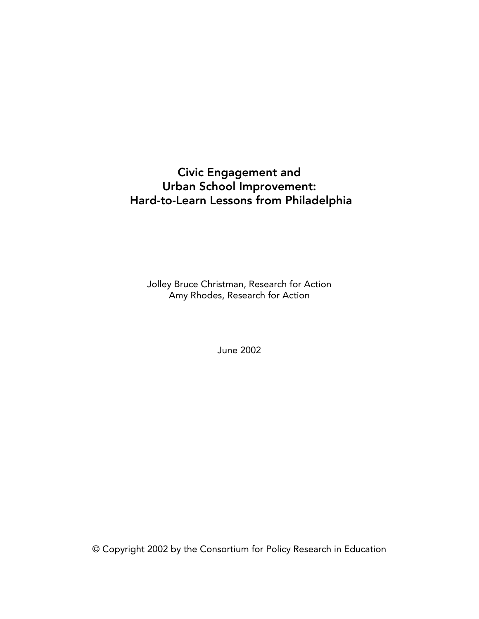### Civic Engagement and Urban School Improvement: Hard-to-Learn Lessons from Philadelphia

Jolley Bruce Christman, Research for Action Amy Rhodes, Research for Action

June 2002

© Copyright 2002 by the Consortium for Policy Research in Education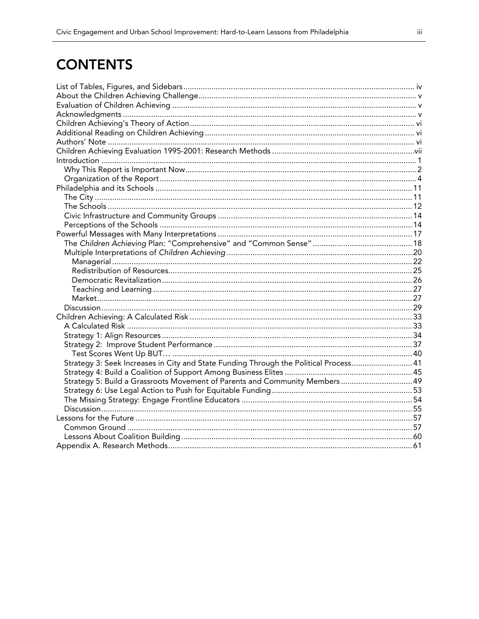# **CONTENTS**

| Strategy 3: Seek Increases in City and State Funding Through the Political Process41 |  |
|--------------------------------------------------------------------------------------|--|
|                                                                                      |  |
| Strategy 5: Build a Grassroots Movement of Parents and Community Members  49         |  |
|                                                                                      |  |
|                                                                                      |  |
|                                                                                      |  |
|                                                                                      |  |
|                                                                                      |  |
|                                                                                      |  |
|                                                                                      |  |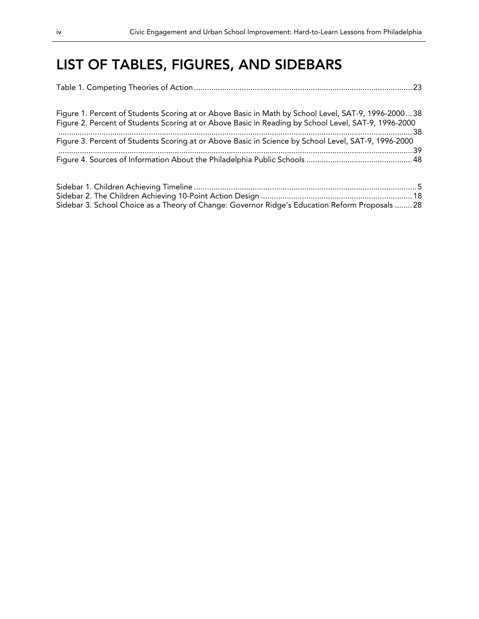## LIST OF TABLES, FIGURES, AND SIDEBARS

| Figure 1. Percent of Students Scoring at or Above Basic in Math by School Level, SAT-9, 1996-200038<br>Figure 2. Percent of Students Scoring at or Above Basic in Reading by School Level, SAT-9, 1996-2000 |  |
|-------------------------------------------------------------------------------------------------------------------------------------------------------------------------------------------------------------|--|
| Figure 3. Percent of Students Scoring at or Above Basic in Science by School Level, SAT-9, 1996-2000                                                                                                        |  |
|                                                                                                                                                                                                             |  |
|                                                                                                                                                                                                             |  |

| Sidebar 3. School Choice as a Theory of Change: Governor Ridge's Education Reform Proposals  28 |  |
|-------------------------------------------------------------------------------------------------|--|
|                                                                                                 |  |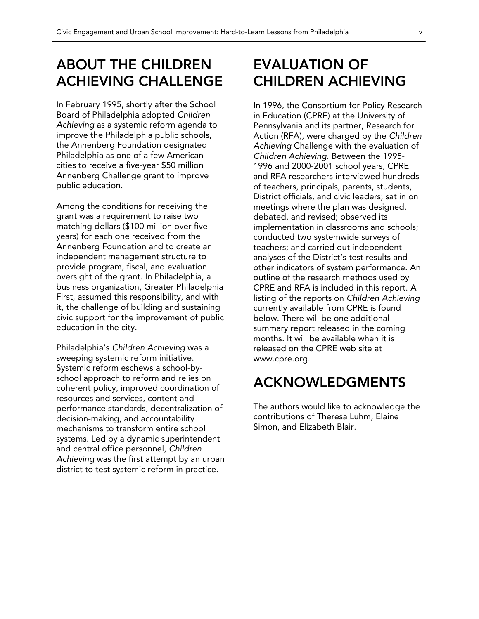## ABOUT THE CHILDREN ACHIEVING CHALLENGE

In February 1995, shortly after the School Board of Philadelphia adopted *Children Achieving* as a systemic reform agenda to improve the Philadelphia public schools, the Annenberg Foundation designated Philadelphia as one of a few American cities to receive a five-year \$50 million Annenberg Challenge grant to improve public education.

Among the conditions for receiving the grant was a requirement to raise two matching dollars (\$100 million over five years) for each one received from the Annenberg Foundation and to create an independent management structure to provide program, fiscal, and evaluation oversight of the grant. In Philadelphia, a business organization, Greater Philadelphia First, assumed this responsibility, and with it, the challenge of building and sustaining civic support for the improvement of public education in the city.

Philadelphia's *Children Achieving* was a sweeping systemic reform initiative. Systemic reform eschews a school-byschool approach to reform and relies on coherent policy, improved coordination of resources and services, content and performance standards, decentralization of decision-making, and accountability mechanisms to transform entire school systems. Led by a dynamic superintendent and central office personnel, *Children Achieving* was the first attempt by an urban district to test systemic reform in practice.

## EVALUATION OF CHILDREN ACHIEVING

In 1996, the Consortium for Policy Research in Education (CPRE) at the University of Pennsylvania and its partner, Research for Action (RFA), were charged by the *Children Achieving* Challenge with the evaluation of *Children Achieving*. Between the 1995- 1996 and 2000-2001 school years, CPRE and RFA researchers interviewed hundreds of teachers, principals, parents, students, District officials, and civic leaders; sat in on meetings where the plan was designed, debated, and revised; observed its implementation in classrooms and schools; conducted two systemwide surveys of teachers; and carried out independent analyses of the District's test results and other indicators of system performance. An outline of the research methods used by CPRE and RFA is included in this report. A listing of the reports on *Children Achieving* currently available from CPRE is found below. There will be one additional summary report released in the coming months. It will be available when it is released on the CPRE web site at www.cpre.org.

## ACKNOWLEDGMENTS

The authors would like to acknowledge the contributions of Theresa Luhm, Elaine Simon, and Elizabeth Blair.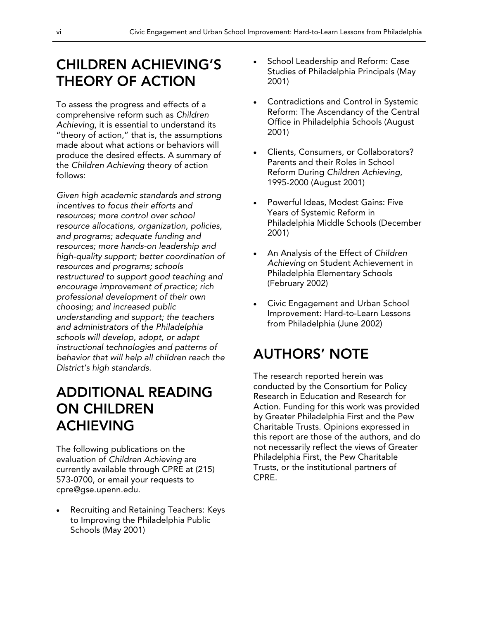# CHILDREN ACHIEVING'S THEORY OF ACTION

To assess the progress and effects of a comprehensive reform such as *Children Achieving*, it is essential to understand its "theory of action," that is, the assumptions made about what actions or behaviors will produce the desired effects. A summary of the *Children Achieving* theory of action follows:

*Given high academic standards and strong incentives to focus their efforts and resources; more control over school resource allocations, organization, policies, and programs; adequate funding and resources; more hands-on leadership and high-quality support; better coordination of resources and programs; schools restructured to support good teaching and encourage improvement of practice; rich professional development of their own choosing; and increased public understanding and support; the teachers and administrators of the Philadelphia schools will develop, adopt, or adapt instructional technologies and patterns of behavior that will help all children reach the District's high standards.* 

## ADDITIONAL READING ON CHILDREN ACHIEVING

The following publications on the evaluation of *Children Achieving* are currently available through CPRE at (215) 573-0700, or email your requests to cpre@gse.upenn.edu.

• Recruiting and Retaining Teachers: Keys to Improving the Philadelphia Public Schools (May 2001)

- School Leadership and Reform: Case Studies of Philadelphia Principals (May 2001)
- Contradictions and Control in Systemic Reform: The Ascendancy of the Central Office in Philadelphia Schools (August 2001)
- Clients, Consumers, or Collaborators? Parents and their Roles in School Reform During *Children Achieving*, 1995-2000 (August 2001)
- Powerful Ideas, Modest Gains: Five Years of Systemic Reform in Philadelphia Middle Schools (December 2001)
- An Analysis of the Effect of *Children Achieving* on Student Achievement in Philadelphia Elementary Schools (February 2002)
- Civic Engagement and Urban School Improvement: Hard-to-Learn Lessons from Philadelphia (June 2002)

## AUTHORS' NOTE

The research reported herein was conducted by the Consortium for Policy Research in Education and Research for Action. Funding for this work was provided by Greater Philadelphia First and the Pew Charitable Trusts. Opinions expressed in this report are those of the authors, and do not necessarily reflect the views of Greater Philadelphia First, the Pew Charitable Trusts, or the institutional partners of CPRE.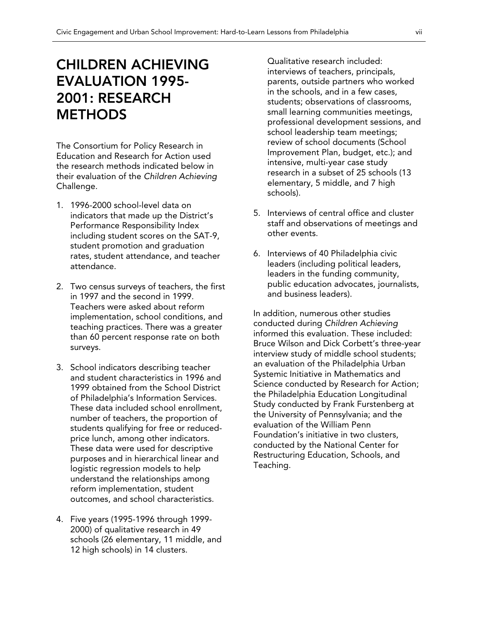## CHILDREN ACHIEVING EVALUATION 1995- 2001: RESEARCH **METHODS**

The Consortium for Policy Research in Education and Research for Action used the research methods indicated below in their evaluation of the *Children Achieving* Challenge.

- 1. 1996-2000 school-level data on indicators that made up the District's Performance Responsibility Index including student scores on the SAT-9, student promotion and graduation rates, student attendance, and teacher attendance.
- 2. Two census surveys of teachers, the first in 1997 and the second in 1999. Teachers were asked about reform implementation, school conditions, and teaching practices. There was a greater than 60 percent response rate on both surveys.
- 3. School indicators describing teacher and student characteristics in 1996 and 1999 obtained from the School District of Philadelphia's Information Services. These data included school enrollment, number of teachers, the proportion of students qualifying for free or reducedprice lunch, among other indicators. These data were used for descriptive purposes and in hierarchical linear and logistic regression models to help understand the relationships among reform implementation, student outcomes, and school characteristics.
- 4. Five years (1995-1996 through 1999- 2000) of qualitative research in 49 schools (26 elementary, 11 middle, and 12 high schools) in 14 clusters.

Qualitative research included: interviews of teachers, principals, parents, outside partners who worked in the schools, and in a few cases, students; observations of classrooms, small learning communities meetings, professional development sessions, and school leadership team meetings; review of school documents (School Improvement Plan, budget, etc.); and intensive, multi-year case study research in a subset of 25 schools (13 elementary, 5 middle, and 7 high schools).

- 5. Interviews of central office and cluster staff and observations of meetings and other events.
- 6. Interviews of 40 Philadelphia civic leaders (including political leaders, leaders in the funding community, public education advocates, journalists, and business leaders).

In addition, numerous other studies conducted during *Children Achieving* informed this evaluation. These included: Bruce Wilson and Dick Corbett's three-year interview study of middle school students; an evaluation of the Philadelphia Urban Systemic Initiative in Mathematics and Science conducted by Research for Action; the Philadelphia Education Longitudinal Study conducted by Frank Furstenberg at the University of Pennsylvania; and the evaluation of the William Penn Foundation's initiative in two clusters, conducted by the National Center for Restructuring Education, Schools, and Teaching.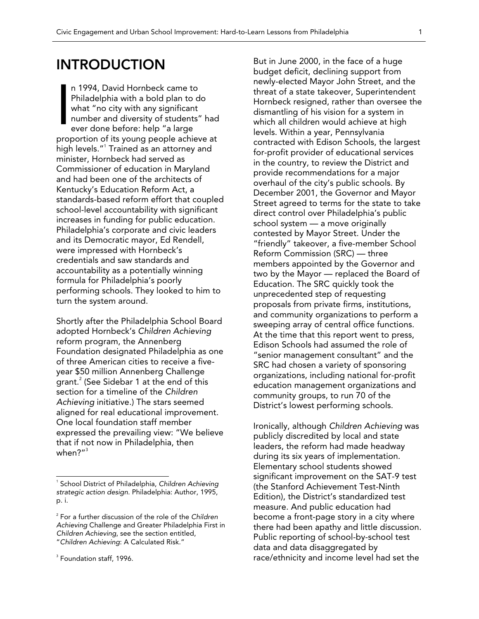## INTRODUCTION

n 1994, David Hornbeck came to Philadelphia with a bold plan to do what "no city with any significant number and diversity of students" had ever done before: help "a large proportion of its young people achieve at high levels."<sup>1</sup> Trained as an attorney and minister, Hornbeck had served as Commissioner of education in Maryland and had been one of the architects of Kentucky's Education Reform Act, a standards-based reform effort that coupled school-level accountability with significant increases in funding for public education. Philadelphia's corporate and civic leaders and its Democratic mayor, Ed Rendell, were impressed with Hornbeck's credentials and saw standards and accountability as a potentially winning formula for Philadelphia's poorly performing schools. They looked to him to turn the system around. I

Shortly after the Philadelphia School Board adopted Hornbeck's *Children Achieving*  reform program, the Annenberg Foundation designated Philadelphia as one of three American cities to receive a fiveyear \$50 million Annenberg Challenge grant. $^2$  (See Sidebar 1 at the end of this section for a timeline of the *Children Achieving* initiative.) The stars seemed aligned for real educational improvement. One local foundation staff member expressed the prevailing view: "We believe that if not now in Philadelphia, then when?" $^3$ 

 $\overline{a}$ 

But in June 2000, in the face of a huge budget deficit, declining support from newly-elected Mayor John Street, and the threat of a state takeover, Superintendent Hornbeck resigned, rather than oversee the dismantling of his vision for a system in which all children would achieve at high levels. Within a year, Pennsylvania contracted with Edison Schools, the largest for-profit provider of educational services in the country, to review the District and provide recommendations for a major overhaul of the city's public schools. By December 2001, the Governor and Mayor Street agreed to terms for the state to take direct control over Philadelphia's public school system — a move originally contested by Mayor Street. Under the "friendly" takeover, a five-member School Reform Commission (SRC) — three members appointed by the Governor and two by the Mayor — replaced the Board of Education. The SRC quickly took the unprecedented step of requesting proposals from private firms, institutions, and community organizations to perform a sweeping array of central office functions. At the time that this report went to press, Edison Schools had assumed the role of "senior management consultant" and the SRC had chosen a variety of sponsoring organizations, including national for-profit education management organizations and community groups, to run 70 of the District's lowest performing schools.

Ironically, although *Children Achieving* was publicly discredited by local and state leaders, the reform had made headway during its six years of implementation. Elementary school students showed significant improvement on the SAT-9 test (the Stanford Achievement Test-Ninth Edition), the District's standardized test measure. And public education had become a front-page story in a city where there had been apathy and little discussion. Public reporting of school-by-school test data and data disaggregated by race/ethnicity and income level had set the

<sup>1</sup> School District of Philadelphia, *Children Achieving strategic action design*. Philadelphia: Author, 1995, p. i.

<sup>2</sup> For a further discussion of the role of the *Children Achieving* Challenge and Greater Philadelphia First in *Children Achieving*, see the section entitled, "*Children Achieving*: A Calculated Risk."

 $^3$  Foundation staff, 1996.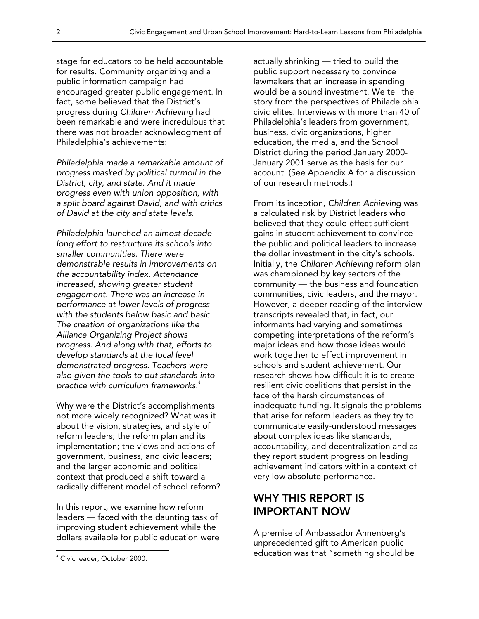stage for educators to be held accountable for results. Community organizing and a public information campaign had encouraged greater public engagement. In fact, some believed that the District's progress during *Children Achieving* had been remarkable and were incredulous that there was not broader acknowledgment of Philadelphia's achievements:

*Philadelphia made a remarkable amount of progress masked by political turmoil in the District, city, and state. And it made progress even with union opposition, with a split board against David, and with critics of David at the city and state levels.* 

*Philadelphia launched an almost decadelong effort to restructure its schools into smaller communities. There were demonstrable results in improvements on the accountability index. Attendance increased, showing greater student engagement. There was an increase in performance at lower levels of progress with the students below basic and basic. The creation of organizations like the Alliance Organizing Project shows progress. And along with that, efforts to develop standards at the local level demonstrated progress. Teachers were also given the tools to put standards into practice with curriculum frameworks.<sup>4</sup>*

Why were the District's accomplishments not more widely recognized? What was it about the vision, strategies, and style of reform leaders; the reform plan and its implementation; the views and actions of government, business, and civic leaders; and the larger economic and political context that produced a shift toward a radically different model of school reform?

In this report, we examine how reform leaders — faced with the daunting task of improving student achievement while the dollars available for public education were

 $\overline{a}$ 

actually shrinking — tried to build the public support necessary to convince lawmakers that an increase in spending would be a sound investment. We tell the story from the perspectives of Philadelphia civic elites. Interviews with more than 40 of Philadelphia's leaders from government, business, civic organizations, higher education, the media, and the School District during the period January 2000- January 2001 serve as the basis for our account. (See Appendix A for a discussion of our research methods.)

From its inception, *Children Achieving* was a calculated risk by District leaders who believed that they could effect sufficient gains in student achievement to convince the public and political leaders to increase the dollar investment in the city's schools. Initially, the *Children Achieving* reform plan was championed by key sectors of the community — the business and foundation communities, civic leaders, and the mayor. However, a deeper reading of the interview transcripts revealed that, in fact, our informants had varying and sometimes competing interpretations of the reform's major ideas and how those ideas would work together to effect improvement in schools and student achievement. Our research shows how difficult it is to create resilient civic coalitions that persist in the face of the harsh circumstances of inadequate funding. It signals the problems that arise for reform leaders as they try to communicate easily-understood messages about complex ideas like standards, accountability, and decentralization and as they report student progress on leading achievement indicators within a context of very low absolute performance.

### WHY THIS REPORT IS IMPORTANT NOW

A premise of Ambassador Annenberg's unprecedented gift to American public education was that "something should be

<sup>4</sup> Civic leader, October 2000.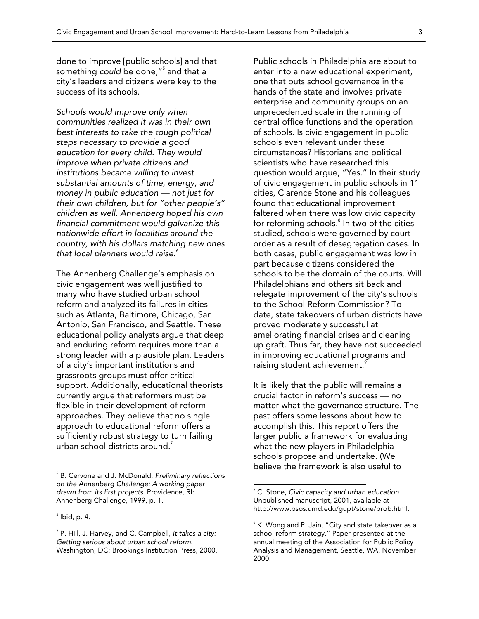done to improve [public schools] and that something *could* be done,"<sup>5</sup> and that a city's leaders and citizens were key to the success of its schools.

*Schools would improve only when communities realized it was in their own best interests to take the tough political steps necessary to provide a good education for every child. They would improve when private citizens and institutions became willing to invest substantial amounts of time, energy, and money in public education — not just for their own children, but for "other people's" children as well. Annenberg hoped his own financial commitment would galvanize this nationwide effort in localities around the country, with his dollars matching new ones that local planners would raise.<sup>6</sup>*

The Annenberg Challenge's emphasis on civic engagement was well justified to many who have studied urban school reform and analyzed its failures in cities such as Atlanta, Baltimore, Chicago, San Antonio, San Francisco, and Seattle. These educational policy analysts argue that deep and enduring reform requires more than a strong leader with a plausible plan. Leaders of a city's important institutions and grassroots groups must offer critical support. Additionally, educational theorists currently argue that reformers must be flexible in their development of reform approaches. They believe that no single approach to educational reform offers a sufficiently robust strategy to turn failing urban school districts around. $^{\prime}$ 

 $\overline{a}$ 

Public schools in Philadelphia are about to enter into a new educational experiment, one that puts school governance in the hands of the state and involves private enterprise and community groups on an unprecedented scale in the running of central office functions and the operation of schools. Is civic engagement in public schools even relevant under these circumstances? Historians and political scientists who have researched this question would argue, "Yes." In their study of civic engagement in public schools in 11 cities, Clarence Stone and his colleagues found that educational improvement faltered when there was low civic capacity for reforming schools.<sup>8</sup> In two of the cities studied, schools were governed by court order as a result of desegregation cases. In both cases, public engagement was low in part because citizens considered the schools to be the domain of the courts. Will Philadelphians and others sit back and relegate improvement of the city's schools to the School Reform Commission? To date, state takeovers of urban districts have proved moderately successful at ameliorating financial crises and cleaning up graft. Thus far, they have not succeeded in improving educational programs and raising student achievement.<sup>9</sup>

It is likely that the public will remains a crucial factor in reform's success — no matter what the governance structure. The past offers some lessons about how to accomplish this. This report offers the larger public a framework for evaluating what the new players in Philadelphia schools propose and undertake. (We believe the framework is also useful to

<sup>5</sup> B. Cervone and J. McDonald, *Preliminary reflections on the Annenberg Challenge: A working paper drawn from its first projects*. Providence, RI: Annenberg Challenge, 1999, p. 1.

 $^{\circ}$  Ibid, p. 4.

<sup>7</sup> P. Hill, J. Harvey, and C. Campbell, *It takes a city: Getting serious about urban school reform*. Washington, DC: Brookings Institution Press, 2000.

<sup>8</sup> C. Stone, *Civic capacity and urban education*. Unpublished manuscript, 2001, available at http://www.bsos.umd.edu/gupt/stone/prob.html.

 $^{\circ}$  K. Wong and P. Jain, "City and state takeover as a school reform strategy." Paper presented at the annual meeting of the Association for Public Policy Analysis and Management, Seattle, WA, November 2000.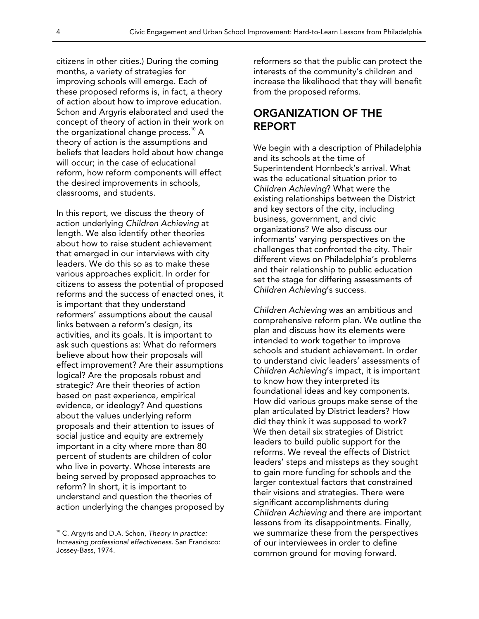citizens in other cities.) During the coming months, a variety of strategies for improving schools will emerge. Each of these proposed reforms is, in fact, a theory of action about how to improve education. Schon and Argyris elaborated and used the concept of theory of action in their work on the organizational change process.<sup>10</sup> A theory of action is the assumptions and beliefs that leaders hold about how change will occur; in the case of educational reform, how reform components will effect the desired improvements in schools, classrooms, and students.

In this report, we discuss the theory of action underlying *Children Achieving* at length. We also identify other theories about how to raise student achievement that emerged in our interviews with city leaders. We do this so as to make these various approaches explicit. In order for citizens to assess the potential of proposed reforms and the success of enacted ones, it is important that they understand reformers' assumptions about the causal links between a reform's design, its activities, and its goals. It is important to ask such questions as: What do reformers believe about how their proposals will effect improvement? Are their assumptions logical? Are the proposals robust and strategic? Are their theories of action based on past experience, empirical evidence, or ideology? And questions about the values underlying reform proposals and their attention to issues of social justice and equity are extremely important in a city where more than 80 percent of students are children of color who live in poverty. Whose interests are being served by proposed approaches to reform? In short, it is important to understand and question the theories of action underlying the changes proposed by

10 C. Argyris and D.A. Schon, *Theory in practice: Increasing professional effectiveness*. San Francisco: Jossey-Bass, 1974.

 $\overline{a}$ 

reformers so that the public can protect the interests of the community's children and increase the likelihood that they will benefit from the proposed reforms.

### ORGANIZATION OF THE REPORT

We begin with a description of Philadelphia and its schools at the time of Superintendent Hornbeck's arrival. What was the educational situation prior to *Children Achieving*? What were the existing relationships between the District and key sectors of the city, including business, government, and civic organizations? We also discuss our informants' varying perspectives on the challenges that confronted the city. Their different views on Philadelphia's problems and their relationship to public education set the stage for differing assessments of *Children Achieving*'s success.

*Children Achieving* was an ambitious and comprehensive reform plan. We outline the plan and discuss how its elements were intended to work together to improve schools and student achievement. In order to understand civic leaders' assessments of *Children Achieving*'s impact, it is important to know how they interpreted its foundational ideas and key components. How did various groups make sense of the plan articulated by District leaders? How did they think it was supposed to work? We then detail six strategies of District leaders to build public support for the reforms. We reveal the effects of District leaders' steps and missteps as they sought to gain more funding for schools and the larger contextual factors that constrained their visions and strategies. There were significant accomplishments during *Children Achieving* and there are important lessons from its disappointments. Finally, we summarize these from the perspectives of our interviewees in order to define common ground for moving forward.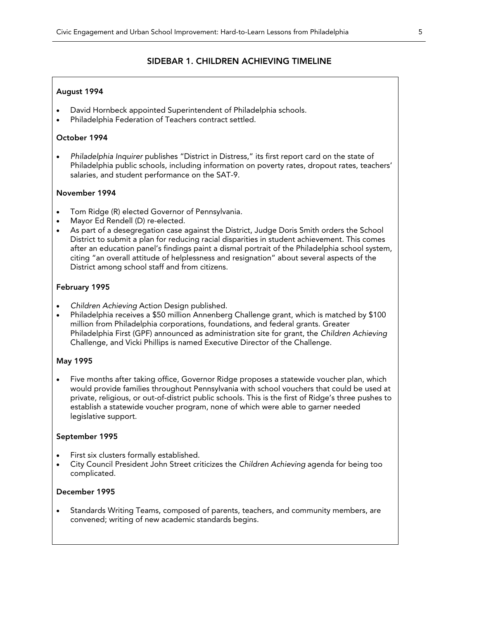#### SIDEBAR 1. CHILDREN ACHIEVING TIMELINE

#### August 1994

- David Hornbeck appointed Superintendent of Philadelphia schools.
- Philadelphia Federation of Teachers contract settled.

#### October 1994

• *Philadelphia Inquirer* publishes "District in Distress," its first report card on the state of Philadelphia public schools, including information on poverty rates, dropout rates, teachers' salaries, and student performance on the SAT-9.

#### November 1994

- Tom Ridge (R) elected Governor of Pennsylvania.
- Mayor Ed Rendell (D) re-elected.
- As part of a desegregation case against the District, Judge Doris Smith orders the School District to submit a plan for reducing racial disparities in student achievement. This comes after an education panel's findings paint a dismal portrait of the Philadelphia school system, citing "an overall attitude of helplessness and resignation" about several aspects of the District among school staff and from citizens.

#### February 1995

- *Children Achieving* Action Design published.
- Philadelphia receives a \$50 million Annenberg Challenge grant, which is matched by \$100 million from Philadelphia corporations, foundations, and federal grants. Greater Philadelphia First (GPF) announced as administration site for grant, the *Children Achieving* Challenge, and Vicki Phillips is named Executive Director of the Challenge.

#### May 1995

• Five months after taking office, Governor Ridge proposes a statewide voucher plan, which would provide families throughout Pennsylvania with school vouchers that could be used at private, religious, or out-of-district public schools. This is the first of Ridge's three pushes to establish a statewide voucher program, none of which were able to garner needed legislative support.

#### September 1995

- First six clusters formally established.
- City Council President John Street criticizes the *Children Achieving* agenda for being too complicated.

#### December 1995

• Standards Writing Teams, composed of parents, teachers, and community members, are convened; writing of new academic standards begins.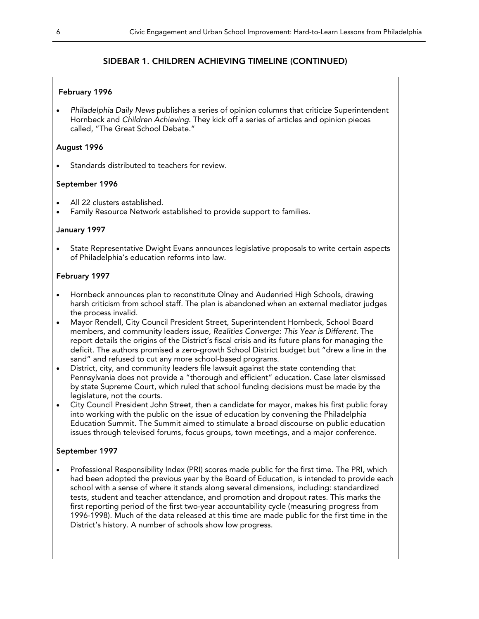#### February 1996

• *Philadelphia Daily News* publishes a series of opinion columns that criticize Superintendent Hornbeck and *Children Achieving*. They kick off a series of articles and opinion pieces called, "The Great School Debate."

#### August 1996

Standards distributed to teachers for review.

#### September 1996

- All 22 clusters established.
- Family Resource Network established to provide support to families.

#### January 1997

• State Representative Dwight Evans announces legislative proposals to write certain aspects of Philadelphia's education reforms into law.

#### February 1997

- Hornbeck announces plan to reconstitute Olney and Audenried High Schools, drawing harsh criticism from school staff. The plan is abandoned when an external mediator judges the process invalid.
- Mayor Rendell, City Council President Street, Superintendent Hornbeck, School Board members, and community leaders issue, *Realities Converge: This Year is Different*. The report details the origins of the District's fiscal crisis and its future plans for managing the deficit. The authors promised a zero-growth School District budget but "drew a line in the sand" and refused to cut any more school-based programs.
- District, city, and community leaders file lawsuit against the state contending that Pennsylvania does not provide a "thorough and efficient" education. Case later dismissed by state Supreme Court, which ruled that school funding decisions must be made by the legislature, not the courts.
- City Council President John Street, then a candidate for mayor, makes his first public foray into working with the public on the issue of education by convening the Philadelphia Education Summit. The Summit aimed to stimulate a broad discourse on public education issues through televised forums, focus groups, town meetings, and a major conference.

#### September 1997

• Professional Responsibility Index (PRI) scores made public for the first time. The PRI, which had been adopted the previous year by the Board of Education, is intended to provide each school with a sense of where it stands along several dimensions, including: standardized tests, student and teacher attendance, and promotion and dropout rates. This marks the first reporting period of the first two-year accountability cycle (measuring progress from 1996-1998). Much of the data released at this time are made public for the first time in the District's history. A number of schools show low progress.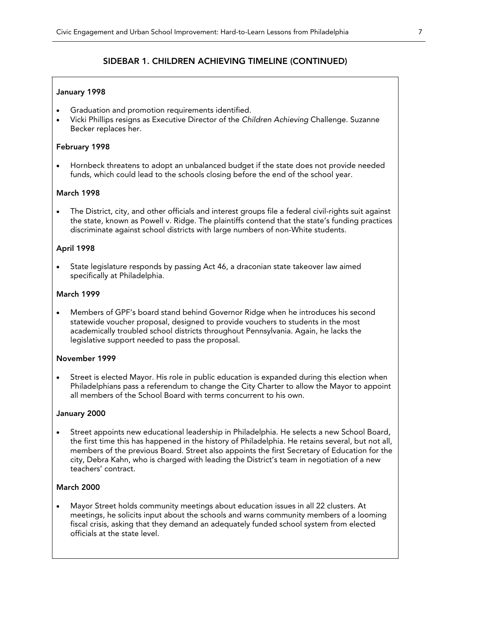#### January 1998

- Graduation and promotion requirements identified.
- Vicki Phillips resigns as Executive Director of the *Children Achieving* Challenge. Suzanne Becker replaces her.

#### February 1998

• Hornbeck threatens to adopt an unbalanced budget if the state does not provide needed funds, which could lead to the schools closing before the end of the school year.

#### March 1998

• The District, city, and other officials and interest groups file a federal civil-rights suit against the state, known as Powell v. Ridge. The plaintiffs contend that the state's funding practices discriminate against school districts with large numbers of non-White students.

#### April 1998

State legislature responds by passing Act 46, a draconian state takeover law aimed specifically at Philadelphia.

#### March 1999

• Members of GPF's board stand behind Governor Ridge when he introduces his second statewide voucher proposal, designed to provide vouchers to students in the most academically troubled school districts throughout Pennsylvania. Again, he lacks the legislative support needed to pass the proposal.

#### November 1999

Street is elected Mayor. His role in public education is expanded during this election when Philadelphians pass a referendum to change the City Charter to allow the Mayor to appoint all members of the School Board with terms concurrent to his own.

#### January 2000

• Street appoints new educational leadership in Philadelphia. He selects a new School Board, the first time this has happened in the history of Philadelphia. He retains several, but not all, members of the previous Board. Street also appoints the first Secretary of Education for the city, Debra Kahn, who is charged with leading the District's team in negotiation of a new teachers' contract.

#### March 2000

• Mayor Street holds community meetings about education issues in all 22 clusters. At meetings, he solicits input about the schools and warns community members of a looming fiscal crisis, asking that they demand an adequately funded school system from elected officials at the state level.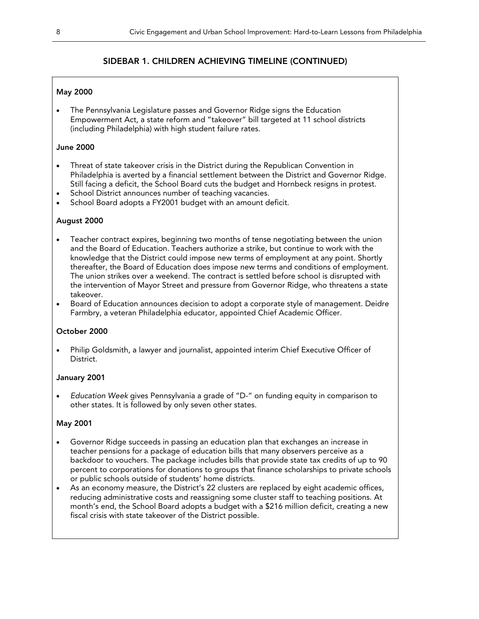#### May 2000

• The Pennsylvania Legislature passes and Governor Ridge signs the Education Empowerment Act, a state reform and "takeover" bill targeted at 11 school districts (including Philadelphia) with high student failure rates.

#### June 2000

- Threat of state takeover crisis in the District during the Republican Convention in Philadelphia is averted by a financial settlement between the District and Governor Ridge. Still facing a deficit, the School Board cuts the budget and Hornbeck resigns in protest.
- School District announces number of teaching vacancies.
- School Board adopts a FY2001 budget with an amount deficit.

#### August 2000

- Teacher contract expires, beginning two months of tense negotiating between the union and the Board of Education. Teachers authorize a strike, but continue to work with the knowledge that the District could impose new terms of employment at any point. Shortly thereafter, the Board of Education does impose new terms and conditions of employment. The union strikes over a weekend. The contract is settled before school is disrupted with the intervention of Mayor Street and pressure from Governor Ridge, who threatens a state takeover.
- Board of Education announces decision to adopt a corporate style of management. Deidre Farmbry, a veteran Philadelphia educator, appointed Chief Academic Officer.

#### October 2000

• Philip Goldsmith, a lawyer and journalist, appointed interim Chief Executive Officer of District.

#### January 2001

• *Education Week* gives Pennsylvania a grade of "D-" on funding equity in comparison to other states. It is followed by only seven other states.

#### May 2001

- Governor Ridge succeeds in passing an education plan that exchanges an increase in teacher pensions for a package of education bills that many observers perceive as a backdoor to vouchers. The package includes bills that provide state tax credits of up to 90 percent to corporations for donations to groups that finance scholarships to private schools or public schools outside of students' home districts.
- As an economy measure, the District's 22 clusters are replaced by eight academic offices, reducing administrative costs and reassigning some cluster staff to teaching positions. At month's end, the School Board adopts a budget with a \$216 million deficit, creating a new fiscal crisis with state takeover of the District possible.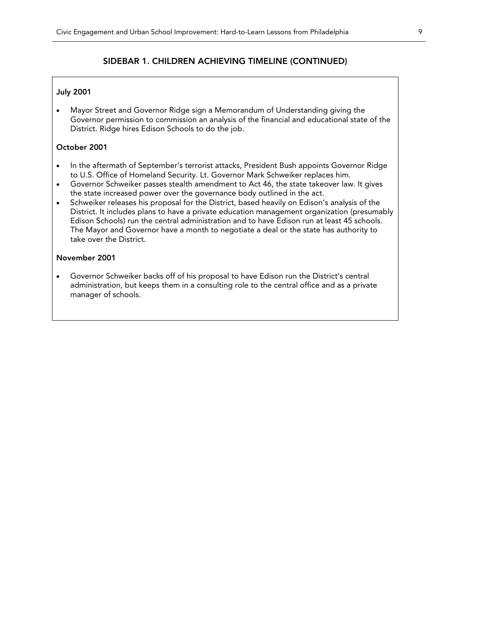#### July 2001

• Mayor Street and Governor Ridge sign a Memorandum of Understanding giving the Governor permission to commission an analysis of the financial and educational state of the District. Ridge hires Edison Schools to do the job.

#### October 2001

- In the aftermath of September's terrorist attacks, President Bush appoints Governor Ridge to U.S. Office of Homeland Security. Lt. Governor Mark Schweiker replaces him.
- Governor Schweiker passes stealth amendment to Act 46, the state takeover law. It gives the state increased power over the governance body outlined in the act.
- Schweiker releases his proposal for the District, based heavily on Edison's analysis of the District. It includes plans to have a private education management organization (presumably Edison Schools) run the central administration and to have Edison run at least 45 schools. The Mayor and Governor have a month to negotiate a deal or the state has authority to take over the District.

#### November 2001

• Governor Schweiker backs off of his proposal to have Edison run the District's central administration, but keeps them in a consulting role to the central office and as a private manager of schools.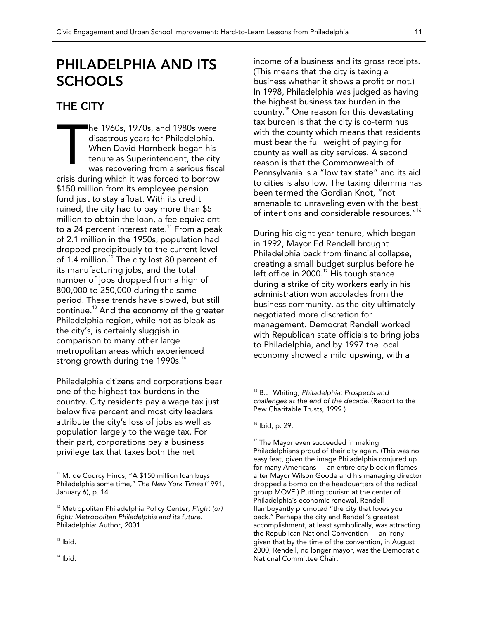## PHILADELPHIA AND ITS **SCHOOLS**

### THE CITY

he 1960s, 1970s, and 1980s were disastrous years for Philadelphia. When David Hornbeck began his tenure as Superintendent, the city was recovering from a serious fiscal crisis during which it was forced to borrow \$150 million from its employee pension fund just to stay afloat. With its credit ruined, the city had to pay more than \$5 million to obtain the loan, a fee equivalent to a 24 percent interest rate.<sup>11</sup> From a peak of 2.1 million in the 1950s, population had dropped precipitously to the current level of 1.4 million.<sup>12</sup> The city lost 80 percent of its manufacturing jobs, and the total number of jobs dropped from a high of 800,000 to 250,000 during the same period. These trends have slowed, but still continue.<sup>13</sup> And the economy of the greater Philadelphia region, while not as bleak as the city's, is certainly sluggish in comparison to many other large metropolitan areas which experienced strong growth during the 1990s. $14$ T

Philadelphia citizens and corporations bear one of the highest tax burdens in the country. City residents pay a wage tax just below five percent and most city leaders attribute the city's loss of jobs as well as population largely to the wage tax. For their part, corporations pay a business privilege tax that taxes both the net

 $\overline{a}$ 

 $14$  Ibid.

income of a business and its gross receipts. (This means that the city is taxing a business whether it shows a profit or not.) In 1998, Philadelphia was judged as having the highest business tax burden in the country.<sup>15</sup> One reason for this devastating tax burden is that the city is co-terminus with the county which means that residents must bear the full weight of paying for county as well as city services. A second reason is that the Commonwealth of Pennsylvania is a "low tax state" and its aid to cities is also low. The taxing dilemma has been termed the Gordian Knot, "not amenable to unraveling even with the best of intentions and considerable resources."<sup>16</sup>

During his eight-year tenure, which began in 1992, Mayor Ed Rendell brought Philadelphia back from financial collapse, creating a small budget surplus before he left office in 2000.<sup>17</sup> His tough stance during a strike of city workers early in his administration won accolades from the business community, as the city ultimately negotiated more discretion for management. Democrat Rendell worked with Republican state officials to bring jobs to Philadelphia, and by 1997 the local economy showed a mild upswing, with a

 $\overline{a}$ 

<sup>17</sup> The Mayor even succeeded in making Philadelphians proud of their city again. (This was no easy feat, given the image Philadelphia conjured up for many Americans — an entire city block in flames after Mayor Wilson Goode and his managing director dropped a bomb on the headquarters of the radical group MOVE.) Putting tourism at the center of Philadelphia's economic renewal, Rendell flamboyantly promoted "the city that loves you back." Perhaps the city and Rendell's greatest accomplishment, at least symbolically, was attracting the Republican National Convention — an irony given that by the time of the convention, in August 2000, Rendell, no longer mayor, was the Democratic National Committee Chair.

<sup>&</sup>lt;sup>11</sup> M. de Courcy Hinds, "A \$150 million loan buys Philadelphia some time," *The New York Times* (1991, January 6), p. 14.

<sup>12</sup> Metropolitan Philadelphia Policy Center, *Flight (or) fight: Metropolitan Philadelphia and its future*. Philadelphia: Author, 2001.

 $13$  lbid.

<sup>15</sup> B.J. Whiting, *Philadelphia: Prospects and challenges at the end of the decade*. (Report to the Pew Charitable Trusts, 1999.)

 $16$  Ibid, p. 29.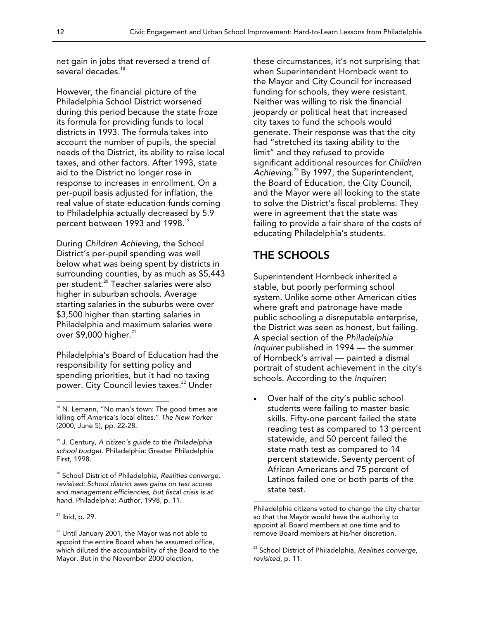net gain in jobs that reversed a trend of several decades.<sup>18</sup>

However, the financial picture of the Philadelphia School District worsened during this period because the state froze its formula for providing funds to local districts in 1993. The formula takes into account the number of pupils, the special needs of the District, its ability to raise local taxes, and other factors. After 1993, state aid to the District no longer rose in response to increases in enrollment. On a per-pupil basis adjusted for inflation, the real value of state education funds coming to Philadelphia actually decreased by 5.9 percent between 1993 and 1998.<sup>19</sup>

During *Children Achieving*, the School District's per-pupil spending was well below what was being spent by districts in surrounding counties, by as much as \$5,443 per student.<sup>20</sup> Teacher salaries were also higher in suburban schools. Average starting salaries in the suburbs were over \$3,500 higher than starting salaries in Philadelphia and maximum salaries were over  $$9,000$  higher.<sup>21</sup>

Philadelphia's Board of Education had the responsibility for setting policy and spending priorities, but it had no taxing power. City Council levies taxes.<sup>22</sup> Under

19 J. Century, *A citizen's guide to the Philadelphia school budget*. Philadelphia: Greater Philadelphia First, 1998.

20 School District of Philadelphia, *Realities converge, revisited: School district sees gains on test scores and management efficiencies, but fiscal crisis is at hand*. Philadelphia: Author, 1998, p. 11.

 $\overline{a}$ 

 $22$  Until January 2001, the Mayor was not able to appoint the entire Board when he assumed office, which diluted the accountability of the Board to the Mayor. But in the November 2000 election,

these circumstances, it's not surprising that when Superintendent Hornbeck went to the Mayor and City Council for increased funding for schools, they were resistant. Neither was willing to risk the financial jeopardy or political heat that increased city taxes to fund the schools would generate. Their response was that the city had "stretched its taxing ability to the limit" and they refused to provide significant additional resources for *Children Achieving*. 23 By 1997, the Superintendent, the Board of Education, the City Council, and the Mayor were all looking to the state to solve the District's fiscal problems. They were in agreement that the state was failing to provide a fair share of the costs of educating Philadelphia's students.

### THE SCHOOLS

 $\overline{a}$ 

Superintendent Hornbeck inherited a stable, but poorly performing school system. Unlike some other American cities where graft and patronage have made public schooling a disreputable enterprise, the District was seen as honest, but failing. A special section of the *Philadelphia Inquirer* published in 1994 — the summer of Hornbeck's arrival — painted a dismal portrait of student achievement in the city's schools. According to the *Inquirer*:

• Over half of the city's public school students were failing to master basic skills. Fifty-one percent failed the state reading test as compared to 13 percent statewide, and 50 percent failed the state math test as compared to 14 percent statewide. Seventy percent of African Americans and 75 percent of Latinos failed one or both parts of the state test.

Philadelphia citizens voted to change the city charter so that the Mayor would have the authority to appoint all Board members at one time and to remove Board members at his/her discretion.

 $18$  N. Lemann, "No man's town: The good times are killing off America's local elites." *The New Yorker*  (2000, June 5), pp. 22-28.

 $21$  Ibid, p. 29.

<sup>23</sup> School District of Philadelphia, *Realities converge, revisited*, p. 11.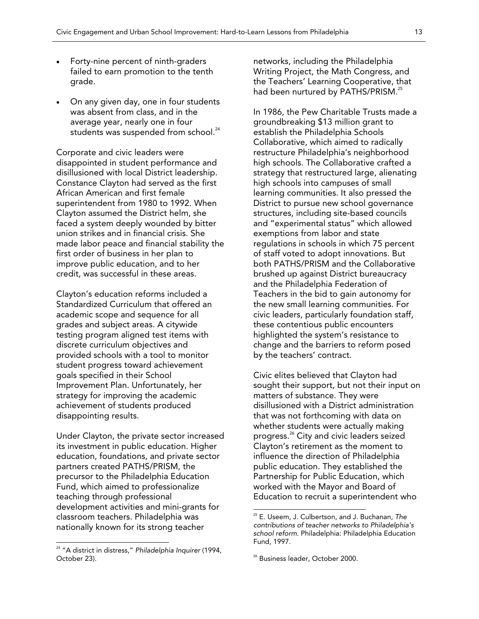- Forty-nine percent of ninth-graders failed to earn promotion to the tenth grade.
- On any given day, one in four students was absent from class, and in the average year, nearly one in four students was suspended from school.<sup>24</sup>

Corporate and civic leaders were disappointed in student performance and disillusioned with local District leadership. Constance Clayton had served as the first African American and first female superintendent from 1980 to 1992. When Clayton assumed the District helm, she faced a system deeply wounded by bitter union strikes and in financial crisis. She made labor peace and financial stability the first order of business in her plan to improve public education, and to her credit, was successful in these areas.

Clayton's education reforms included a Standardized Curriculum that offered an academic scope and sequence for all grades and subject areas. A citywide testing program aligned test items with discrete curriculum objectives and provided schools with a tool to monitor student progress toward achievement goals specified in their School Improvement Plan. Unfortunately, her strategy for improving the academic achievement of students produced disappointing results.

Under Clayton, the private sector increased its investment in public education. Higher education, foundations, and private sector partners created PATHS/PRISM, the precursor to the Philadelphia Education Fund, which aimed to professionalize teaching through professional development activities and mini-grants for classroom teachers. Philadelphia was nationally known for its strong teacher

 $\overline{a}$ 

networks, including the Philadelphia Writing Project, the Math Congress, and the Teachers' Learning Cooperative, that had been nurtured by PATHS/PRISM.<sup>25</sup>

In 1986, the Pew Charitable Trusts made a groundbreaking \$13 million grant to establish the Philadelphia Schools Collaborative, which aimed to radically restructure Philadelphia's neighborhood high schools. The Collaborative crafted a strategy that restructured large, alienating high schools into campuses of small learning communities. It also pressed the District to pursue new school governance structures, including site-based councils and "experimental status" which allowed exemptions from labor and state regulations in schools in which 75 percent of staff voted to adopt innovations. But both PATHS/PRISM and the Collaborative brushed up against District bureaucracy and the Philadelphia Federation of Teachers in the bid to gain autonomy for the new small learning communities. For civic leaders, particularly foundation staff, these contentious public encounters highlighted the system's resistance to change and the barriers to reform posed by the teachers' contract.

Civic elites believed that Clayton had sought their support, but not their input on matters of substance. They were disillusioned with a District administration that was not forthcoming with data on whether students were actually making progress.<sup>26</sup> City and civic leaders seized Clayton's retirement as the moment to influence the direction of Philadelphia public education. They established the Partnership for Public Education, which worked with the Mayor and Board of Education to recruit a superintendent who

<sup>24 &</sup>quot;A district in distress," *Philadelphia Inquirer* (1994, October 23).

<sup>25</sup> E. Useem, J. Culbertson, and J. Buchanan, *The contributions of teacher networks to Philadelphia's school reform*. Philadelphia: Philadelphia Education Fund, 1997.

<sup>&</sup>lt;sup>26</sup> Business leader, October 2000.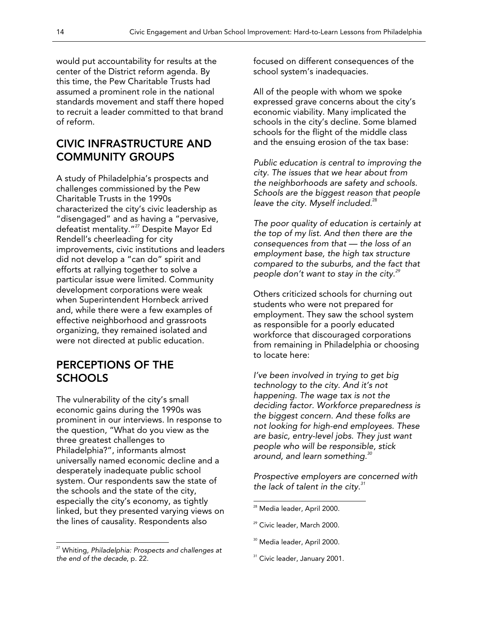would put accountability for results at the center of the District reform agenda. By this time, the Pew Charitable Trusts had assumed a prominent role in the national standards movement and staff there hoped to recruit a leader committed to that brand of reform.

### CIVIC INFRASTRUCTURE AND COMMUNITY GROUPS

A study of Philadelphia's prospects and challenges commissioned by the Pew Charitable Trusts in the 1990s characterized the city's civic leadership as "disengaged" and as having a "pervasive, defeatist mentality."<sup>27</sup> Despite Mayor Ed Rendell's cheerleading for city improvements, civic institutions and leaders did not develop a "can do" spirit and efforts at rallying together to solve a particular issue were limited. Community development corporations were weak when Superintendent Hornbeck arrived and, while there were a few examples of effective neighborhood and grassroots organizing, they remained isolated and were not directed at public education.

### PERCEPTIONS OF THE **SCHOOLS**

The vulnerability of the city's small economic gains during the 1990s was prominent in our interviews. In response to the question, "What do you view as the three greatest challenges to Philadelphia?", informants almost universally named economic decline and a desperately inadequate public school system. Our respondents saw the state of the schools and the state of the city, especially the city's economy, as tightly linked, but they presented varying views on the lines of causality. Respondents also

 $\overline{a}$ 

focused on different consequences of the school system's inadequacies.

All of the people with whom we spoke expressed grave concerns about the city's economic viability. Many implicated the schools in the city's decline. Some blamed schools for the flight of the middle class and the ensuing erosion of the tax base:

*Public education is central to improving the city. The issues that we hear about from the neighborhoods are safety and schools. Schools are the biggest reason that people leave the city. Myself included.*<sup>28</sup>

*The poor quality of education is certainly at the top of my list. And then there are the consequences from that — the loss of an employment base, the high tax structure compared to the suburbs, and the fact that people don't want to stay in the city.<sup>29</sup>*

Others criticized schools for churning out students who were not prepared for employment. They saw the school system as responsible for a poorly educated workforce that discouraged corporations from remaining in Philadelphia or choosing to locate here:

*I've been involved in trying to get big technology to the city. And it's not happening. The wage tax is not the deciding factor. Workforce preparedness is the biggest concern. And these folks are not looking for high-end employees. These are basic, entry-level jobs. They just want people who will be responsible, stick around, and learn something.<sup>30</sup>*

*Prospective employers are concerned with the lack of talent in the city.<sup>31</sup>*

- <sup>30</sup> Media leader, April 2000.
- <sup>31</sup> Civic leader, January 2001.

<sup>27</sup> Whiting, *Philadelphia: Prospects and challenges at the end of the decade*, p. 22.

<sup>&</sup>lt;sup>28</sup> Media leader, April 2000.

<sup>&</sup>lt;sup>29</sup> Civic leader, March 2000.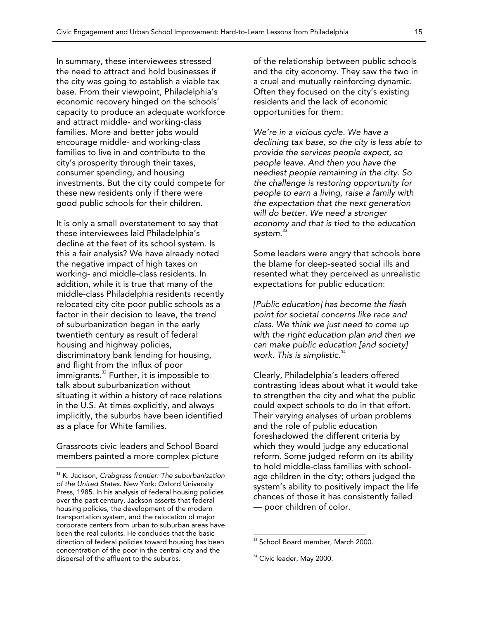In summary, these interviewees stressed the need to attract and hold businesses if the city was going to establish a viable tax base. From their viewpoint, Philadelphia's economic recovery hinged on the schools' capacity to produce an adequate workforce and attract middle- and working-class families. More and better jobs would encourage middle- and working-class families to live in and contribute to the city's prosperity through their taxes, consumer spending, and housing investments. But the city could compete for these new residents only if there were good public schools for their children.

It is only a small overstatement to say that these interviewees laid Philadelphia's decline at the feet of its school system. Is this a fair analysis? We have already noted the negative impact of high taxes on working- and middle-class residents. In addition, while it is true that many of the middle-class Philadelphia residents recently relocated city cite poor public schools as a factor in their decision to leave, the trend of suburbanization began in the early twentieth century as result of federal housing and highway policies, discriminatory bank lending for housing, and flight from the influx of poor immigrants.<sup>32</sup> Further, it is impossible to talk about suburbanization without situating it within a history of race relations in the U.S. At times explicitly, and always implicitly, the suburbs have been identified as a place for White families.

Grassroots civic leaders and School Board members painted a more complex picture

 $\overline{a}$ 

of the relationship between public schools and the city economy. They saw the two in a cruel and mutually reinforcing dynamic. Often they focused on the city's existing residents and the lack of economic opportunities for them:

*We're in a vicious cycle. We have a declining tax base, so the city is less able to provide the services people expect, so people leave. And then you have the neediest people remaining in the city. So the challenge is restoring opportunity for people to earn a living, raise a family with the expectation that the next generation will do better. We need a stronger economy and that is tied to the education system.<sup>33</sup>*

Some leaders were angry that schools bore the blame for deep-seated social ills and resented what they perceived as unrealistic expectations for public education:

*[Public education] has become the flash point for societal concerns like race and class. We think we just need to come up with the right education plan and then we can make public education [and society] work. This is simplistic.<sup>34</sup>*

Clearly, Philadelphia's leaders offered contrasting ideas about what it would take to strengthen the city and what the public could expect schools to do in that effort. Their varying analyses of urban problems and the role of public education foreshadowed the different criteria by which they would judge any educational reform. Some judged reform on its ability to hold middle-class families with schoolage children in the city; others judged the system's ability to positively impact the life chances of those it has consistently failed — poor children of color.

<sup>32</sup> K. Jackson, *Crabgrass frontier: The suburbanization of the United States*. New York: Oxford University Press, 1985. In his analysis of federal housing policies over the past century, Jackson asserts that federal housing policies, the development of the modern transportation system, and the relocation of major corporate centers from urban to suburban areas have been the real culprits. He concludes that the basic direction of federal policies toward housing has been concentration of the poor in the central city and the dispersal of the affluent to the suburbs.

<sup>&</sup>lt;sup>33</sup> School Board member, March 2000.

<sup>&</sup>lt;sup>34</sup> Civic leader, May 2000.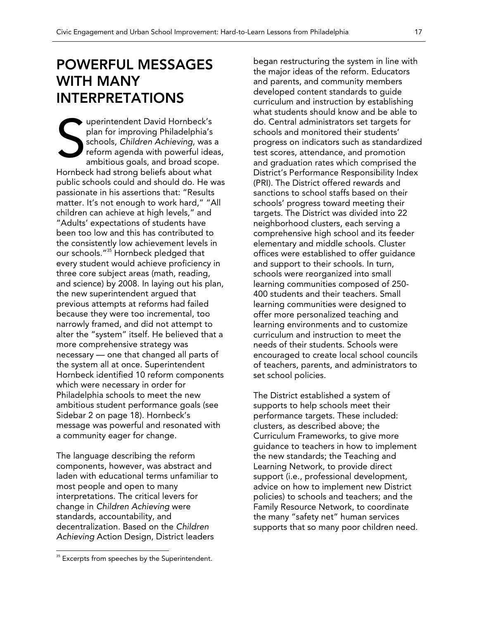## POWERFUL MESSAGES WITH MANY INTERPRETATIONS

uperintendent David Hornbeck's plan for improving Philadelphia's schools, *Children Achieving*, was a reform agenda with powerful ideas, ambitious goals, and broad scope. Hornbeck had strong beliefs about what public schools could and should do. He was passionate in his assertions that: "Results matter. It's not enough to work hard," "All children can achieve at high levels," and "Adults' expectations of students have been too low and this has contributed to the consistently low achievement levels in our schools."<sup>35</sup> Hornbeck pledged that every student would achieve proficiency in three core subject areas (math, reading, and science) by 2008. In laying out his plan, the new superintendent argued that previous attempts at reforms had failed because they were too incremental, too narrowly framed, and did not attempt to alter the "system" itself. He believed that a more comprehensive strategy was necessary — one that changed all parts of the system all at once. Superintendent Hornbeck identified 10 reform components which were necessary in order for Philadelphia schools to meet the new ambitious student performance goals (see Sidebar 2 on page 18). Hornbeck's message was powerful and resonated with a community eager for change. S

The language describing the reform components, however, was abstract and laden with educational terms unfamiliar to most people and open to many interpretations. The critical levers for change in *Children Achieving* were standards, accountability, and decentralization. Based on the *Children Achieving* Action Design, District leaders

 $\overline{a}$ 

began restructuring the system in line with the major ideas of the reform. Educators and parents, and community members developed content standards to guide curriculum and instruction by establishing what students should know and be able to do. Central administrators set targets for schools and monitored their students' progress on indicators such as standardized test scores, attendance, and promotion and graduation rates which comprised the District's Performance Responsibility Index (PRI). The District offered rewards and sanctions to school staffs based on their schools' progress toward meeting their targets. The District was divided into 22 neighborhood clusters, each serving a comprehensive high school and its feeder elementary and middle schools. Cluster offices were established to offer guidance and support to their schools. In turn, schools were reorganized into small learning communities composed of 250- 400 students and their teachers. Small learning communities were designed to offer more personalized teaching and learning environments and to customize curriculum and instruction to meet the needs of their students. Schools were encouraged to create local school councils of teachers, parents, and administrators to set school policies.

The District established a system of supports to help schools meet their performance targets. These included: clusters, as described above; the Curriculum Frameworks, to give more guidance to teachers in how to implement the new standards; the Teaching and Learning Network, to provide direct support (i.e., professional development, advice on how to implement new District policies) to schools and teachers; and the Family Resource Network, to coordinate the many "safety net" human services supports that so many poor children need.

 $35$  Excerpts from speeches by the Superintendent.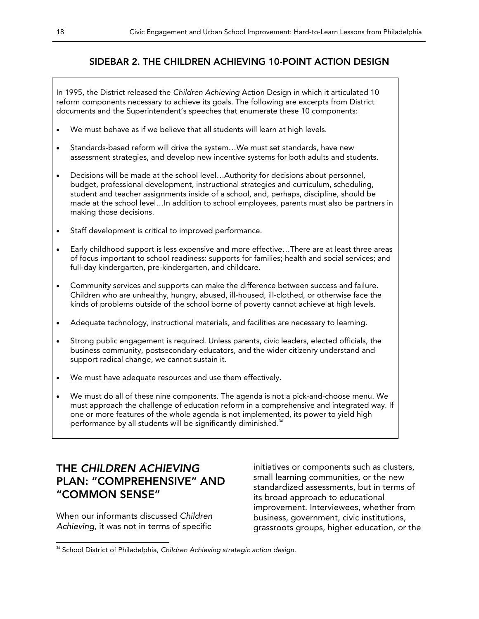### SIDEBAR 2. THE CHILDREN ACHIEVING 10-POINT ACTION DESIGN

In 1995, the District released the *Children Achieving* Action Design in which it articulated 10 reform components necessary to achieve its goals. The following are excerpts from District documents and the Superintendent's speeches that enumerate these 10 components:

- We must behave as if we believe that all students will learn at high levels.
- Standards-based reform will drive the system…We must set standards, have new assessment strategies, and develop new incentive systems for both adults and students.
- Decisions will be made at the school level…Authority for decisions about personnel, budget, professional development, instructional strategies and curriculum, scheduling, student and teacher assignments inside of a school, and, perhaps, discipline, should be made at the school level…In addition to school employees, parents must also be partners in making those decisions.
- Staff development is critical to improved performance.
- Early childhood support is less expensive and more effective…There are at least three areas of focus important to school readiness: supports for families; health and social services; and full-day kindergarten, pre-kindergarten, and childcare.
- Community services and supports can make the difference between success and failure. Children who are unhealthy, hungry, abused, ill-housed, ill-clothed, or otherwise face the kinds of problems outside of the school borne of poverty cannot achieve at high levels.
- Adequate technology, instructional materials, and facilities are necessary to learning.
- Strong public engagement is required. Unless parents, civic leaders, elected officials, the business community, postsecondary educators, and the wider citizenry understand and support radical change, we cannot sustain it.
- We must have adequate resources and use them effectively.
- We must do all of these nine components. The agenda is not a pick-and-choose menu. We must approach the challenge of education reform in a comprehensive and integrated way. If one or more features of the whole agenda is not implemented, its power to yield high performance by all students will be significantly diminished.<sup>36</sup>

### THE *CHILDREN ACHIEVING*  PLAN: "COMPREHENSIVE" AND "COMMON SENSE"

When our informants discussed *Children Achieving,* it was not in terms of specific

initiatives or components such as clusters, small learning communities, or the new standardized assessments, but in terms of its broad approach to educational improvement. Interviewees, whether from business, government, civic institutions, grassroots groups, higher education, or the

 $\overline{a}$ <sup>36</sup> School District of Philadelphia, Children Achieving strategic action design.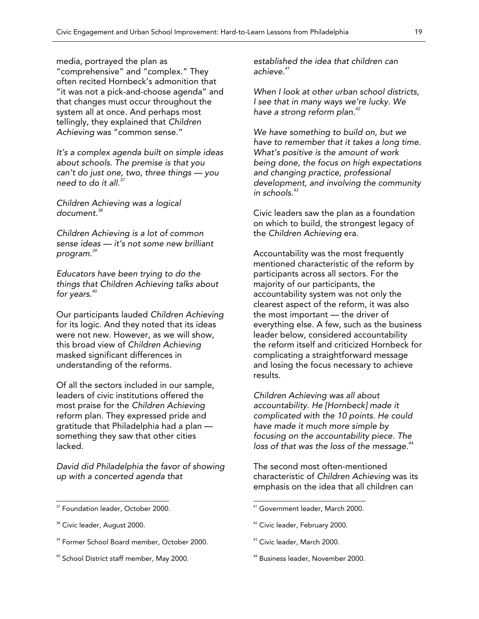media, portrayed the plan as "comprehensive" and "complex." They often recited Hornbeck's admonition that "it was not a pick-and-choose agenda" and that changes must occur throughout the system all at once. And perhaps most tellingly, they explained that *Children Achieving* was "common sense."

*It's a complex agenda built on simple ideas about schools. The premise is that you can't do just one, two, three things — you need to do it all.<sup>37</sup>*

*Children Achieving was a logical document.<sup>38</sup>*

*Children Achieving is a lot of common sense ideas — it's not some new brilliant program.<sup>39</sup>*

*Educators have been trying to do the things that Children Achieving talks about for years.<sup>40</sup>*

Our participants lauded *Children Achieving* for its logic. And they noted that its ideas were not new. However, as we will show, this broad view of *Children Achieving* masked significant differences in understanding of the reforms.

Of all the sectors included in our sample, leaders of civic institutions offered the most praise for the *Children Achieving* reform plan. They expressed pride and gratitude that Philadelphia had a plan something they saw that other cities lacked.

*David did Philadelphia the favor of showing up with a concerted agenda that* 

 $\overline{a}$ 

*established the idea that children can achieve.<sup>41</sup>*

*When I look at other urban school districts, I see that in many ways we're lucky. We have a strong reform plan.42* 

*We have something to build on, but we have to remember that it takes a long time. What's positive is the amount of work being done, the focus on high expectations and changing practice, professional development, and involving the community in schools.<sup>43</sup>* 

Civic leaders saw the plan as a foundation on which to build, the strongest legacy of the *Children Achieving* era.

Accountability was the most frequently mentioned characteristic of the reform by participants across all sectors. For the majority of our participants, the accountability system was not only the clearest aspect of the reform, it was also the most important — the driver of everything else. A few, such as the business leader below, considered accountability the reform itself and criticized Hornbeck for complicating a straightforward message and losing the focus necessary to achieve results.

*Children Achieving was all about accountability. He [Hornbeck] made it complicated with the 10 points. He could have made it much more simple by focusing on the accountability piece. The*  loss of that was the loss of the message.<sup>44</sup>

The second most often-mentioned characteristic of *Children Achieving* was its emphasis on the idea that all children can

 $\overline{a}$ 

44 Business leader, November 2000.

<sup>&</sup>lt;sup>37</sup> Foundation leader, October 2000.

<sup>&</sup>lt;sup>38</sup> Civic leader, August 2000.

<sup>39</sup> Former School Board member, October 2000.

<sup>&</sup>lt;sup>40</sup> School District staff member, May 2000.

<sup>41</sup> Government leader, March 2000.

<sup>&</sup>lt;sup>42</sup> Civic leader, February 2000.

<sup>&</sup>lt;sup>43</sup> Civic leader, March 2000.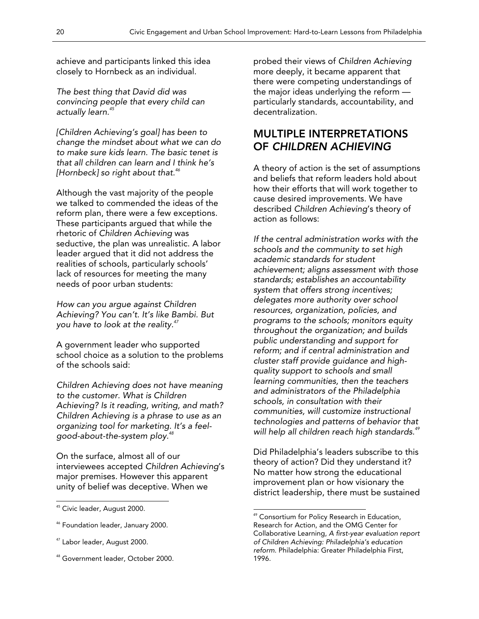achieve and participants linked this idea closely to Hornbeck as an individual.

*The best thing that David did was convincing people that every child can actually learn.45*

*[Children Achieving's goal] has been to change the mindset about what we can do to make sure kids learn. The basic tenet is that all children can learn and I think he's [Hornbeck] so right about that.<sup>46</sup>*

Although the vast majority of the people we talked to commended the ideas of the reform plan, there were a few exceptions. These participants argued that while the rhetoric of *Children Achieving* was seductive, the plan was unrealistic. A labor leader argued that it did not address the realities of schools, particularly schools' lack of resources for meeting the many needs of poor urban students:

*How can you argue against Children Achieving? You can't. It's like Bambi. But you have to look at the reality.<sup>47</sup>*

A government leader who supported school choice as a solution to the problems of the schools said:

*Children Achieving does not have meaning to the customer. What is Children Achieving? Is it reading, writing, and math? Children Achieving is a phrase to use as an organizing tool for marketing. It's a feelgood-about-the-system ploy.48*

On the surface, almost all of our interviewees accepted *Children Achieving*'s major premises. However this apparent unity of belief was deceptive. When we

 $\overline{a}$ 

probed their views of *Children Achieving* more deeply, it became apparent that there were competing understandings of the major ideas underlying the reform particularly standards, accountability, and decentralization.

### MULTIPLE INTERPRETATIONS OF *CHILDREN ACHIEVING*

A theory of action is the set of assumptions and beliefs that reform leaders hold about how their efforts that will work together to cause desired improvements. We have described *Children Achieving*'s theory of action as follows:

*If the central administration works with the schools and the community to set high academic standards for student achievement; aligns assessment with those standards; establishes an accountability system that offers strong incentives; delegates more authority over school resources, organization, policies, and programs to the schools; monitors equity throughout the organization; and builds public understanding and support for reform; and if central administration and cluster staff provide guidance and highquality support to schools and small learning communities, then the teachers and administrators of the Philadelphia schools, in consultation with their communities, will customize instructional technologies and patterns of behavior that will help all children reach high standards.<sup>49</sup>*

Did Philadelphia's leaders subscribe to this theory of action? Did they understand it? No matter how strong the educational improvement plan or how visionary the district leadership, there must be sustained

<sup>&</sup>lt;sup>45</sup> Civic leader, August 2000.

<sup>&</sup>lt;sup>46</sup> Foundation leader, January 2000.

<sup>&</sup>lt;sup>47</sup> Labor leader, August 2000.

<sup>&</sup>lt;sup>48</sup> Government leader, October 2000.

 $49$  Consortium for Policy Research in Education, Research for Action, and the OMG Center for Collaborative Learning, *A first-year evaluation report of Children Achieving: Philadelphia's education reform*. Philadelphia: Greater Philadelphia First, 1996.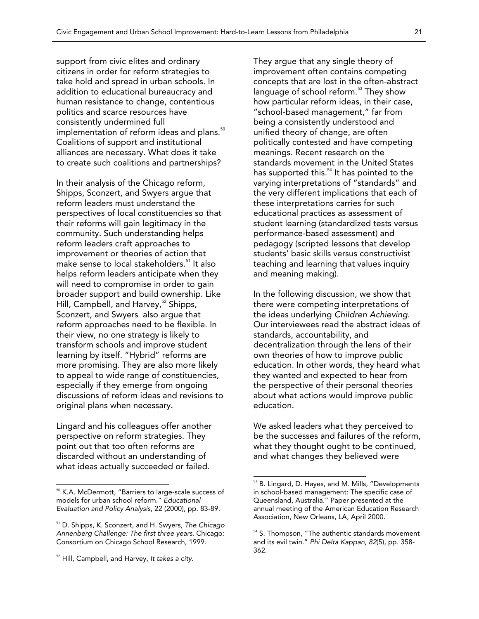support from civic elites and ordinary citizens in order for reform strategies to take hold and spread in urban schools. In addition to educational bureaucracy and human resistance to change, contentious politics and scarce resources have consistently undermined full implementation of reform ideas and plans.<sup>50</sup> Coalitions of support and institutional alliances are necessary. What does it take to create such coalitions and partnerships?

In their analysis of the Chicago reform, Shipps, Sconzert, and Swyers argue that reform leaders must understand the perspectives of local constituencies so that their reforms will gain legitimacy in the community. Such understanding helps reform leaders craft approaches to improvement or theories of action that make sense to local stakeholders.<sup>51</sup> It also helps reform leaders anticipate when they will need to compromise in order to gain broader support and build ownership. Like Hill, Campbell, and Harvey,<sup>52</sup> Shipps, Sconzert, and Swyers also argue that reform approaches need to be flexible. In their view, no one strategy is likely to transform schools and improve student learning by itself. "Hybrid" reforms are more promising. They are also more likely to appeal to wide range of constituencies, especially if they emerge from ongoing discussions of reform ideas and revisions to original plans when necessary.

Lingard and his colleagues offer another perspective on reform strategies. They point out that too often reforms are discarded without an understanding of what ideas actually succeeded or failed.

 $\overline{a}$ 

They argue that any single theory of improvement often contains competing concepts that are lost in the often-abstract language of school reform.<sup>53</sup> They show how particular reform ideas, in their case, "school-based management," far from being a consistently understood and unified theory of change, are often politically contested and have competing meanings. Recent research on the standards movement in the United States has supported this.<sup>54</sup> It has pointed to the varying interpretations of "standards" and the very different implications that each of these interpretations carries for such educational practices as assessment of student learning (standardized tests versus performance-based assessment) and pedagogy (scripted lessons that develop students' basic skills versus constructivist teaching and learning that values inquiry and meaning making).

In the following discussion, we show that there were competing interpretations of the ideas underlying *Children Achieving*. Our interviewees read the abstract ideas of standards, accountability, and decentralization through the lens of their own theories of how to improve public education. In other words, they heard what they wanted and expected to hear from the perspective of their personal theories about what actions would improve public education.

We asked leaders what they perceived to be the successes and failures of the reform, what they thought ought to be continued, and what changes they believed were

<sup>50</sup> K.A. McDermott, "Barriers to large-scale success of models for urban school reform." *Educational Evaluation and Policy Analysis*, 22 (2000), pp. 83-89.

<sup>51</sup> D. Shipps, K. Sconzert, and H. Swyers, *The Chicago Annenberg Challenge: The first three years*. Chicago: Consortium on Chicago School Research, 1999.

<sup>52</sup> Hill, Campbell, and Harvey, *It takes a city*.

<sup>53</sup> B. Lingard, D. Hayes, and M. Mills, "Developments in school-based management: The specific case of Queensland, Australia." Paper presented at the annual meeting of the American Education Research Association, New Orleans, LA, April 2000.

<sup>&</sup>lt;sup>54</sup> S. Thompson, "The authentic standards movement and its evil twin." *Phi Delta Kappan*, *82*(5), pp. 358- 362.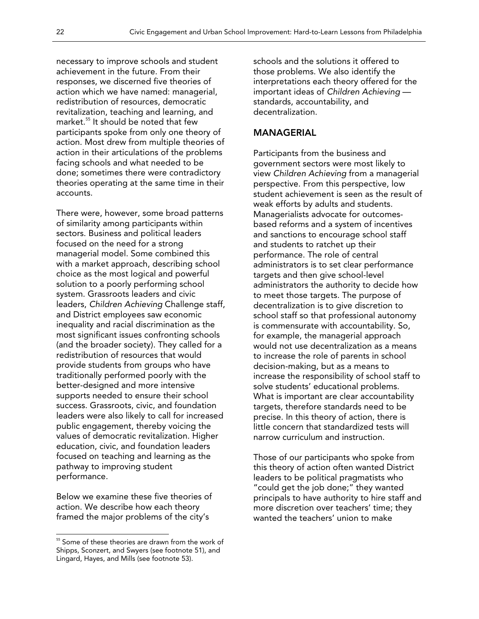necessary to improve schools and student achievement in the future. From their responses, we discerned five theories of action which we have named: managerial, redistribution of resources, democratic revitalization, teaching and learning, and market.55 It should be noted that few participants spoke from only one theory of action. Most drew from multiple theories of action in their articulations of the problems facing schools and what needed to be done; sometimes there were contradictory theories operating at the same time in their accounts.

There were, however, some broad patterns of similarity among participants within sectors. Business and political leaders focused on the need for a strong managerial model. Some combined this with a market approach, describing school choice as the most logical and powerful solution to a poorly performing school system. Grassroots leaders and civic leaders, *Children Achieving* Challenge staff, and District employees saw economic inequality and racial discrimination as the most significant issues confronting schools (and the broader society). They called for a redistribution of resources that would provide students from groups who have traditionally performed poorly with the better-designed and more intensive supports needed to ensure their school success. Grassroots, civic, and foundation leaders were also likely to call for increased public engagement, thereby voicing the values of democratic revitalization. Higher education, civic, and foundation leaders focused on teaching and learning as the pathway to improving student performance.

Below we examine these five theories of action. We describe how each theory framed the major problems of the city's

 $\overline{a}$ 

schools and the solutions it offered to those problems. We also identify the interpretations each theory offered for the important ideas of *Children Achieving* standards, accountability, and decentralization.

#### MANAGERIAL

Participants from the business and government sectors were most likely to view *Children Achieving* from a managerial perspective. From this perspective, low student achievement is seen as the result of weak efforts by adults and students. Managerialists advocate for outcomesbased reforms and a system of incentives and sanctions to encourage school staff and students to ratchet up their performance. The role of central administrators is to set clear performance targets and then give school-level administrators the authority to decide how to meet those targets. The purpose of decentralization is to give discretion to school staff so that professional autonomy is commensurate with accountability. So, for example, the managerial approach would not use decentralization as a means to increase the role of parents in school decision-making, but as a means to increase the responsibility of school staff to solve students' educational problems. What is important are clear accountability targets, therefore standards need to be precise. In this theory of action, there is little concern that standardized tests will narrow curriculum and instruction.

Those of our participants who spoke from this theory of action often wanted District leaders to be political pragmatists who "could get the job done;" they wanted principals to have authority to hire staff and more discretion over teachers' time; they wanted the teachers' union to make

<sup>&</sup>lt;sup>55</sup> Some of these theories are drawn from the work of Shipps, Sconzert, and Swyers (see footnote 51), and Lingard, Hayes, and Mills (see footnote 53).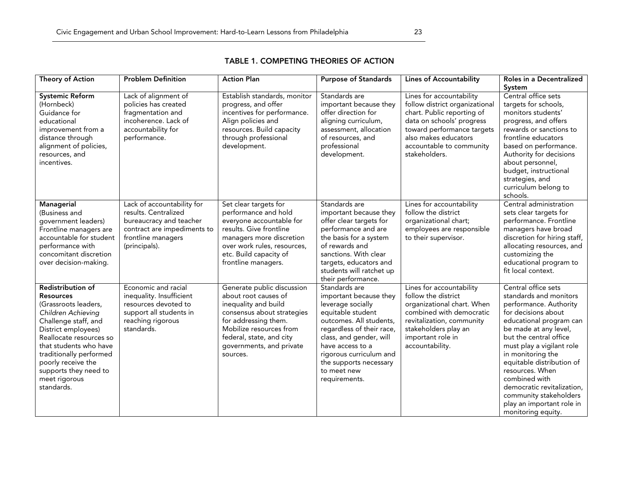| Theory of Action                                                                                                                                                                                                                                                                                 | <b>Problem Definition</b>                                                                                                                           | <b>Action Plan</b>                                                                                                                                                                                                              | <b>Lines of Accountability</b><br><b>Purpose of Standards</b>                                                                                                                                                                                                                 |                                                                                                                                                                                                                          | Roles in a Decentralized                                                                                                                                                                                                                                                                                                                                                                                   |
|--------------------------------------------------------------------------------------------------------------------------------------------------------------------------------------------------------------------------------------------------------------------------------------------------|-----------------------------------------------------------------------------------------------------------------------------------------------------|---------------------------------------------------------------------------------------------------------------------------------------------------------------------------------------------------------------------------------|-------------------------------------------------------------------------------------------------------------------------------------------------------------------------------------------------------------------------------------------------------------------------------|--------------------------------------------------------------------------------------------------------------------------------------------------------------------------------------------------------------------------|------------------------------------------------------------------------------------------------------------------------------------------------------------------------------------------------------------------------------------------------------------------------------------------------------------------------------------------------------------------------------------------------------------|
|                                                                                                                                                                                                                                                                                                  |                                                                                                                                                     |                                                                                                                                                                                                                                 |                                                                                                                                                                                                                                                                               |                                                                                                                                                                                                                          | System                                                                                                                                                                                                                                                                                                                                                                                                     |
| <b>Systemic Reform</b><br>(Hornbeck)<br>Guidance for<br>educational<br>improvement from a<br>distance through<br>alignment of policies,<br>resources, and<br>incentives.                                                                                                                         | Lack of alignment of<br>policies has created<br>fragmentation and<br>incoherence. Lack of<br>accountability for<br>performance.                     | Establish standards, monitor<br>progress, and offer<br>incentives for performance.<br>Align policies and<br>resources. Build capacity<br>through professional<br>development.                                                   | Standards are<br>important because they<br>offer direction for<br>aligning curriculum,<br>assessment, allocation<br>of resources, and<br>professional<br>development.                                                                                                         | Lines for accountability<br>follow district organizational<br>chart. Public reporting of<br>data on schools' progress<br>toward performance targets<br>also makes educators<br>accountable to community<br>stakeholders. | Central office sets<br>targets for schools,<br>monitors students'<br>progress, and offers<br>rewards or sanctions to<br>frontline educators<br>based on performance.<br>Authority for decisions<br>about personnel,<br>budget, instructional<br>strategies, and<br>curriculum belong to<br>schools.                                                                                                        |
| <b>Managerial</b><br>(Business and<br>government leaders)<br>Frontline managers are<br>accountable for student<br>performance with<br>concomitant discretion<br>over decision-making.                                                                                                            | Lack of accountability for<br>results, Centralized<br>bureaucracy and teacher<br>contract are impediments to<br>frontline managers<br>(principals). | Set clear targets for<br>performance and hold<br>everyone accountable for<br>results. Give frontline<br>managers more discretion<br>over work rules, resources,<br>etc. Build capacity of<br>frontline managers.                | Standards are<br>important because they<br>offer clear targets for<br>performance and are<br>the basis for a system<br>of rewards and<br>sanctions. With clear<br>targets, educators and<br>students will ratchet up<br>their performance.                                    | Lines for accountability<br>follow the district<br>organizational chart;<br>employees are responsible<br>to their supervisor.                                                                                            | Central administration<br>sets clear targets for<br>performance. Frontline<br>managers have broad<br>discretion for hiring staff,<br>allocating resources, and<br>customizing the<br>educational program to<br>fit local context.                                                                                                                                                                          |
| Redistribution of<br><b>Resources</b><br>(Grassroots leaders,<br>Children Achieving<br>Challenge staff, and<br>District employees)<br>Reallocate resources so<br>that students who have<br>traditionally performed<br>poorly receive the<br>supports they need to<br>meet rigorous<br>standards. | Economic and racial<br>inequality. Insufficient<br>resources devoted to<br>support all students in<br>reaching rigorous<br>standards.               | Generate public discussion<br>about root causes of<br>inequality and build<br>consensus about strategies<br>for addressing them.<br>Mobilize resources from<br>federal, state, and city<br>governments, and private<br>sources. | Standards are<br>important because they<br>leverage socially<br>equitable student<br>outcomes. All students,<br>regardless of their race,<br>class, and gender, will<br>have access to a<br>rigorous curriculum and<br>the supports necessary<br>to meet new<br>requirements. | Lines for accountability<br>follow the district<br>organizational chart. When<br>combined with democratic<br>revitalization, community<br>stakeholders play an<br>important role in<br>accountability.                   | Central office sets<br>standards and monitors<br>performance. Authority<br>for decisions about<br>educational program can<br>be made at any level,<br>but the central office<br>must play a vigilant role<br>in monitoring the<br>equitable distribution of<br>resources. When<br>combined with<br>democratic revitalization,<br>community stakeholders<br>play an important role in<br>monitoring equity. |

#### TABLE 1. COMPETING THEORIES OF ACTION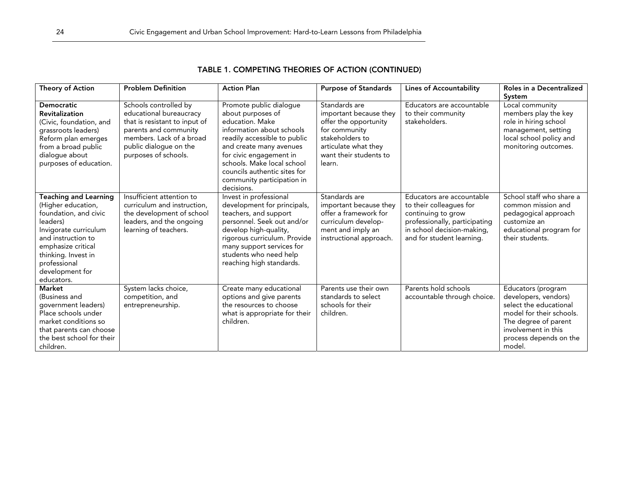| Theory of Action                                                                                                                                                                                                                     | <b>Problem Definition</b>                                                                                                                                                                | <b>Action Plan</b>                                                                                                                                                                                                                                                                           | <b>Purpose of Standards</b>                                                                                                                                      | <b>Lines of Accountability</b>                                                                                                                                         | Roles in a Decentralized<br>System                                                                                                                                                  |
|--------------------------------------------------------------------------------------------------------------------------------------------------------------------------------------------------------------------------------------|------------------------------------------------------------------------------------------------------------------------------------------------------------------------------------------|----------------------------------------------------------------------------------------------------------------------------------------------------------------------------------------------------------------------------------------------------------------------------------------------|------------------------------------------------------------------------------------------------------------------------------------------------------------------|------------------------------------------------------------------------------------------------------------------------------------------------------------------------|-------------------------------------------------------------------------------------------------------------------------------------------------------------------------------------|
| <b>Democratic</b><br><b>Revitalization</b><br>(Civic, foundation, and<br>grassroots leaders)<br>Reform plan emerges<br>from a broad public<br>dialoque about<br>purposes of education.                                               | Schools controlled by<br>educational bureaucracy<br>that is resistant to input of<br>parents and community<br>members. Lack of a broad<br>public dialogue on the<br>purposes of schools. | Promote public dialogue<br>about purposes of<br>education, Make<br>information about schools<br>readily accessible to public<br>and create many avenues<br>for civic engagement in<br>schools. Make local school<br>councils authentic sites for<br>community participation in<br>decisions. | Standards are<br>important because they<br>offer the opportunity<br>for community<br>stakeholders to<br>articulate what they<br>want their students to<br>learn. | Educators are accountable<br>to their community<br>stakeholders.                                                                                                       | Local community<br>members play the key<br>role in hiring school<br>management, setting<br>local school policy and<br>monitoring outcomes.                                          |
| <b>Teaching and Learning</b><br>(Higher education,<br>foundation, and civic<br>leaders)<br>Invigorate curriculum<br>and instruction to<br>emphasize critical<br>thinking. Invest in<br>professional<br>development for<br>educators. | Insufficient attention to<br>curriculum and instruction.<br>the development of school<br>leaders, and the ongoing<br>learning of teachers.                                               | Invest in professional<br>development for principals,<br>teachers, and support<br>personnel. Seek out and/or<br>develop high-quality,<br>rigorous curriculum. Provide<br>many support services for<br>students who need help<br>reaching high standards.                                     | Standards are<br>important because they<br>offer a framework for<br>curriculum develop-<br>ment and imply an<br>instructional approach.                          | Educators are accountable<br>to their colleagues for<br>continuing to grow<br>professionally, participating<br>in school decision-making,<br>and for student learning. | School staff who share a<br>common mission and<br>pedagogical approach<br>customize an<br>educational program for<br>their students.                                                |
| <b>Market</b><br>(Business and<br>government leaders)<br>Place schools under<br>market conditions so<br>that parents can choose<br>the best school for their<br>children.                                                            | System lacks choice,<br>competition, and<br>entrepreneurship.                                                                                                                            | Create many educational<br>options and give parents<br>the resources to choose<br>what is appropriate for their<br>children.                                                                                                                                                                 | Parents use their own<br>standards to select<br>schools for their<br>children.                                                                                   | Parents hold schools<br>accountable through choice.                                                                                                                    | Educators (program<br>developers, vendors)<br>select the educational<br>model for their schools.<br>The degree of parent<br>involvement in this<br>process depends on the<br>model. |

### TABLE 1. COMPETING THEORIES OF ACTION (CONTINUED)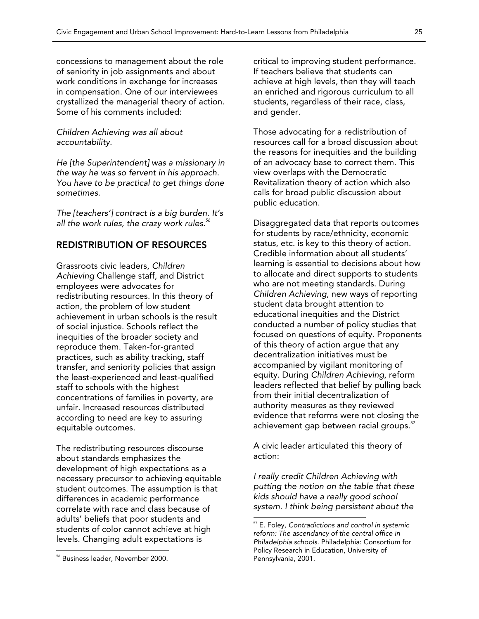concessions to management about the role of seniority in job assignments and about work conditions in exchange for increases in compensation. One of our interviewees crystallized the managerial theory of action. Some of his comments included:

*Children Achieving was all about accountability.* 

*He [the Superintendent] was a missionary in the way he was so fervent in his approach. You have to be practical to get things done sometimes.* 

*The [teachers'] contract is a big burden. It's all the work rules, the crazy work rules.56*

#### REDISTRIBUTION OF RESOURCES

Grassroots civic leaders, *Children Achieving* Challenge staff, and District employees were advocates for redistributing resources. In this theory of action, the problem of low student achievement in urban schools is the result of social injustice. Schools reflect the inequities of the broader society and reproduce them. Taken-for-granted practices, such as ability tracking, staff transfer, and seniority policies that assign the least-experienced and least-qualified staff to schools with the highest concentrations of families in poverty, are unfair. Increased resources distributed according to need are key to assuring equitable outcomes.

The redistributing resources discourse about standards emphasizes the development of high expectations as a necessary precursor to achieving equitable student outcomes. The assumption is that differences in academic performance correlate with race and class because of adults' beliefs that poor students and students of color cannot achieve at high levels. Changing adult expectations is

 $\overline{a}$ 

critical to improving student performance. If teachers believe that students can achieve at high levels, then they will teach an enriched and rigorous curriculum to all students, regardless of their race, class, and gender.

Those advocating for a redistribution of resources call for a broad discussion about the reasons for inequities and the building of an advocacy base to correct them. This view overlaps with the Democratic Revitalization theory of action which also calls for broad public discussion about public education.

Disaggregated data that reports outcomes for students by race/ethnicity, economic status, etc. is key to this theory of action. Credible information about all students' learning is essential to decisions about how to allocate and direct supports to students who are not meeting standards. During *Children Achieving,* new ways of reporting student data brought attention to educational inequities and the District conducted a number of policy studies that focused on questions of equity. Proponents of this theory of action argue that any decentralization initiatives must be accompanied by vigilant monitoring of equity. During *Children Achieving*, reform leaders reflected that belief by pulling back from their initial decentralization of authority measures as they reviewed evidence that reforms were not closing the achievement gap between racial groups.<sup>57</sup>

A civic leader articulated this theory of action:

*I really credit Children Achieving with putting the notion on the table that these kids should have a really good school system. I think being persistent about the* 

<sup>56</sup> Business leader, November 2000.

<sup>57</sup> E. Foley, *Contradictions and control in systemic reform: The ascendancy of the central office in Philadelphia schools*. Philadelphia: Consortium for Policy Research in Education, University of Pennsylvania, 2001.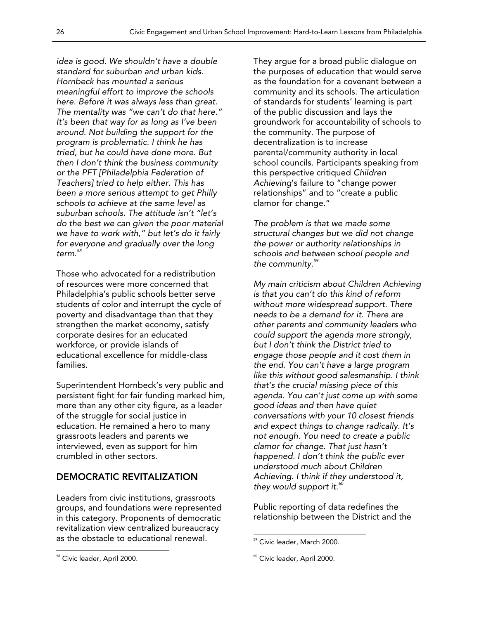*idea is good. We shouldn't have a double standard for suburban and urban kids. Hornbeck has mounted a serious meaningful effort to improve the schools here. Before it was always less than great. The mentality was "we can't do that here." It's been that way for as long as I've been around. Not building the support for the program is problematic. I think he has tried, but he could have done more. But then I don't think the business community or the PFT [Philadelphia Federation of Teachers] tried to help either. This has been a more serious attempt to get Philly schools to achieve at the same level as suburban schools. The attitude isn't "let's do the best we can given the poor material we have to work with," but let's do it fairly for everyone and gradually over the long term.<sup>58</sup>*

Those who advocated for a redistribution of resources were more concerned that Philadelphia's public schools better serve students of color and interrupt the cycle of poverty and disadvantage than that they strengthen the market economy, satisfy corporate desires for an educated workforce, or provide islands of educational excellence for middle-class families.

Superintendent Hornbeck's very public and persistent fight for fair funding marked him, more than any other city figure, as a leader of the struggle for social justice in education. He remained a hero to many grassroots leaders and parents we interviewed, even as support for him crumbled in other sectors.

### DEMOCRATIC REVITALIZATION

Leaders from civic institutions, grassroots groups, and foundations were represented in this category. Proponents of democratic revitalization view centralized bureaucracy as the obstacle to educational renewal.

 $\overline{a}$ 

They argue for a broad public dialogue on the purposes of education that would serve as the foundation for a covenant between a community and its schools. The articulation of standards for students' learning is part of the public discussion and lays the groundwork for accountability of schools to the community. The purpose of decentralization is to increase parental/community authority in local school councils. Participants speaking from this perspective critiqued *Children Achieving*'s failure to "change power relationships" and to "create a public clamor for change."

*The problem is that we made some structural changes but we did not change the power or authority relationships in schools and between school people and the community.<sup>59</sup>*

*My main criticism about Children Achieving is that you can't do this kind of reform without more widespread support. There needs to be a demand for it. There are other parents and community leaders who could support the agenda more strongly, but I don't think the District tried to engage those people and it cost them in the end. You can't have a large program like this without good salesmanship. I think that's the crucial missing piece of this agenda. You can't just come up with some good ideas and then have quiet conversations with your 10 closest friends and expect things to change radically. It's not enough. You need to create a public clamor for change. That just hasn't happened. I don't think the public ever understood much about Children Achieving. I think if they understood it, they would support it.<sup>60</sup>*

Public reporting of data redefines the relationship between the District and the

<sup>58</sup> Civic leader, April 2000.

<sup>59</sup> Civic leader, March 2000.

<sup>60</sup> Civic leader, April 2000.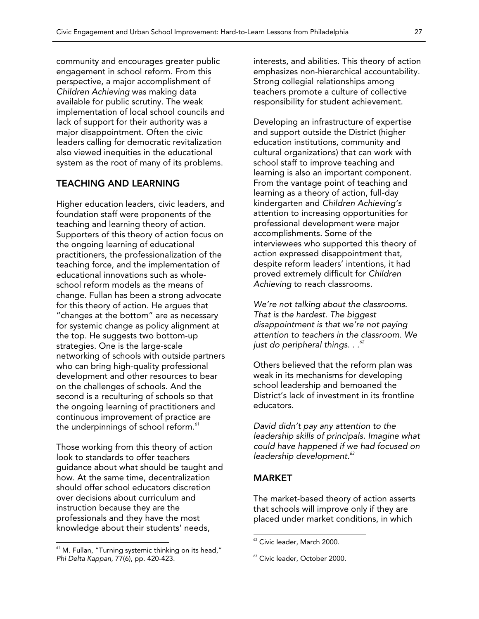community and encourages greater public engagement in school reform. From this perspective, a major accomplishment of *Children Achieving* was making data available for public scrutiny. The weak implementation of local school councils and lack of support for their authority was a major disappointment. Often the civic leaders calling for democratic revitalization also viewed inequities in the educational system as the root of many of its problems.

#### TEACHING AND LEARNING

Higher education leaders, civic leaders, and foundation staff were proponents of the teaching and learning theory of action. Supporters of this theory of action focus on the ongoing learning of educational practitioners, the professionalization of the teaching force, and the implementation of educational innovations such as wholeschool reform models as the means of change. Fullan has been a strong advocate for this theory of action. He argues that "changes at the bottom" are as necessary for systemic change as policy alignment at the top. He suggests two bottom-up strategies. One is the large-scale networking of schools with outside partners who can bring high-quality professional development and other resources to bear on the challenges of schools. And the second is a reculturing of schools so that the ongoing learning of practitioners and continuous improvement of practice are the underpinnings of school reform. $^{\circ\circ}$ 

Those working from this theory of action look to standards to offer teachers guidance about what should be taught and how. At the same time, decentralization should offer school educators discretion over decisions about curriculum and instruction because they are the professionals and they have the most knowledge about their students' needs,

 $\overline{a}$ 

interests, and abilities. This theory of action emphasizes non-hierarchical accountability. Strong collegial relationships among teachers promote a culture of collective responsibility for student achievement.

Developing an infrastructure of expertise and support outside the District (higher education institutions, community and cultural organizations) that can work with school staff to improve teaching and learning is also an important component. From the vantage point of teaching and learning as a theory of action, full-day kindergarten and *Children Achieving's* attention to increasing opportunities for professional development were major accomplishments. Some of the interviewees who supported this theory of action expressed disappointment that, despite reform leaders' intentions, it had proved extremely difficult for *Children Achieving* to reach classrooms.

*We're not talking about the classrooms. That is the hardest. The biggest disappointment is that we're not paying attention to teachers in the classroom. We just do peripheral things. . .<sup>62</sup>*

Others believed that the reform plan was weak in its mechanisms for developing school leadership and bemoaned the District's lack of investment in its frontline educators.

*David didn't pay any attention to the leadership skills of principals. Imagine what could have happened if we had focused on leadership development.<sup>63</sup>*

#### MARKET

 $\overline{a}$ 

The market-based theory of action asserts that schools will improve only if they are placed under market conditions, in which

<sup>&</sup>lt;sup>61</sup> M. Fullan, "Turning systemic thinking on its head," *Phi Delta Kappan*, 77(6), pp. 420-423.

<sup>&</sup>lt;sup>62</sup> Civic leader, March 2000.

<sup>&</sup>lt;sup>63</sup> Civic leader, October 2000.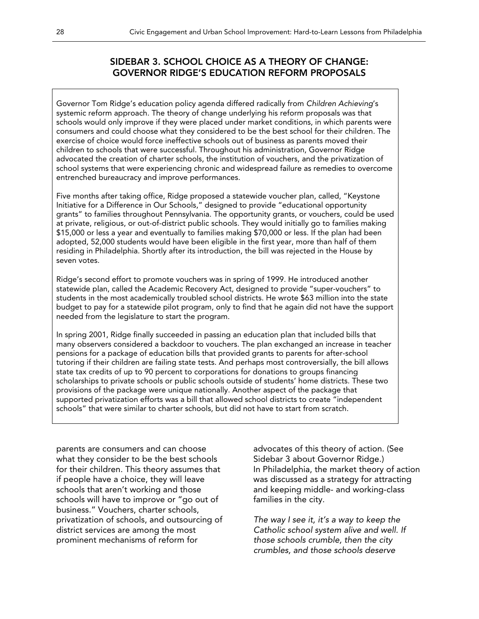### SIDEBAR 3. SCHOOL CHOICE AS A THEORY OF CHANGE: GOVERNOR RIDGE'S EDUCATION REFORM PROPOSALS

Governor Tom Ridge's education policy agenda differed radically from *Children Achieving*'s systemic reform approach. The theory of change underlying his reform proposals was that schools would only improve if they were placed under market conditions, in which parents were consumers and could choose what they considered to be the best school for their children. The exercise of choice would force ineffective schools out of business as parents moved their children to schools that were successful. Throughout his administration, Governor Ridge advocated the creation of charter schools, the institution of vouchers, and the privatization of school systems that were experiencing chronic and widespread failure as remedies to overcome entrenched bureaucracy and improve performances.

Five months after taking office, Ridge proposed a statewide voucher plan, called, "Keystone Initiative for a Difference in Our Schools," designed to provide "educational opportunity grants" to families throughout Pennsylvania. The opportunity grants, or vouchers, could be used at private, religious, or out-of-district public schools. They would initially go to families making \$15,000 or less a year and eventually to families making \$70,000 or less. If the plan had been adopted, 52,000 students would have been eligible in the first year, more than half of them residing in Philadelphia. Shortly after its introduction, the bill was rejected in the House by seven votes.

Ridge's second effort to promote vouchers was in spring of 1999. He introduced another statewide plan, called the Academic Recovery Act, designed to provide "super-vouchers" to students in the most academically troubled school districts. He wrote \$63 million into the state budget to pay for a statewide pilot program, only to find that he again did not have the support needed from the legislature to start the program.

In spring 2001, Ridge finally succeeded in passing an education plan that included bills that many observers considered a backdoor to vouchers. The plan exchanged an increase in teacher pensions for a package of education bills that provided grants to parents for after-school tutoring if their children are failing state tests. And perhaps most controversially, the bill allows state tax credits of up to 90 percent to corporations for donations to groups financing scholarships to private schools or public schools outside of students' home districts. These two provisions of the package were unique nationally. Another aspect of the package that supported privatization efforts was a bill that allowed school districts to create "independent schools" that were similar to charter schools, but did not have to start from scratch.

parents are consumers and can choose what they consider to be the best schools for their children. This theory assumes that if people have a choice, they will leave schools that aren't working and those schools will have to improve or "go out of business." Vouchers, charter schools, privatization of schools, and outsourcing of district services are among the most prominent mechanisms of reform for

advocates of this theory of action. (See Sidebar 3 about Governor Ridge.) In Philadelphia, the market theory of action was discussed as a strategy for attracting and keeping middle- and working-class families in the city.

*The way I see it, it's a way to keep the Catholic school system alive and well. If those schools crumble, then the city crumbles, and those schools deserve*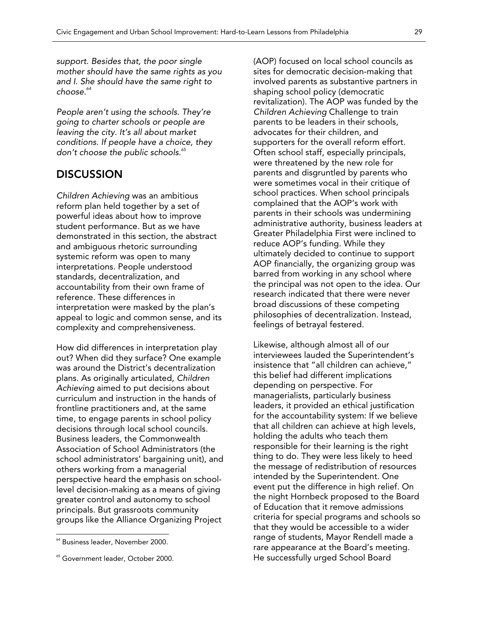*support. Besides that, the poor single mother should have the same rights as you and I. She should have the same right to choose.<sup>64</sup>*

*People aren't using the schools. They're going to charter schools or people are leaving the city. It's all about market conditions. If people have a choice, they don't choose the public schools.<sup>65</sup>*

### **DISCUSSION**

*Children Achieving* was an ambitious reform plan held together by a set of powerful ideas about how to improve student performance. But as we have demonstrated in this section, the abstract and ambiguous rhetoric surrounding systemic reform was open to many interpretations. People understood standards, decentralization, and accountability from their own frame of reference. These differences in interpretation were masked by the plan's appeal to logic and common sense, and its complexity and comprehensiveness.

How did differences in interpretation play out? When did they surface? One example was around the District's decentralization plans. As originally articulated, *Children Achieving* aimed to put decisions about curriculum and instruction in the hands of frontline practitioners and, at the same time, to engage parents in school policy decisions through local school councils. Business leaders, the Commonwealth Association of School Administrators (the school administrators' bargaining unit), and others working from a managerial perspective heard the emphasis on schoollevel decision-making as a means of giving greater control and autonomy to school principals. But grassroots community groups like the Alliance Organizing Project

 $\overline{a}$ 

(AOP) focused on local school councils as sites for democratic decision-making that involved parents as substantive partners in shaping school policy (democratic revitalization). The AOP was funded by the *Children Achieving* Challenge to train parents to be leaders in their schools, advocates for their children, and supporters for the overall reform effort. Often school staff, especially principals, were threatened by the new role for parents and disgruntled by parents who were sometimes vocal in their critique of school practices. When school principals complained that the AOP's work with parents in their schools was undermining administrative authority, business leaders at Greater Philadelphia First were inclined to reduce AOP's funding. While they ultimately decided to continue to support AOP financially, the organizing group was barred from working in any school where the principal was not open to the idea. Our research indicated that there were never broad discussions of these competing philosophies of decentralization. Instead, feelings of betrayal festered.

Likewise, although almost all of our interviewees lauded the Superintendent's insistence that "all children can achieve," this belief had different implications depending on perspective. For managerialists, particularly business leaders, it provided an ethical justification for the accountability system: If we believe that all children can achieve at high levels, holding the adults who teach them responsible for their learning is the right thing to do. They were less likely to heed the message of redistribution of resources intended by the Superintendent. One event put the difference in high relief. On the night Hornbeck proposed to the Board of Education that it remove admissions criteria for special programs and schools so that they would be accessible to a wider range of students, Mayor Rendell made a rare appearance at the Board's meeting. He successfully urged School Board

<sup>64</sup> Business leader, November 2000.

<sup>&</sup>lt;sup>65</sup> Government leader, October 2000.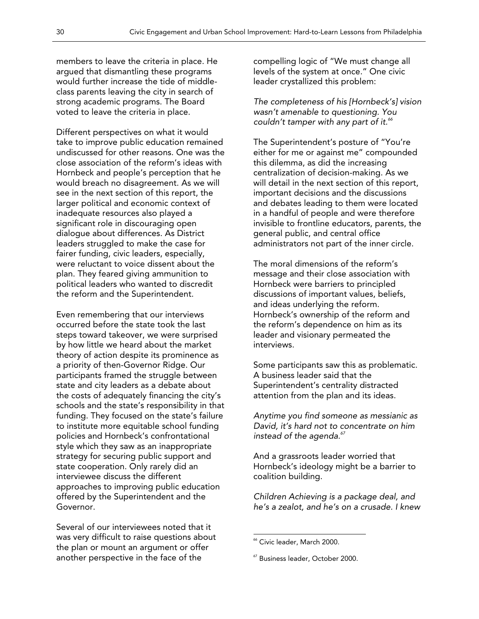members to leave the criteria in place. He argued that dismantling these programs would further increase the tide of middleclass parents leaving the city in search of strong academic programs. The Board voted to leave the criteria in place.

Different perspectives on what it would take to improve public education remained undiscussed for other reasons. One was the close association of the reform's ideas with Hornbeck and people's perception that he would breach no disagreement. As we will see in the next section of this report, the larger political and economic context of inadequate resources also played a significant role in discouraging open dialogue about differences. As District leaders struggled to make the case for fairer funding, civic leaders, especially, were reluctant to voice dissent about the plan. They feared giving ammunition to political leaders who wanted to discredit the reform and the Superintendent.

Even remembering that our interviews occurred before the state took the last steps toward takeover, we were surprised by how little we heard about the market theory of action despite its prominence as a priority of then-Governor Ridge. Our participants framed the struggle between state and city leaders as a debate about the costs of adequately financing the city's schools and the state's responsibility in that funding. They focused on the state's failure to institute more equitable school funding policies and Hornbeck's confrontational style which they saw as an inappropriate strategy for securing public support and state cooperation. Only rarely did an interviewee discuss the different approaches to improving public education offered by the Superintendent and the Governor.

Several of our interviewees noted that it was very difficult to raise questions about the plan or mount an argument or offer another perspective in the face of the

compelling logic of "We must change all levels of the system at once." One civic leader crystallized this problem:

*The completeness of his [Hornbeck's] vision wasn't amenable to questioning. You couldn't tamper with any part of it.<sup>66</sup>* 

The Superintendent's posture of "You're either for me or against me" compounded this dilemma, as did the increasing centralization of decision-making. As we will detail in the next section of this report, important decisions and the discussions and debates leading to them were located in a handful of people and were therefore invisible to frontline educators, parents, the general public, and central office administrators not part of the inner circle.

The moral dimensions of the reform's message and their close association with Hornbeck were barriers to principled discussions of important values, beliefs, and ideas underlying the reform. Hornbeck's ownership of the reform and the reform's dependence on him as its leader and visionary permeated the interviews.

Some participants saw this as problematic. A business leader said that the Superintendent's centrality distracted attention from the plan and its ideas.

*Anytime you find someone as messianic as David, it's hard not to concentrate on him instead of the agenda.<sup>67</sup>*

And a grassroots leader worried that Hornbeck's ideology might be a barrier to coalition building.

*Children Achieving is a package deal, and he's a zealot, and he's on a crusade. I knew* 

<sup>66</sup> Civic leader, March 2000.

<sup>67</sup> Business leader, October 2000.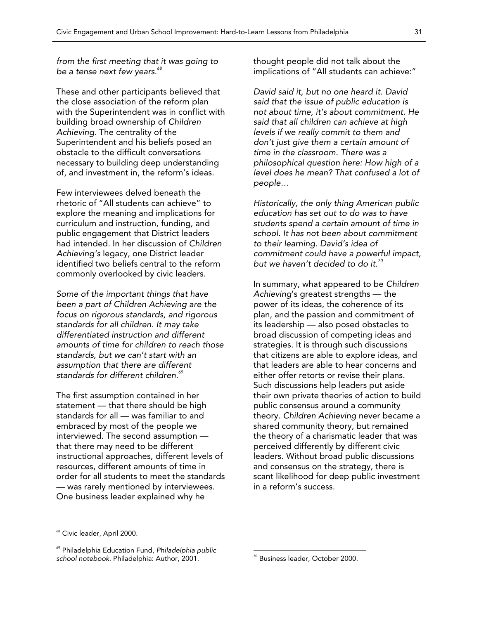*from the first meeting that it was going to be a tense next few years.<sup>68</sup>* 

These and other participants believed that the close association of the reform plan with the Superintendent was in conflict with building broad ownership of *Children Achieving.* The centrality of the Superintendent and his beliefs posed an obstacle to the difficult conversations necessary to building deep understanding of, and investment in, the reform's ideas.

Few interviewees delved beneath the rhetoric of "All students can achieve" to explore the meaning and implications for curriculum and instruction, funding, and public engagement that District leaders had intended. In her discussion of *Children Achieving's* legacy, one District leader identified two beliefs central to the reform commonly overlooked by civic leaders.

*Some of the important things that have been a part of Children Achieving are the focus on rigorous standards, and rigorous standards for all children. It may take differentiated instruction and different amounts of time for children to reach those standards, but we can't start with an assumption that there are different standards for different children.69*

The first assumption contained in her statement — that there should be high standards for all — was familiar to and embraced by most of the people we interviewed. The second assumption that there may need to be different instructional approaches, different levels of resources, different amounts of time in order for all students to meet the standards — was rarely mentioned by interviewees. One business leader explained why he

thought people did not talk about the implications of "All students can achieve:"

*David said it, but no one heard it. David said that the issue of public education is not about time, it's about commitment. He said that all children can achieve at high levels if we really commit to them and don't just give them a certain amount of time in the classroom. There was a philosophical question here: How high of a level does he mean? That confused a lot of people…* 

*Historically, the only thing American public education has set out to do was to have students spend a certain amount of time in school. It has not been about commitment to their learning. David's idea of commitment could have a powerful impact, but we haven't decided to do it.<sup>70</sup>*

In summary, what appeared to be *Children Achieving*'s greatest strengths — the power of its ideas, the coherence of its plan, and the passion and commitment of its leadership — also posed obstacles to broad discussion of competing ideas and strategies. It is through such discussions that citizens are able to explore ideas, and that leaders are able to hear concerns and either offer retorts or revise their plans. Such discussions help leaders put aside their own private theories of action to build public consensus around a community theory. *Children Achieving* never became a shared community theory, but remained the theory of a charismatic leader that was perceived differently by different civic leaders. Without broad public discussions and consensus on the strategy, there is scant likelihood for deep public investment in a reform's success.

 $\overline{a}$ 

<sup>&</sup>lt;sup>68</sup> Civic leader, April 2000.

<sup>69</sup> Philadelphia Education Fund, *Philadelphia public school notebook*. Philadelphia: Author, 2001.

<sup>70</sup> Business leader, October 2000.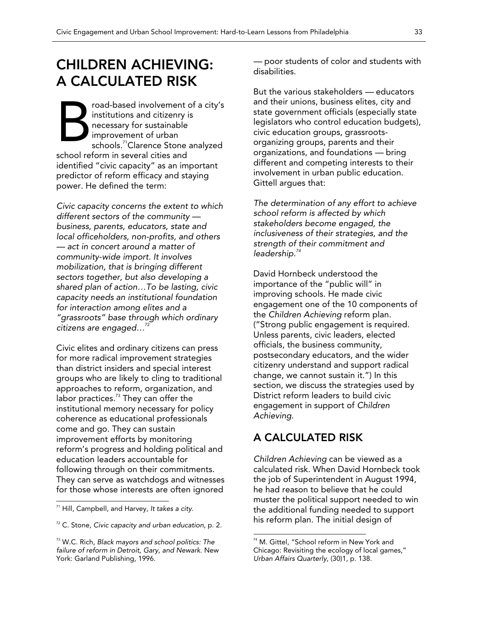## CHILDREN ACHIEVING: A CALCULATED RISK

road-based involvement of a city's institutions and citizenry is necessary for sustainable improvement of urban schools.<sup>71</sup>Clarence Stone analyzed school reform in several cities and identified "civic capacity" as an important predictor of reform efficacy and staying power. He defined the term: B

*Civic capacity concerns the extent to which different sectors of the community business, parents, educators, state and local officeholders, non-profits, and others — act in concert around a matter of community-wide import. It involves mobilization, that is bringing different sectors together, but also developing a shared plan of action…To be lasting, civic capacity needs an institutional foundation for interaction among elites and a "grassroots" base through which ordinary citizens are engaged…*<sup>72</sup>

Civic elites and ordinary citizens can press for more radical improvement strategies than district insiders and special interest groups who are likely to cling to traditional approaches to reform, organization, and labor practices. $73$  They can offer the institutional memory necessary for policy coherence as educational professionals come and go. They can sustain improvement efforts by monitoring reform's progress and holding political and education leaders accountable for following through on their commitments. They can serve as watchdogs and witnesses for those whose interests are often ignored

 $\overline{a}$ 

*—* poor students of color and students with disabilities.

But the various stakeholders *—* educators and their unions, business elites, city and state government officials (especially state legislators who control education budgets), civic education groups, grassrootsorganizing groups, parents and their organizations, and foundations *—* bring different and competing interests to their involvement in urban public education. Gittell argues that:

*The determination of any effort to achieve school reform is affected by which stakeholders become engaged, the inclusiveness of their strategies, and the strength of their commitment and leadership.<sup>74</sup>*

David Hornbeck understood the importance of the "public will" in improving schools. He made civic engagement one of the 10 components of the *Children Achieving* reform plan. ("Strong public engagement is required. Unless parents, civic leaders, elected officials, the business community, postsecondary educators, and the wider citizenry understand and support radical change, we cannot sustain it.") In this section, we discuss the strategies used by District reform leaders to build civic engagement in support of *Children Achieving*.

### A CALCULATED RISK

 $\overline{a}$ 

*Children Achieving* can be viewed as a calculated risk. When David Hornbeck took the job of Superintendent in August 1994, he had reason to believe that he could muster the political support needed to win the additional funding needed to support his reform plan. The initial design of

<sup>71</sup> Hill, Campbell, and Harvey, *It takes a city*.

<sup>72</sup> C. Stone, *Civic capacity and urban education*, p. 2.

<sup>73</sup> W.C. Rich, *Black mayors and school politics: The failure of reform in Detroit, Gary, and Newark*. New York: Garland Publishing, 1996.

<sup>&</sup>lt;sup>74</sup> M. Gittel, "School reform in New York and Chicago: Revisiting the ecology of local games," *Urban Affairs Quarterly*, (30)1, p. 138.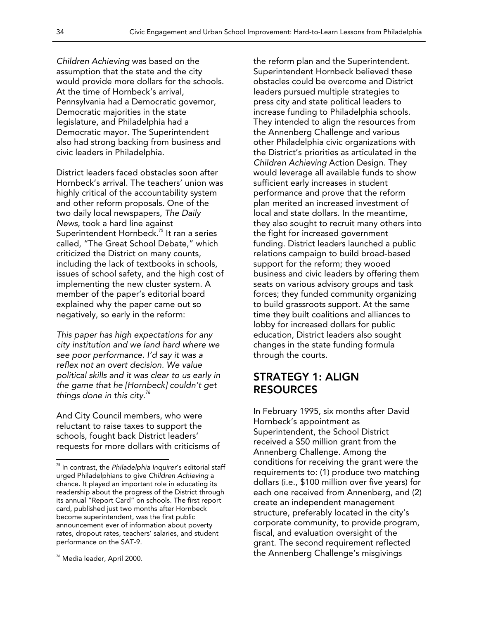*Children Achieving* was based on the assumption that the state and the city would provide more dollars for the schools. At the time of Hornbeck's arrival, Pennsylvania had a Democratic governor, Democratic majorities in the state legislature, and Philadelphia had a Democratic mayor. The Superintendent also had strong backing from business and civic leaders in Philadelphia.

District leaders faced obstacles soon after Hornbeck's arrival. The teachers' union was highly critical of the accountability system and other reform proposals. One of the two daily local newspapers, *The Daily News*, took a hard line against Superintendent Hornbeck.<sup>75</sup> It ran a series called, "The Great School Debate," which criticized the District on many counts, including the lack of textbooks in schools, issues of school safety, and the high cost of implementing the new cluster system. A member of the paper's editorial board explained why the paper came out so negatively, so early in the reform:

*This paper has high expectations for any city institution and we land hard where we see poor performance. I'd say it was a reflex not an overt decision. We value political skills and it was clear to us early in the game that he [Hornbeck] couldn't get things done in this city.*<sup>76</sup>

And City Council members, who were reluctant to raise taxes to support the schools, fought back District leaders' requests for more dollars with criticisms of the reform plan and the Superintendent. Superintendent Hornbeck believed these obstacles could be overcome and District leaders pursued multiple strategies to press city and state political leaders to increase funding to Philadelphia schools. They intended to align the resources from the Annenberg Challenge and various other Philadelphia civic organizations with the District's priorities as articulated in the *Children Achieving* Action Design. They would leverage all available funds to show sufficient early increases in student performance and prove that the reform plan merited an increased investment of local and state dollars. In the meantime, they also sought to recruit many others into the fight for increased government funding. District leaders launched a public relations campaign to build broad-based support for the reform; they wooed business and civic leaders by offering them seats on various advisory groups and task forces; they funded community organizing to build grassroots support. At the same time they built coalitions and alliances to lobby for increased dollars for public education, District leaders also sought changes in the state funding formula through the courts.

### STRATEGY 1: ALIGN RESOURCES

In February 1995, six months after David Hornbeck's appointment as Superintendent, the School District received a \$50 million grant from the Annenberg Challenge. Among the conditions for receiving the grant were the requirements to: (1) produce two matching dollars (i.e., \$100 million over five years) for each one received from Annenberg, and (2) create an independent management structure, preferably located in the city's corporate community, to provide program, fiscal, and evaluation oversight of the grant. The second requirement reflected the Annenberg Challenge's misgivings

<sup>75</sup> In contrast, the *Philadelphia Inquirer*'s editorial staff urged Philadelphians to give *Children Achieving* a chance. It played an important role in educating its readership about the progress of the District through its annual "Report Card" on schools. The first report card, published just two months after Hornbeck become superintendent, was the first public announcement ever of information about poverty rates, dropout rates, teachers' salaries, and student performance on the SAT-9.

<sup>76</sup> Media leader, April 2000.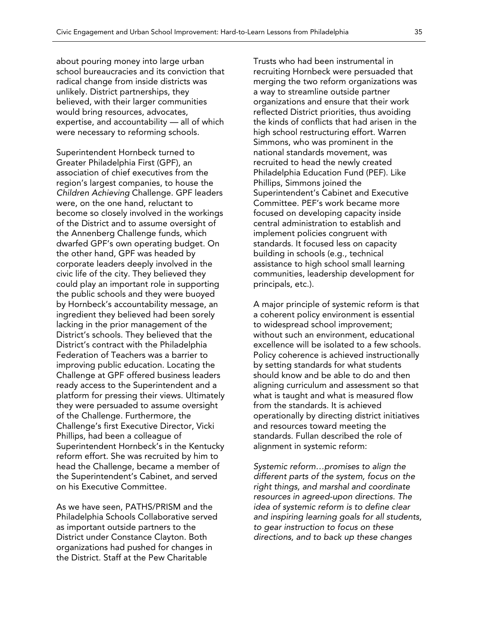about pouring money into large urban school bureaucracies and its conviction that radical change from inside districts was unlikely. District partnerships, they believed, with their larger communities would bring resources, advocates, expertise, and accountability *—* all of which were necessary to reforming schools.

Superintendent Hornbeck turned to Greater Philadelphia First (GPF), an association of chief executives from the region's largest companies, to house the *Children Achieving* Challenge. GPF leaders were, on the one hand, reluctant to become so closely involved in the workings of the District and to assume oversight of the Annenberg Challenge funds, which dwarfed GPF's own operating budget. On the other hand, GPF was headed by corporate leaders deeply involved in the civic life of the city. They believed they could play an important role in supporting the public schools and they were buoyed by Hornbeck's accountability message, an ingredient they believed had been sorely lacking in the prior management of the District's schools. They believed that the District's contract with the Philadelphia Federation of Teachers was a barrier to improving public education. Locating the Challenge at GPF offered business leaders ready access to the Superintendent and a platform for pressing their views. Ultimately they were persuaded to assume oversight of the Challenge. Furthermore, the Challenge's first Executive Director, Vicki Phillips, had been a colleague of Superintendent Hornbeck's in the Kentucky reform effort. She was recruited by him to head the Challenge, became a member of the Superintendent's Cabinet, and served on his Executive Committee.

As we have seen, PATHS/PRISM and the Philadelphia Schools Collaborative served as important outside partners to the District under Constance Clayton. Both organizations had pushed for changes in the District. Staff at the Pew Charitable

Trusts who had been instrumental in recruiting Hornbeck were persuaded that merging the two reform organizations was a way to streamline outside partner organizations and ensure that their work reflected District priorities, thus avoiding the kinds of conflicts that had arisen in the high school restructuring effort. Warren Simmons, who was prominent in the national standards movement, was recruited to head the newly created Philadelphia Education Fund (PEF). Like Phillips, Simmons joined the Superintendent's Cabinet and Executive Committee. PEF's work became more focused on developing capacity inside central administration to establish and implement policies congruent with standards. It focused less on capacity building in schools (e.g., technical assistance to high school small learning communities, leadership development for principals, etc.).

A major principle of systemic reform is that a coherent policy environment is essential to widespread school improvement; without such an environment, educational excellence will be isolated to a few schools. Policy coherence is achieved instructionally by setting standards for what students should know and be able to do and then aligning curriculum and assessment so that what is taught and what is measured flow from the standards. It is achieved operationally by directing district initiatives and resources toward meeting the standards. Fullan described the role of alignment in systemic reform:

*Systemic reform…promises to align the different parts of the system, focus on the right things, and marshal and coordinate resources in agreed-upon directions. The idea of systemic reform is to define clear and inspiring learning goals for all students, to gear instruction to focus on these directions, and to back up these changes*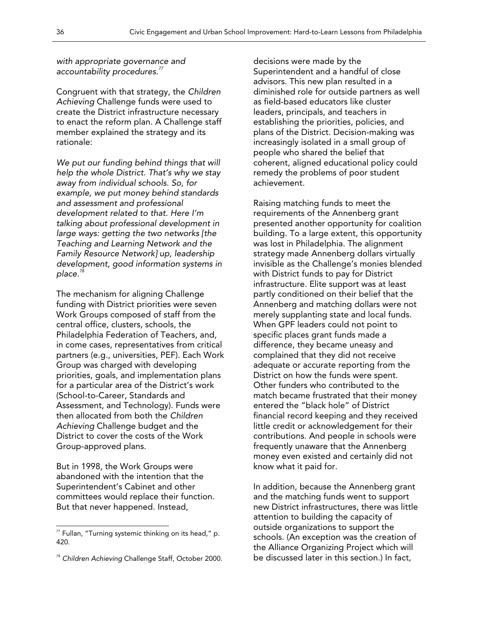*with appropriate governance and accountability procedures.<sup>77</sup>*

Congruent with that strategy, the *Children Achieving* Challenge funds were used to create the District infrastructure necessary to enact the reform plan. A Challenge staff member explained the strategy and its rationale:

*We put our funding behind things that will help the whole District. That's why we stay away from individual schools. So, for example, we put money behind standards and assessment and professional development related to that. Here I'm talking about professional development in large ways: getting the two networks [the Teaching and Learning Network and the Family Resource Network] up, leadership development, good information systems in place.<sup>78</sup>*

The mechanism for aligning Challenge funding with District priorities were seven Work Groups composed of staff from the central office, clusters, schools, the Philadelphia Federation of Teachers, and, in come cases, representatives from critical partners (e.g., universities, PEF). Each Work Group was charged with developing priorities, goals, and implementation plans for a particular area of the District's work (School-to-Career, Standards and Assessment, and Technology). Funds were then allocated from both the *Children Achieving* Challenge budget and the District to cover the costs of the Work Group-approved plans.

But in 1998, the Work Groups were abandoned with the intention that the Superintendent's Cabinet and other committees would replace their function. But that never happened. Instead,

 $\overline{a}$ 

decisions were made by the Superintendent and a handful of close advisors. This new plan resulted in a diminished role for outside partners as well as field-based educators like cluster leaders, principals, and teachers in establishing the priorities, policies, and plans of the District. Decision-making was increasingly isolated in a small group of people who shared the belief that coherent, aligned educational policy could remedy the problems of poor student achievement.

Raising matching funds to meet the requirements of the Annenberg grant presented another opportunity for coalition building. To a large extent, this opportunity was lost in Philadelphia. The alignment strategy made Annenberg dollars virtually invisible as the Challenge's monies blended with District funds to pay for District infrastructure. Elite support was at least partly conditioned on their belief that the Annenberg and matching dollars were not merely supplanting state and local funds. When GPF leaders could not point to specific places grant funds made a difference, they became uneasy and complained that they did not receive adequate or accurate reporting from the District on how the funds were spent. Other funders who contributed to the match became frustrated that their money entered the "black hole" of District financial record keeping and they received little credit or acknowledgement for their contributions. And people in schools were frequently unaware that the Annenberg money even existed and certainly did not know what it paid for.

In addition, because the Annenberg grant and the matching funds went to support new District infrastructures, there was little attention to building the capacity of outside organizations to support the schools. (An exception was the creation of the Alliance Organizing Project which will be discussed later in this section.) In fact,

 $77$  Fullan, "Turning systemic thinking on its head," p. 420.

<sup>78</sup> *Children Achieving* Challenge Staff, October 2000.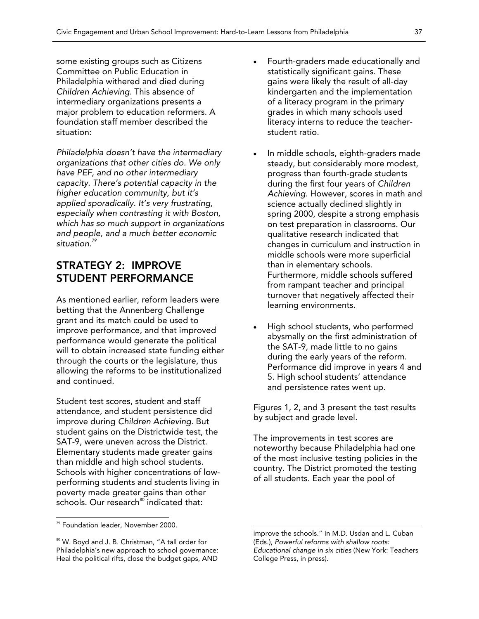some existing groups such as Citizens Committee on Public Education in Philadelphia withered and died during *Children Achieving*. This absence of intermediary organizations presents a major problem to education reformers. A foundation staff member described the situation:

*Philadelphia doesn't have the intermediary organizations that other cities do. We only have PEF, and no other intermediary capacity. There's potential capacity in the higher education community, but it's applied sporadically. It's very frustrating, especially when contrasting it with Boston, which has so much support in organizations and people, and a much better economic situation.<sup>79</sup>*

### STRATEGY 2: IMPROVE STUDENT PERFORMANCE

As mentioned earlier, reform leaders were betting that the Annenberg Challenge grant and its match could be used to improve performance, and that improved performance would generate the political will to obtain increased state funding either through the courts or the legislature, thus allowing the reforms to be institutionalized and continued.

Student test scores, student and staff attendance, and student persistence did improve during *Children Achieving.* But student gains on the Districtwide test, the SAT-9, were uneven across the District. Elementary students made greater gains than middle and high school students. Schools with higher concentrations of lowperforming students and students living in poverty made greater gains than other schools. Our research<sup>80</sup> indicated that:

 $\overline{\phantom{a}}$ 

- Fourth-graders made educationally and statistically significant gains. These gains were likely the result of all-day kindergarten and the implementation of a literacy program in the primary grades in which many schools used literacy interns to reduce the teacherstudent ratio.
- In middle schools, eighth-graders made steady, but considerably more modest, progress than fourth-grade students during the first four years of *Children Achieving*. However, scores in math and science actually declined slightly in spring 2000, despite a strong emphasis on test preparation in classrooms. Our qualitative research indicated that changes in curriculum and instruction in middle schools were more superficial than in elementary schools. Furthermore, middle schools suffered from rampant teacher and principal turnover that negatively affected their learning environments.
- High school students, who performed abysmally on the first administration of the SAT-9, made little to no gains during the early years of the reform. Performance did improve in years 4 and 5. High school students' attendance and persistence rates went up.

Figures 1, 2, and 3 present the test results by subject and grade level.

The improvements in test scores are noteworthy because Philadelphia had one of the most inclusive testing policies in the country. The District promoted the testing of all students. Each year the pool of

<sup>79</sup> Foundation leader, November 2000.

<sup>&</sup>lt;sup>80</sup> W. Boyd and J. B. Christman, "A tall order for Philadelphia's new approach to school governance: Heal the political rifts, close the budget gaps, AND

improve the schools." In M.D. Usdan and L. Cuban (Eds.), *Powerful reforms with shallow roots: Educational change in six cities* (New York: Teachers College Press, in press).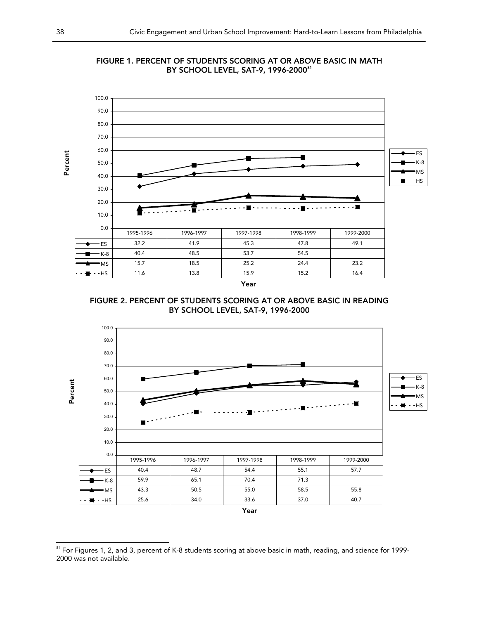



FIGURE 2. PERCENT OF STUDENTS SCORING AT OR ABOVE BASIC IN READING BY SCHOOL LEVEL, SAT-9, 1996-2000



<sup>&</sup>lt;sup>81</sup> For Figures 1, 2, and 3, percent of K-8 students scoring at above basic in math, reading, and science for 1999-2000 was not available.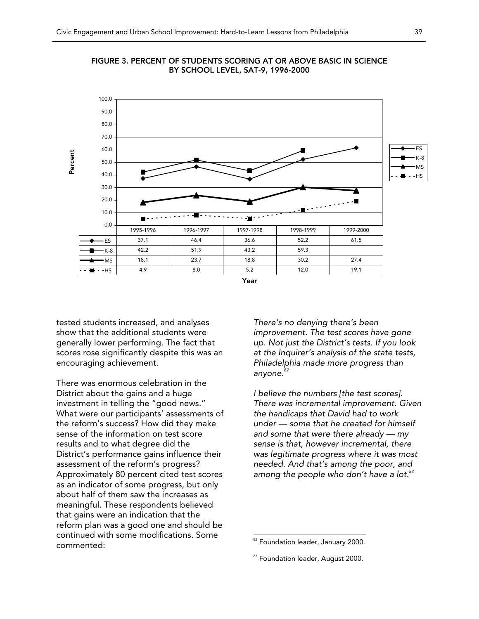



tested students increased, and analyses show that the additional students were generally lower performing. The fact that scores rose significantly despite this was an encouraging achievement.

There was enormous celebration in the District about the gains and a huge investment in telling the "good news." What were our participants' assessments of the reform's success? How did they make sense of the information on test score results and to what degree did the District's performance gains influence their assessment of the reform's progress? Approximately 80 percent cited test scores as an indicator of some progress, but only about half of them saw the increases as meaningful. These respondents believed that gains were an indication that the reform plan was a good one and should be continued with some modifications. Some commented:

*There's no denying there's been improvement. The test scores have gone up. Not just the District's tests. If you look at the Inquirer's analysis of the state tests, Philadelphia made more progress than anyone.<sup>82</sup>*

*I believe the numbers [the test scores]. There was incremental improvement. Given the handicaps that David had to work under — some that he created for himself and some that were there already — my sense is that, however incremental, there was legitimate progress where it was most needed. And that's among the poor, and among the people who don't have a lot.83*

<sup>&</sup>lt;sup>82</sup> Foundation leader, January 2000.

<sup>&</sup>lt;sup>83</sup> Foundation leader, August 2000.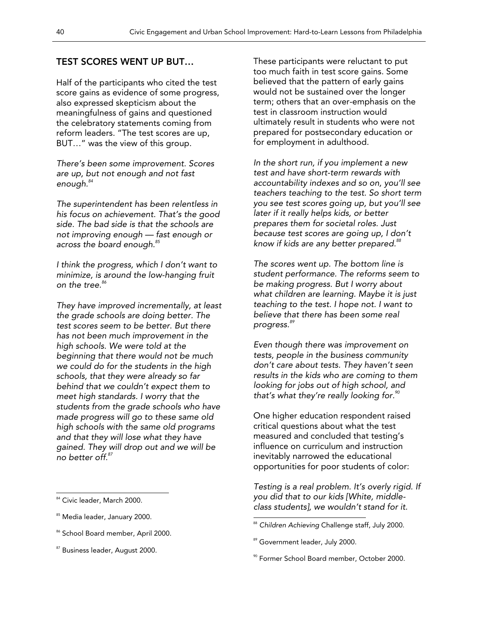#### TEST SCORES WENT UP BUT…

Half of the participants who cited the test score gains as evidence of some progress, also expressed skepticism about the meaningfulness of gains and questioned the celebratory statements coming from reform leaders. "The test scores are up, BUT…" was the view of this group.

*There's been some improvement. Scores are up, but not enough and not fast enough.<sup>84</sup>*

*The superintendent has been relentless in his focus on achievement. That's the good side. The bad side is that the schools are not improving enough — fast enough or across the board enough.85*

*I think the progress, which I don't want to minimize, is around the low-hanging fruit on the tree.<sup>86</sup>*

*They have improved incrementally, at least the grade schools are doing better. The test scores seem to be better. But there has not been much improvement in the high schools. We were told at the beginning that there would not be much we could do for the students in the high schools, that they were already so far behind that we couldn't expect them to meet high standards. I worry that the students from the grade schools who have made progress will go to these same old high schools with the same old programs and that they will lose what they have gained. They will drop out and we will be no better off.<sup>87</sup>*

 $\overline{a}$ 

<sup>86</sup> School Board member, April 2000.

These participants were reluctant to put too much faith in test score gains. Some believed that the pattern of early gains would not be sustained over the longer term; others that an over-emphasis on the test in classroom instruction would ultimately result in students who were not prepared for postsecondary education or for employment in adulthood.

*In the short run, if you implement a new test and have short-term rewards with accountability indexes and so on, you'll see teachers teaching to the test. So short term you see test scores going up, but you'll see later if it really helps kids, or better prepares them for societal roles. Just because test scores are going up, I don't know if kids are any better prepared.<sup>88</sup>*

*The scores went up. The bottom line is student performance. The reforms seem to be making progress. But I worry about what children are learning. Maybe it is just teaching to the test. I hope not. I want to believe that there has been some real progress.<sup>89</sup>*

*Even though there was improvement on tests, people in the business community don't care about tests. They haven't seen results in the kids who are coming to them looking for jobs out of high school, and that's what they're really looking for.90*

One higher education respondent raised critical questions about what the test measured and concluded that testing's influence on curriculum and instruction inevitably narrowed the educational opportunities for poor students of color:

*Testing is a real problem. It's overly rigid. If you did that to our kids [White, middleclass students], we wouldn't stand for it.* 

<sup>&</sup>lt;sup>84</sup> Civic leader, March 2000.

<sup>&</sup>lt;sup>85</sup> Media leader, January 2000.

<sup>&</sup>lt;sup>87</sup> Business leader, August 2000.

<sup>88</sup> *Children Achieving* Challenge staff, July 2000.

<sup>&</sup>lt;sup>89</sup> Government leader, July 2000.

<sup>90</sup> Former School Board member, October 2000.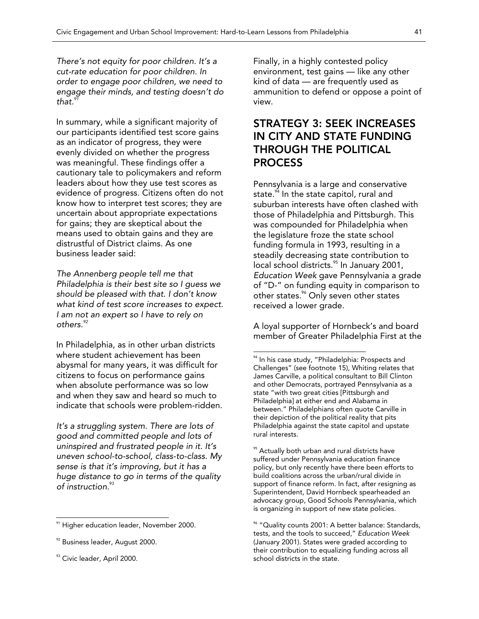*There's not equity for poor children. It's a cut-rate education for poor children. In order to engage poor children, we need to engage their minds, and testing doesn't do*  that.<sup>9</sup>

In summary, while a significant majority of our participants identified test score gains as an indicator of progress, they were evenly divided on whether the progress was meaningful. These findings offer a cautionary tale to policymakers and reform leaders about how they use test scores as evidence of progress. Citizens often do not know how to interpret test scores; they are uncertain about appropriate expectations for gains; they are skeptical about the means used to obtain gains and they are distrustful of District claims. As one business leader said:

*The Annenberg people tell me that Philadelphia is their best site so I guess we should be pleased with that. I don't know what kind of test score increases to expect. I am not an expert so I have to rely on others.<sup>92</sup>*

In Philadelphia, as in other urban districts where student achievement has been abysmal for many years, it was difficult for citizens to focus on performance gains when absolute performance was so low and when they saw and heard so much to indicate that schools were problem-ridden.

*It's a struggling system. There are lots of good and committed people and lots of uninspired and frustrated people in it. It's uneven school-to-school, class-to-class. My sense is that it's improving, but it has a huge distance to go in terms of the quality of instruction.*<sup>93</sup>

 $\overline{\phantom{a}}$ 

Finally, in a highly contested policy environment, test gains — like any other kind of data — are frequently used as ammunition to defend or oppose a point of view.

### STRATEGY 3: SEEK INCREASES IN CITY AND STATE FUNDING THROUGH THE POLITICAL PROCESS

Pennsylvania is a large and conservative state. $^{94}$  In the state capitol, rural and suburban interests have often clashed with those of Philadelphia and Pittsburgh. This was compounded for Philadelphia when the legislature froze the state school funding formula in 1993, resulting in a steadily decreasing state contribution to local school districts.<sup>95</sup> In January 2001, *Education Week* gave Pennsylvania a grade of "D-" on funding equity in comparison to other states.<sup>%</sup> Only seven other states received a lower grade.

A loyal supporter of Hornbeck's and board member of Greater Philadelphia First at the

 $\overline{\phantom{a}}$ 

<sup>95</sup> Actually both urban and rural districts have suffered under Pennsylvania education finance policy, but only recently have there been efforts to build coalitions across the urban/rural divide in support of finance reform. In fact, after resigning as Superintendent, David Hornbeck spearheaded an advocacy group, Good Schools Pennsylvania, which is organizing in support of new state policies.

<sup>&</sup>lt;sup>91</sup> Higher education leader, November 2000.

<sup>&</sup>lt;sup>92</sup> Business leader, August 2000.

<sup>&</sup>lt;sup>93</sup> Civic leader, April 2000.

<sup>&</sup>lt;sup>94</sup> In his case study, "Philadelphia: Prospects and Challenges" (see footnote 15), Whiting relates that James Carville, a political consultant to Bill Clinton and other Democrats, portrayed Pennsylvania as a state "with two great cities [Pittsburgh and Philadelphia] at either end and Alabama in between." Philadelphians often quote Carville in their depiction of the political reality that pits Philadelphia against the state capitol and upstate rural interests.

<sup>&</sup>lt;sup>%</sup> "Quality counts 2001: A better balance: Standards, tests, and the tools to succeed," *Education Week* (January 2001). States were graded according to their contribution to equalizing funding across all school districts in the state.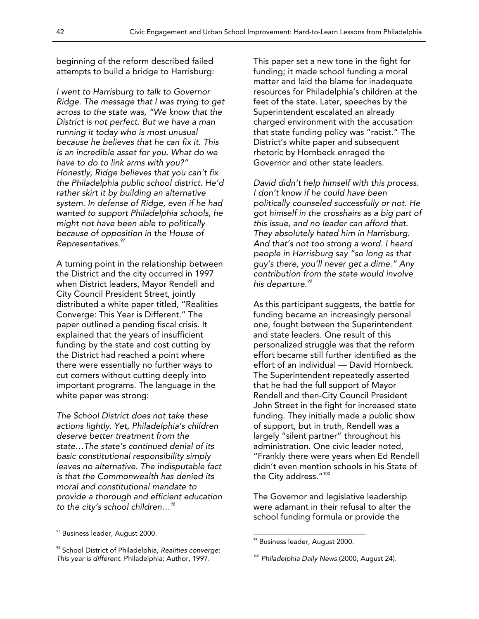beginning of the reform described failed attempts to build a bridge to Harrisburg:

*I went to Harrisburg to talk to Governor Ridge. The message that I was trying to get across to the state was, "We know that the District is not perfect. But we have a man running it today who is most unusual because he believes that he can fix it. This is an incredible asset for you. What do we have to do to link arms with you?" Honestly, Ridge believes that you can't fix the Philadelphia public school district. He'd rather skirt it by building an alternative system. In defense of Ridge, even if he had wanted to support Philadelphia schools, he might not have been able to politically because of opposition in the House of Representatives.<sup>97</sup>*

A turning point in the relationship between the District and the city occurred in 1997 when District leaders, Mayor Rendell and City Council President Street, jointly distributed a white paper titled, "Realities Converge: This Year is Different." The paper outlined a pending fiscal crisis. It explained that the years of insufficient funding by the state and cost cutting by the District had reached a point where there were essentially no further ways to cut corners without cutting deeply into important programs. The language in the white paper was strong:

*The School District does not take these actions lightly. Yet, Philadelphia's children deserve better treatment from the state…The state's continued denial of its basic constitutional responsibility simply leaves no alternative. The indisputable fact is that the Commonwealth has denied its moral and constitutional mandate to provide a thorough and efficient education to the city's school children…98*

 $\overline{\phantom{a}}$ 

This paper set a new tone in the fight for funding; it made school funding a moral matter and laid the blame for inadequate resources for Philadelphia's children at the feet of the state. Later, speeches by the Superintendent escalated an already charged environment with the accusation that state funding policy was "racist." The District's white paper and subsequent rhetoric by Hornbeck enraged the Governor and other state leaders.

*David didn't help himself with this process. I don't know if he could have been politically counseled successfully or not. He got himself in the crosshairs as a big part of this issue, and no leader can afford that. They absolutely hated him in Harrisburg. And that's not too strong a word. I heard people in Harrisburg say "so long as that guy's there, you'll never get a dime." Any contribution from the state would involve his departure.<sup>99</sup>*

As this participant suggests, the battle for funding became an increasingly personal one, fought between the Superintendent and state leaders. One result of this personalized struggle was that the reform effort became still further identified as the effort of an individual — David Hornbeck. The Superintendent repeatedly asserted that he had the full support of Mayor Rendell and then-City Council President John Street in the fight for increased state funding. They initially made a public show of support, but in truth, Rendell was a largely "silent partner" throughout his administration. One civic leader noted, "Frankly there were years when Ed Rendell didn't even mention schools in his State of the City address."<sup>100</sup>

The Governor and legislative leadership were adamant in their refusal to alter the school funding formula or provide the

 $97$  Business leader, August 2000.

<sup>98</sup> School District of Philadelphia, *Realities converge: This year is different*. Philadelphia: Author, 1997.

<sup>99</sup> Business leader, August 2000.

<sup>100</sup> *Philadelphia Daily News* (2000, August 24).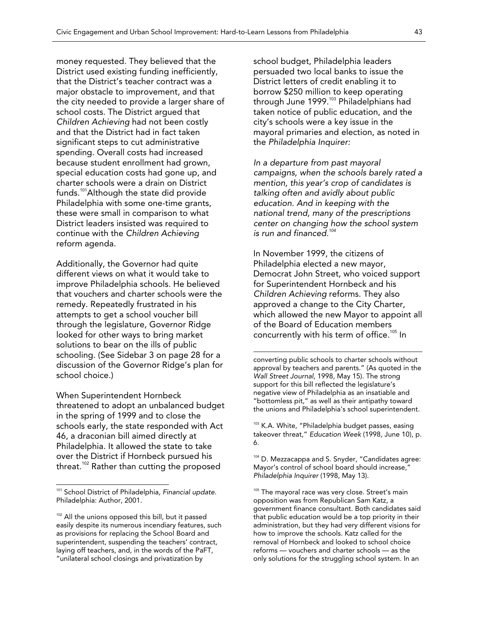money requested. They believed that the District used existing funding inefficiently, that the District's teacher contract was a major obstacle to improvement, and that the city needed to provide a larger share of school costs. The District argued that *Children Achieving* had not been costly and that the District had in fact taken significant steps to cut administrative spending. Overall costs had increased because student enrollment had grown, special education costs had gone up, and charter schools were a drain on District funds.<sup>101</sup> Although the state did provide Philadelphia with some one-time grants, these were small in comparison to what District leaders insisted was required to continue with the *Children Achieving* reform agenda.

Additionally, the Governor had quite different views on what it would take to improve Philadelphia schools. He believed that vouchers and charter schools were the remedy. Repeatedly frustrated in his attempts to get a school voucher bill through the legislature, Governor Ridge looked for other ways to bring market solutions to bear on the ills of public schooling. (See Sidebar 3 on page 28 for a discussion of the Governor Ridge's plan for school choice.)

When Superintendent Hornbeck threatened to adopt an unbalanced budget in the spring of 1999 and to close the schools early, the state responded with Act 46, a draconian bill aimed directly at Philadelphia. It allowed the state to take over the District if Hornbeck pursued his threat.<sup>102</sup> Rather than cutting the proposed

 $\overline{\phantom{a}}$ 

school budget, Philadelphia leaders persuaded two local banks to issue the District letters of credit enabling it to borrow \$250 million to keep operating through June 1999.<sup>103</sup> Philadelphians had taken notice of public education, and the city's schools were a key issue in the mayoral primaries and election, as noted in the *Philadelphia Inquirer:* 

*In a departure from past mayoral campaigns, when the schools barely rated a mention, this year's crop of candidates is talking often and avidly about public education. And in keeping with the national trend, many of the prescriptions center on changing how the school system is run and financed.<sup>104</sup>*

In November 1999, the citizens of Philadelphia elected a new mayor, Democrat John Street, who voiced support for Superintendent Hornbeck and his *Children Achieving* reforms. They also approved a change to the City Charter, which allowed the new Mayor to appoint all of the Board of Education members concurrently with his term of office.<sup>105</sup> In

 $\overline{\phantom{a}}$ 

<sup>103</sup> K.A. White, "Philadelphia budget passes, easing takeover threat," *Education Week* (1998, June 10), p. 6.

104 D. Mezzacappa and S. Snyder, "Candidates agree: Mayor's control of school board should increase," *Philadelphia Inquirer* (1998, May 13).

<sup>101</sup> School District of Philadelphia, *Financial update*. Philadelphia: Author, 2001.

 $102$  All the unions opposed this bill, but it passed easily despite its numerous incendiary features, such as provisions for replacing the School Board and superintendent, suspending the teachers' contract, laying off teachers, and, in the words of the PaFT, "unilateral school closings and privatization by

converting public schools to charter schools without approval by teachers and parents." (As quoted in the *Wall Street Journal*, 1998, May 15). The strong support for this bill reflected the legislature's negative view of Philadelphia as an insatiable and "bottomless pit," as well as their antipathy toward the unions and Philadelphia's school superintendent.

<sup>&</sup>lt;sup>105</sup> The mayoral race was very close. Street's main opposition was from Republican Sam Katz, a government finance consultant. Both candidates said that public education would be a top priority in their administration, but they had very different visions for how to improve the schools. Katz called for the removal of Hornbeck and looked to school choice reforms — vouchers and charter schools — as the only solutions for the struggling school system. In an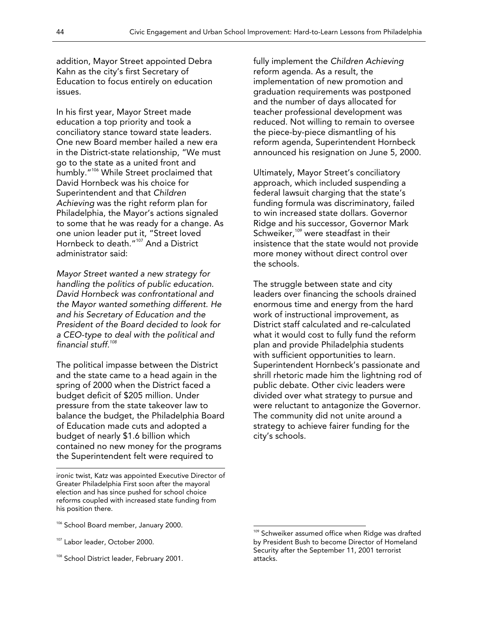addition, Mayor Street appointed Debra Kahn as the city's first Secretary of Education to focus entirely on education issues.

In his first year, Mayor Street made education a top priority and took a conciliatory stance toward state leaders. One new Board member hailed a new era in the District-state relationship, "We must go to the state as a united front and humbly."<sup>106</sup> While Street proclaimed that David Hornbeck was his choice for Superintendent and that *Children Achieving* was the right reform plan for Philadelphia, the Mayor's actions signaled to some that he was ready for a change. As one union leader put it, "Street loved Hornbeck to death."<sup>107</sup> And a District administrator said:

*Mayor Street wanted a new strategy for handling the politics of public education. David Hornbeck was confrontational and the Mayor wanted something different. He and his Secretary of Education and the President of the Board decided to look for a CEO-type to deal with the political and financial stuff.108*

The political impasse between the District and the state came to a head again in the spring of 2000 when the District faced a budget deficit of \$205 million. Under pressure from the state takeover law to balance the budget, the Philadelphia Board of Education made cuts and adopted a budget of nearly \$1.6 billion which contained no new money for the programs the Superintendent felt were required to

<sup>107</sup> Labor leader, October 2000.

 $\overline{\phantom{a}}$ 

<sup>108</sup> School District leader, February 2001.

fully implement the *Children Achieving*  reform agenda. As a result, the implementation of new promotion and graduation requirements was postponed and the number of days allocated for teacher professional development was reduced. Not willing to remain to oversee the piece-by-piece dismantling of his reform agenda, Superintendent Hornbeck announced his resignation on June 5, 2000.

Ultimately, Mayor Street's conciliatory approach, which included suspending a federal lawsuit charging that the state's funding formula was discriminatory, failed to win increased state dollars. Governor Ridge and his successor, Governor Mark Schweiker,<sup>109</sup> were steadfast in their insistence that the state would not provide more money without direct control over the schools.

The struggle between state and city leaders over financing the schools drained enormous time and energy from the hard work of instructional improvement, as District staff calculated and re-calculated what it would cost to fully fund the reform plan and provide Philadelphia students with sufficient opportunities to learn. Superintendent Hornbeck's passionate and shrill rhetoric made him the lightning rod of public debate. Other civic leaders were divided over what strategy to pursue and were reluctant to antagonize the Governor. The community did not unite around a strategy to achieve fairer funding for the city's schools.

ironic twist, Katz was appointed Executive Director of Greater Philadelphia First soon after the mayoral election and has since pushed for school choice reforms coupled with increased state funding from his position there.

<sup>&</sup>lt;sup>106</sup> School Board member, January 2000.

<sup>&</sup>lt;sup>109</sup> Schweiker assumed office when Ridge was drafted by President Bush to become Director of Homeland Security after the September 11, 2001 terrorist attacks.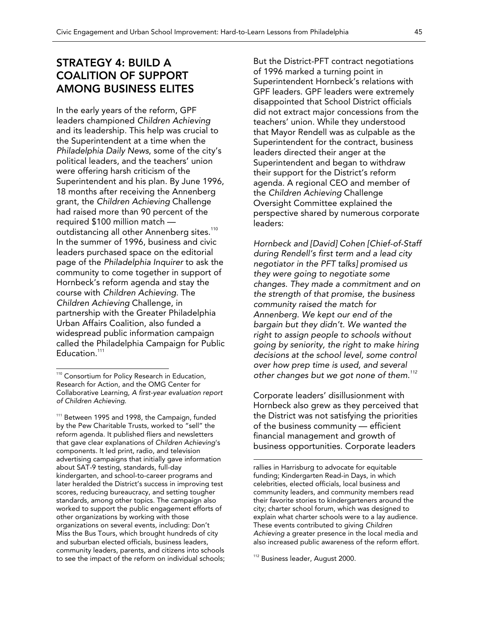### STRATEGY 4: BUILD A COALITION OF SUPPORT AMONG BUSINESS ELITES

In the early years of the reform, GPF leaders championed *Children Achieving*  and its leadership. This help was crucial to the Superintendent at a time when the *Philadelphia Daily News*, some of the city's political leaders, and the teachers' union were offering harsh criticism of the Superintendent and his plan. By June 1996, 18 months after receiving the Annenberg grant, the *Children Achieving* Challenge had raised more than 90 percent of the required \$100 million match outdistancing all other Annenberg sites.<sup>110</sup> In the summer of 1996, business and civic leaders purchased space on the editorial page of the *Philadelphia Inquirer* to ask the community to come together in support of Hornbeck's reform agenda and stay the course with *Children Achieving*. The *Children Achieving* Challenge, in partnership with the Greater Philadelphia Urban Affairs Coalition, also funded a widespread public information campaign called the Philadelphia Campaign for Public Education.<sup>111</sup>

 $\overline{a}$ 

<sup>111</sup> Between 1995 and 1998, the Campaign, funded by the Pew Charitable Trusts, worked to "sell" the reform agenda. It published fliers and newsletters that gave clear explanations of *Children Achieving*'s components. It led print, radio, and television advertising campaigns that initially gave information about SAT-9 testing, standards, full-day kindergarten, and school-to-career programs and later heralded the District's success in improving test scores, reducing bureaucracy, and setting tougher standards, among other topics. The campaign also worked to support the public engagement efforts of other organizations by working with those organizations on several events, including: Don't Miss the Bus Tours, which brought hundreds of city and suburban elected officials, business leaders, community leaders, parents, and citizens into schools to see the impact of the reform on individual schools; But the District-PFT contract negotiations of 1996 marked a turning point in Superintendent Hornbeck's relations with GPF leaders. GPF leaders were extremely disappointed that School District officials did not extract major concessions from the teachers' union. While they understood that Mayor Rendell was as culpable as the Superintendent for the contract, business leaders directed their anger at the Superintendent and began to withdraw their support for the District's reform agenda. A regional CEO and member of the *Children Achieving* Challenge Oversight Committee explained the perspective shared by numerous corporate leaders:

*Hornbeck and [David] Cohen [Chief-of-Staff during Rendell's first term and a lead city negotiator in the PFT talks] promised us they were going to negotiate some changes. They made a commitment and on the strength of that promise, the business community raised the match for Annenberg. We kept our end of the bargain but they didn't. We wanted the right to assign people to schools without going by seniority, the right to make hiring decisions at the school level, some control over how prep time is used, and several other changes but we got none of them.<sup>112</sup>*

Corporate leaders' disillusionment with Hornbeck also grew as they perceived that the District was not satisfying the priorities of the business community — efficient financial management and growth of business opportunities. Corporate leaders

<sup>112</sup> Business leader, August 2000.

<sup>&</sup>lt;sup>110</sup> Consortium for Policy Research in Education, Research for Action, and the OMG Center for Collaborative Learning, *A first-year evaluation report of Children Achieving*.

rallies in Harrisburg to advocate for equitable funding; Kindergarten Read-in Days, in which celebrities, elected officials, local business and community leaders, and community members read their favorite stories to kindergarteners around the city; charter school forum, which was designed to explain what charter schools were to a lay audience. These events contributed to giving *Children Achieving* a greater presence in the local media and also increased public awareness of the reform effort.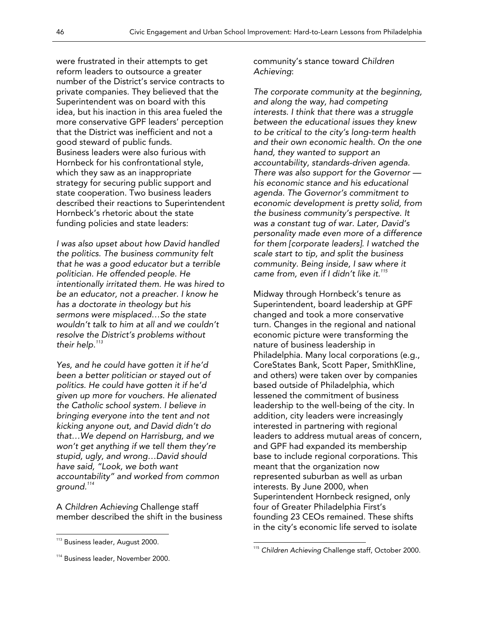were frustrated in their attempts to get reform leaders to outsource a greater number of the District's service contracts to private companies. They believed that the Superintendent was on board with this idea, but his inaction in this area fueled the more conservative GPF leaders' perception that the District was inefficient and not a good steward of public funds. Business leaders were also furious with Hornbeck for his confrontational style, which they saw as an inappropriate strategy for securing public support and state cooperation. Two business leaders described their reactions to Superintendent Hornbeck's rhetoric about the state funding policies and state leaders:

*I was also upset about how David handled the politics. The business community felt that he was a good educator but a terrible politician. He offended people. He intentionally irritated them. He was hired to be an educator, not a preacher. I know he has a doctorate in theology but his sermons were misplaced…So the state wouldn't talk to him at all and we couldn't resolve the District's problems without their help.<sup>113</sup>*

*Yes, and he could have gotten it if he'd been a better politician or stayed out of politics. He could have gotten it if he'd given up more for vouchers. He alienated the Catholic school system. I believe in bringing everyone into the tent and not kicking anyone out, and David didn't do that…We depend on Harrisburg, and we won't get anything if we tell them they're stupid, ugly, and wrong…David should have said, "Look, we both want accountability" and worked from common ground.<sup>114</sup>*

A *Children Achieving* Challenge staff member described the shift in the business

 $\overline{a}$ 

community's stance toward *Children Achieving*:

*The corporate community at the beginning, and along the way, had competing interests. I think that there was a struggle between the educational issues they knew to be critical to the city's long-term health and their own economic health. On the one hand, they wanted to support an accountability, standards-driven agenda. There was also support for the Governor his economic stance and his educational agenda. The Governor's commitment to economic development is pretty solid, from the business community's perspective. It was a constant tug of war. Later, David's personality made even more of a difference for them [corporate leaders]. I watched the scale start to tip, and split the business community. Being inside, I saw where it came from, even if I didn't like it.115*

Midway through Hornbeck's tenure as Superintendent, board leadership at GPF changed and took a more conservative turn. Changes in the regional and national economic picture were transforming the nature of business leadership in Philadelphia. Many local corporations (e.g., CoreStates Bank, Scott Paper, SmithKline, and others) were taken over by companies based outside of Philadelphia, which lessened the commitment of business leadership to the well-being of the city. In addition, city leaders were increasingly interested in partnering with regional leaders to address mutual areas of concern, and GPF had expanded its membership base to include regional corporations. This meant that the organization now represented suburban as well as urban interests. By June 2000, when Superintendent Hornbeck resigned, only four of Greater Philadelphia First's founding 23 CEOs remained. These shifts in the city's economic life served to isolate

<sup>&</sup>lt;sup>113</sup> Business leader, August 2000.

<sup>114</sup> Business leader, November 2000.

<sup>115</sup> *Children Achieving* Challenge staff, October 2000.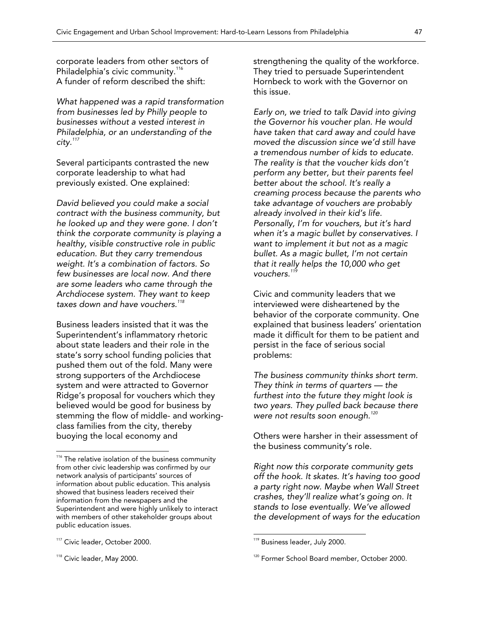corporate leaders from other sectors of Philadelphia's civic community.<sup>116</sup> A funder of reform described the shift:

*What happened was a rapid transformation from businesses led by Philly people to businesses without a vested interest in Philadelphia, or an understanding of the city.<sup>117</sup>*

Several participants contrasted the new corporate leadership to what had previously existed. One explained:

*David believed you could make a social contract with the business community, but he looked up and they were gone. I don't think the corporate community is playing a healthy, visible constructive role in public education. But they carry tremendous weight. It's a combination of factors. So few businesses are local now. And there are some leaders who came through the Archdiocese system. They want to keep taxes down and have vouchers.<sup>118</sup>*

Business leaders insisted that it was the Superintendent's inflammatory rhetoric about state leaders and their role in the state's sorry school funding policies that pushed them out of the fold. Many were strong supporters of the Archdiocese system and were attracted to Governor Ridge's proposal for vouchers which they believed would be good for business by stemming the flow of middle- and workingclass families from the city, thereby buoying the local economy and

<sup>118</sup> Civic leader, May 2000.

 $\overline{a}$ 

strengthening the quality of the workforce. They tried to persuade Superintendent Hornbeck to work with the Governor on this issue.

*Early on, we tried to talk David into giving the Governor his voucher plan. He would have taken that card away and could have moved the discussion since we'd still have a tremendous number of kids to educate. The reality is that the voucher kids don't perform any better, but their parents feel better about the school. It's really a creaming process because the parents who take advantage of vouchers are probably already involved in their kid's life. Personally, I'm for vouchers, but it's hard when it's a magic bullet by conservatives. I want to implement it but not as a magic bullet. As a magic bullet, I'm not certain that it really helps the 10,000 who get vouchers.<sup>119</sup>*

Civic and community leaders that we interviewed were disheartened by the behavior of the corporate community. One explained that business leaders' orientation made it difficult for them to be patient and persist in the face of serious social problems:

*The business community thinks short term. They think in terms of quarters — the furthest into the future they might look is two years. They pulled back because there were not results soon enough.<sup>120</sup>*

Others were harsher in their assessment of the business community's role.

*Right now this corporate community gets off the hook. It skates. It's having too good a party right now. Maybe when Wall Street crashes, they'll realize what's going on. It stands to lose eventually. We've allowed the development of ways for the education* 

<sup>&</sup>lt;sup>116</sup> The relative isolation of the business community from other civic leadership was confirmed by our network analysis of participants' sources of information about public education. This analysis showed that business leaders received their information from the newspapers and the Superintendent and were highly unlikely to interact with members of other stakeholder groups about public education issues.

<sup>&</sup>lt;sup>117</sup> Civic leader, October 2000.

<sup>&</sup>lt;sup>119</sup> Business leader, July 2000.

<sup>&</sup>lt;sup>120</sup> Former School Board member, October 2000.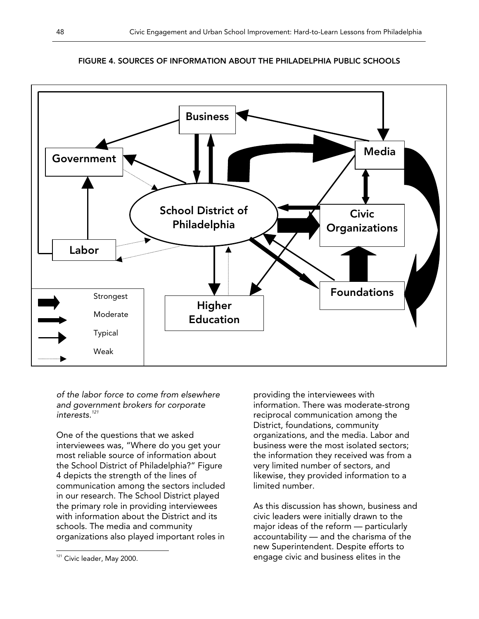

#### FIGURE 4. SOURCES OF INFORMATION ABOUT THE PHILADELPHIA PUBLIC SCHOOLS

*of the labor force to come from elsewhere and government brokers for corporate interests.<sup>121</sup>*

One of the questions that we asked interviewees was, "Where do you get your most reliable source of information about the School District of Philadelphia?" Figure 4 depicts the strength of the lines of communication among the sectors included in our research. The School District played the primary role in providing interviewees with information about the District and its schools. The media and community organizations also played important roles in

providing the interviewees with information. There was moderate-strong reciprocal communication among the District, foundations, community organizations, and the media. Labor and business were the most isolated sectors; the information they received was from a very limited number of sectors, and likewise, they provided information to a limited number.

As this discussion has shown, business and civic leaders were initially drawn to the major ideas of the reform — particularly accountability — and the charisma of the new Superintendent. Despite efforts to engage civic and business elites in the

 $\overline{a}$ <sup>121</sup> Civic leader, May 2000.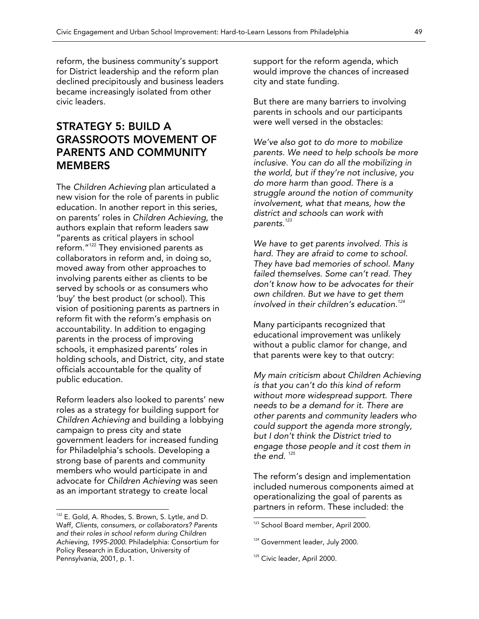reform, the business community's support for District leadership and the reform plan declined precipitously and business leaders became increasingly isolated from other civic leaders.

### STRATEGY 5: BUILD A GRASSROOTS MOVEMENT OF PARENTS AND COMMUNITY MEMBERS

The *Children Achieving* plan articulated a new vision for the role of parents in public education. In another report in this series, on parents' roles in *Children Achieving*, the authors explain that reform leaders saw "parents as critical players in school reform."122 They envisioned parents as collaborators in reform and, in doing so, moved away from other approaches to involving parents either as clients to be served by schools or as consumers who 'buy' the best product (or school). This vision of positioning parents as partners in reform fit with the reform's emphasis on accountability. In addition to engaging parents in the process of improving schools, it emphasized parents' roles in holding schools, and District, city, and state officials accountable for the quality of public education.

Reform leaders also looked to parents' new roles as a strategy for building support for *Children Achieving* and building a lobbying campaign to press city and state government leaders for increased funding for Philadelphia's schools. Developing a strong base of parents and community members who would participate in and advocate for *Children Achieving* was seen as an important strategy to create local

 $\overline{a}$ 

support for the reform agenda, which would improve the chances of increased city and state funding.

But there are many barriers to involving parents in schools and our participants were well versed in the obstacles:

*We've also got to do more to mobilize parents. We need to help schools be more inclusive. You can do all the mobilizing in the world, but if they're not inclusive, you do more harm than good. There is a struggle around the notion of community involvement, what that means, how the district and schools can work with parents.<sup>123</sup>*

*We have to get parents involved. This is hard. They are afraid to come to school. They have bad memories of school. Many failed themselves. Some can't read. They don't know how to be advocates for their own children. But we have to get them involved in their children's education.<sup>124</sup>*

Many participants recognized that educational improvement was unlikely without a public clamor for change, and that parents were key to that outcry:

*My main criticism about Children Achieving is that you can't do this kind of reform without more widespread support. There needs to be a demand for it. There are other parents and community leaders who could support the agenda more strongly, but I don't think the District tried to engage those people and it cost them in the end. <sup>125</sup>*

The reform's design and implementation included numerous components aimed at operationalizing the goal of parents as partners in reform. These included: the

 $122$  E. Gold, A. Rhodes, S. Brown, S. Lytle, and D. Waff, *Clients, consumers, or collaborators? Parents and their roles in school reform during Children Achieving, 1995-2000*. Philadelphia: Consortium for Policy Research in Education, University of Pennsylvania, 2001, p. 1.

<sup>&</sup>lt;sup>123</sup> School Board member, April 2000.

<sup>&</sup>lt;sup>124</sup> Government leader, July 2000.

<sup>&</sup>lt;sup>125</sup> Civic leader, April 2000.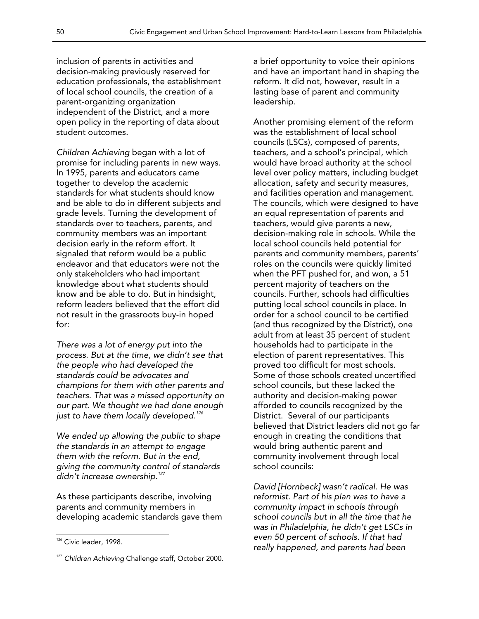inclusion of parents in activities and decision-making previously reserved for education professionals, the establishment of local school councils, the creation of a parent-organizing organization independent of the District, and a more open policy in the reporting of data about student outcomes.

*Children Achieving* began with a lot of promise for including parents in new ways. In 1995, parents and educators came together to develop the academic standards for what students should know and be able to do in different subjects and grade levels. Turning the development of standards over to teachers, parents, and community members was an important decision early in the reform effort. It signaled that reform would be a public endeavor and that educators were not the only stakeholders who had important knowledge about what students should know and be able to do. But in hindsight, reform leaders believed that the effort did not result in the grassroots buy-in hoped for:

*There was a lot of energy put into the process. But at the time, we didn't see that the people who had developed the standards could be advocates and champions for them with other parents and teachers. That was a missed opportunity on our part. We thought we had done enough just to have them locally developed.126*

*We ended up allowing the public to shape the standards in an attempt to engage them with the reform. But in the end, giving the community control of standards didn't increase ownership.127*

As these participants describe, involving parents and community members in developing academic standards gave them

 $\overline{a}$ 

a brief opportunity to voice their opinions and have an important hand in shaping the reform. It did not, however, result in a lasting base of parent and community leadership.

Another promising element of the reform was the establishment of local school councils (LSCs), composed of parents, teachers, and a school's principal, which would have broad authority at the school level over policy matters, including budget allocation, safety and security measures, and facilities operation and management. The councils, which were designed to have an equal representation of parents and teachers, would give parents a new, decision-making role in schools. While the local school councils held potential for parents and community members, parents' roles on the councils were quickly limited when the PFT pushed for, and won, a 51 percent majority of teachers on the councils. Further, schools had difficulties putting local school councils in place. In order for a school council to be certified (and thus recognized by the District), one adult from at least 35 percent of student households had to participate in the election of parent representatives. This proved too difficult for most schools. Some of those schools created uncertified school councils, but these lacked the authority and decision-making power afforded to councils recognized by the District. Several of our participants believed that District leaders did not go far enough in creating the conditions that would bring authentic parent and community involvement through local school councils:

*David [Hornbeck] wasn't radical. He was reformist. Part of his plan was to have a community impact in schools through school councils but in all the time that he was in Philadelphia, he didn't get LSCs in even 50 percent of schools. If that had really happened, and parents had been* 

<sup>&</sup>lt;sup>126</sup> Civic leader, 1998.

<sup>&</sup>lt;sup>127</sup> Children Achieving Challenge staff, October 2000.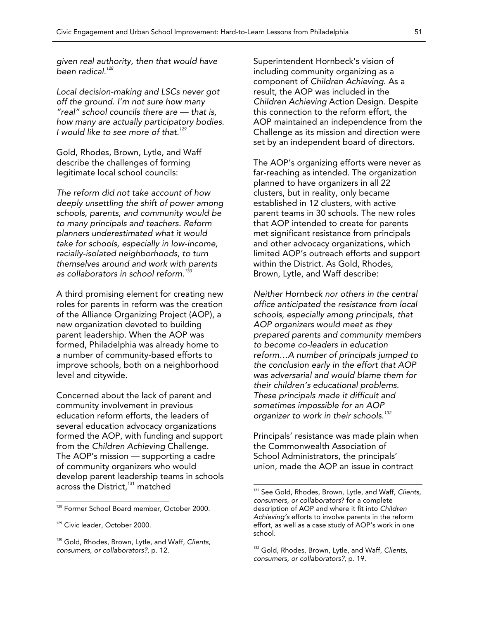*given real authority, then that would have been radical.128*

*Local decision-making and LSCs never got off the ground. I'm not sure how many "real" school councils there are — that is, how many are actually participatory bodies. I would like to see more of that.<sup>129</sup>*

Gold, Rhodes, Brown, Lytle, and Waff describe the challenges of forming legitimate local school councils:

*The reform did not take account of how deeply unsettling the shift of power among schools, parents, and community would be to many principals and teachers. Reform planners underestimated what it would take for schools, especially in low-income, racially-isolated neighborhoods, to turn themselves around and work with parents as collaborators in school reform.<sup>130</sup>*

A third promising element for creating new roles for parents in reform was the creation of the Alliance Organizing Project (AOP), a new organization devoted to building parent leadership. When the AOP was formed, Philadelphia was already home to a number of community-based efforts to improve schools, both on a neighborhood level and citywide.

Concerned about the lack of parent and community involvement in previous education reform efforts, the leaders of several education advocacy organizations formed the AOP, with funding and support from the *Children Achieving* Challenge. The AOP's mission — supporting a cadre of community organizers who would develop parent leadership teams in schools across the District,<sup>131</sup> matched

 $\overline{a}$ 

Superintendent Hornbeck's vision of including community organizing as a component of *Children Achieving*. As a result, the AOP was included in the *Children Achieving* Action Design. Despite this connection to the reform effort, the AOP maintained an independence from the Challenge as its mission and direction were set by an independent board of directors.

The AOP's organizing efforts were never as far-reaching as intended. The organization planned to have organizers in all 22 clusters, but in reality, only became established in 12 clusters, with active parent teams in 30 schools. The new roles that AOP intended to create for parents met significant resistance from principals and other advocacy organizations, which limited AOP's outreach efforts and support within the District. As Gold, Rhodes, Brown, Lytle, and Waff describe:

*Neither Hornbeck nor others in the central office anticipated the resistance from local schools, especially among principals, that AOP organizers would meet as they prepared parents and community members to become co-leaders in education reform…A number of principals jumped to the conclusion early in the effort that AOP was adversarial and would blame them for their children's educational problems. These principals made it difficult and sometimes impossible for an AOP organizer to work in their schools.<sup>132</sup>*

Principals' resistance was made plain when the Commonwealth Association of School Administrators, the principals' union, made the AOP an issue in contract

<sup>&</sup>lt;sup>128</sup> Former School Board member, October 2000.

<sup>&</sup>lt;sup>129</sup> Civic leader, October 2000.

<sup>130</sup> Gold, Rhodes, Brown, Lytle, and Waff, *Clients, consumers, or collaborators?*, p. 12.

<sup>131</sup> See Gold, Rhodes, Brown, Lytle, and Waff, *Clients, consumers, or collaborators*? for a complete description of AOP and where it fit into *Children Achieving's* efforts to involve parents in the reform effort, as well as a case study of AOP's work in one school.

<sup>132</sup> Gold, Rhodes, Brown, Lytle, and Waff, *Clients, consumers, or collaborators?*, p. 19.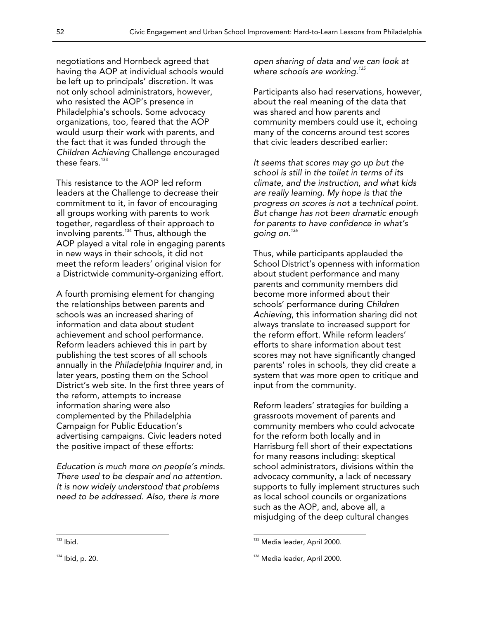negotiations and Hornbeck agreed that having the AOP at individual schools would be left up to principals' discretion. It was not only school administrators, however, who resisted the AOP's presence in Philadelphia's schools. Some advocacy organizations, too, feared that the AOP would usurp their work with parents, and the fact that it was funded through the *Children Achieving* Challenge encouraged these fears. $133$ 

This resistance to the AOP led reform leaders at the Challenge to decrease their commitment to it, in favor of encouraging all groups working with parents to work together, regardless of their approach to involving parents.134 Thus, although the AOP played a vital role in engaging parents in new ways in their schools, it did not meet the reform leaders' original vision for a Districtwide community-organizing effort.

A fourth promising element for changing the relationships between parents and schools was an increased sharing of information and data about student achievement and school performance. Reform leaders achieved this in part by publishing the test scores of all schools annually in the *Philadelphia Inquirer* and, in later years, posting them on the School District's web site. In the first three years of the reform, attempts to increase information sharing were also complemented by the Philadelphia Campaign for Public Education's advertising campaigns. Civic leaders noted the positive impact of these efforts:

*Education is much more on people's minds. There used to be despair and no attention. It is now widely understood that problems need to be addressed. Also, there is more* 

*open sharing of data and we can look at where schools are working.<sup>135</sup>*

Participants also had reservations, however, about the real meaning of the data that was shared and how parents and community members could use it, echoing many of the concerns around test scores that civic leaders described earlier:

*It seems that scores may go up but the school is still in the toilet in terms of its climate, and the instruction, and what kids are really learning. My hope is that the progress on scores is not a technical point. But change has not been dramatic enough for parents to have confidence in what's going on.<sup>136</sup>*

Thus, while participants applauded the School District's openness with information about student performance and many parents and community members did become more informed about their schools' performance during *Children Achieving*, this information sharing did not always translate to increased support for the reform effort. While reform leaders' efforts to share information about test scores may not have significantly changed parents' roles in schools, they did create a system that was more open to critique and input from the community.

Reform leaders' strategies for building a grassroots movement of parents and community members who could advocate for the reform both locally and in Harrisburg fell short of their expectations for many reasons including: skeptical school administrators, divisions within the advocacy community, a lack of necessary supports to fully implement structures such as local school councils or organizations such as the AOP, and, above all, a misjudging of the deep cultural changes

 $\overline{a}$ 

<sup>&</sup>lt;sup>135</sup> Media leader, April 2000.

<sup>136</sup> Media leader, April 2000.

 $133$  Ibid.

 $134$  Ibid, p. 20.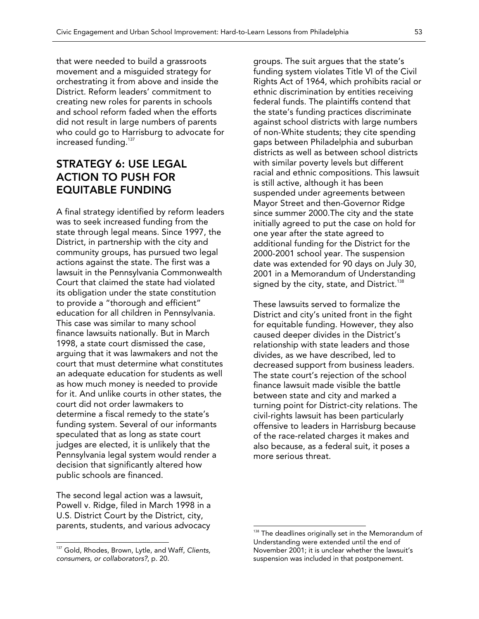that were needed to build a grassroots movement and a misguided strategy for orchestrating it from above and inside the District. Reform leaders' commitment to creating new roles for parents in schools and school reform faded when the efforts did not result in large numbers of parents who could go to Harrisburg to advocate for increased funding.<sup>137</sup>

### STRATEGY 6: USE LEGAL ACTION TO PUSH FOR EQUITABLE FUNDING

A final strategy identified by reform leaders was to seek increased funding from the state through legal means. Since 1997, the District, in partnership with the city and community groups, has pursued two legal actions against the state. The first was a lawsuit in the Pennsylvania Commonwealth Court that claimed the state had violated its obligation under the state constitution to provide a "thorough and efficient" education for all children in Pennsylvania. This case was similar to many school finance lawsuits nationally. But in March 1998, a state court dismissed the case, arguing that it was lawmakers and not the court that must determine what constitutes an adequate education for students as well as how much money is needed to provide for it. And unlike courts in other states, the court did not order lawmakers to determine a fiscal remedy to the state's funding system. Several of our informants speculated that as long as state court judges are elected, it is unlikely that the Pennsylvania legal system would render a decision that significantly altered how public schools are financed.

The second legal action was a lawsuit, Powell v. Ridge, filed in March 1998 in a U.S. District Court by the District, city, parents, students, and various advocacy

 $\overline{a}$ 

groups. The suit argues that the state's funding system violates Title VI of the Civil Rights Act of 1964, which prohibits racial or ethnic discrimination by entities receiving federal funds. The plaintiffs contend that the state's funding practices discriminate against school districts with large numbers of non-White students; they cite spending gaps between Philadelphia and suburban districts as well as between school districts with similar poverty levels but different racial and ethnic compositions. This lawsuit is still active, although it has been suspended under agreements between Mayor Street and then-Governor Ridge since summer 2000.The city and the state initially agreed to put the case on hold for one year after the state agreed to additional funding for the District for the 2000-2001 school year. The suspension date was extended for 90 days on July 30, 2001 in a Memorandum of Understanding signed by the city, state, and District.<sup>138</sup>

These lawsuits served to formalize the District and city's united front in the fight for equitable funding. However, they also caused deeper divides in the District's relationship with state leaders and those divides, as we have described, led to decreased support from business leaders. The state court's rejection of the school finance lawsuit made visible the battle between state and city and marked a turning point for District-city relations. The civil-rights lawsuit has been particularly offensive to leaders in Harrisburg because of the race-related charges it makes and also because, as a federal suit, it poses a more serious threat.

<sup>137</sup> Gold, Rhodes, Brown, Lytle, and Waff, *Clients, consumers, or collaborators?*, p. 20.

 $138$  The deadlines originally set in the Memorandum of Understanding were extended until the end of November 2001; it is unclear whether the lawsuit's suspension was included in that postponement.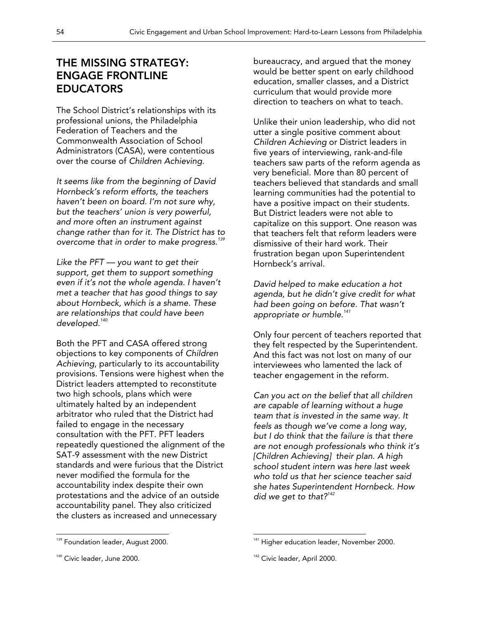### THE MISSING STRATEGY: ENGAGE FRONTLINE EDUCATORS

The School District's relationships with its professional unions, the Philadelphia Federation of Teachers and the Commonwealth Association of School Administrators (CASA), were contentious over the course of *Children Achieving*.

*It seems like from the beginning of David Hornbeck's reform efforts, the teachers haven't been on board. I'm not sure why, but the teachers' union is very powerful, and more often an instrument against change rather than for it. The District has to overcome that in order to make progress.<sup>139</sup>*

*Like the PFT — you want to get their support, get them to support something even if it's not the whole agenda. I haven't met a teacher that has good things to say about Hornbeck, which is a shame. These are relationships that could have been developed.<sup>140</sup>*

Both the PFT and CASA offered strong objections to key components of *Children Achieving*, particularly to its accountability provisions. Tensions were highest when the District leaders attempted to reconstitute two high schools, plans which were ultimately halted by an independent arbitrator who ruled that the District had failed to engage in the necessary consultation with the PFT. PFT leaders repeatedly questioned the alignment of the SAT-9 assessment with the new District standards and were furious that the District never modified the formula for the accountability index despite their own protestations and the advice of an outside accountability panel. They also criticized the clusters as increased and unnecessary

bureaucracy, and argued that the money would be better spent on early childhood education, smaller classes, and a District curriculum that would provide more direction to teachers on what to teach.

Unlike their union leadership, who did not utter a single positive comment about *Children Achieving* or District leaders in five years of interviewing, rank-and-file teachers saw parts of the reform agenda as very beneficial. More than 80 percent of teachers believed that standards and small learning communities had the potential to have a positive impact on their students. But District leaders were not able to capitalize on this support. One reason was that teachers felt that reform leaders were dismissive of their hard work. Their frustration began upon Superintendent Hornbeck's arrival.

*David helped to make education a hot agenda, but he didn't give credit for what had been going on before. That wasn't appropriate or humble.141* 

Only four percent of teachers reported that they felt respected by the Superintendent. And this fact was not lost on many of our interviewees who lamented the lack of teacher engagement in the reform.

*Can you act on the belief that all children are capable of learning without a huge team that is invested in the same way. It feels as though we've come a long way, but I do think that the failure is that there are not enough professionals who think it's [Children Achieving] their plan. A high school student intern was here last week who told us that her science teacher said she hates Superintendent Hornbeck. How did we get to that?<sup>142</sup>*

 $\overline{a}$ 

<sup>&</sup>lt;sup>139</sup> Foundation leader, August 2000.

<sup>&</sup>lt;sup>140</sup> Civic leader, June 2000.

<sup>&</sup>lt;sup>141</sup> Higher education leader, November 2000.

<sup>&</sup>lt;sup>142</sup> Civic leader, April 2000.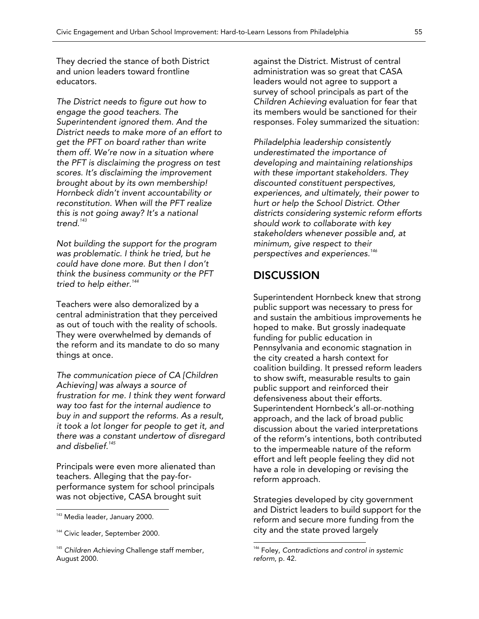They decried the stance of both District and union leaders toward frontline educators.

*The District needs to figure out how to engage the good teachers. The Superintendent ignored them. And the District needs to make more of an effort to get the PFT on board rather than write them off. We're now in a situation where the PFT is disclaiming the progress on test scores. It's disclaiming the improvement brought about by its own membership! Hornbeck didn't invent accountability or reconstitution. When will the PFT realize this is not going away? It's a national trend.<sup>143</sup>*

*Not building the support for the program was problematic. I think he tried, but he could have done more. But then I don't think the business community or the PFT tried to help either.<sup>144</sup>*

Teachers were also demoralized by a central administration that they perceived as out of touch with the reality of schools. They were overwhelmed by demands of the reform and its mandate to do so many things at once.

*The communication piece of CA [Children Achieving] was always a source of frustration for me. I think they went forward way too fast for the internal audience to buy in and support the reforms. As a result, it took a lot longer for people to get it, and there was a constant undertow of disregard and disbelief.145*

Principals were even more alienated than teachers. Alleging that the pay-forperformance system for school principals was not objective, CASA brought suit

 $\overline{a}$ 

against the District. Mistrust of central administration was so great that CASA leaders would not agree to support a survey of school principals as part of the *Children Achieving* evaluation for fear that its members would be sanctioned for their responses. Foley summarized the situation:

*Philadelphia leadership consistently underestimated the importance of developing and maintaining relationships with these important stakeholders. They discounted constituent perspectives, experiences, and ultimately, their power to hurt or help the School District. Other districts considering systemic reform efforts should work to collaborate with key stakeholders whenever possible and, at minimum, give respect to their perspectives and experiences.<sup>146</sup>*

### **DISCUSSION**

Superintendent Hornbeck knew that strong public support was necessary to press for and sustain the ambitious improvements he hoped to make. But grossly inadequate funding for public education in Pennsylvania and economic stagnation in the city created a harsh context for coalition building. It pressed reform leaders to show swift, measurable results to gain public support and reinforced their defensiveness about their efforts. Superintendent Hornbeck's all-or-nothing approach, and the lack of broad public discussion about the varied interpretations of the reform's intentions, both contributed to the impermeable nature of the reform effort and left people feeling they did not have a role in developing or revising the reform approach.

Strategies developed by city government and District leaders to build support for the reform and secure more funding from the city and the state proved largely

<sup>&</sup>lt;sup>143</sup> Media leader, January 2000.

<sup>&</sup>lt;sup>144</sup> Civic leader, September 2000.

<sup>145</sup> *Children Achieving* Challenge staff member, August 2000.

<sup>146</sup> Foley, *Contradictions and control in systemic reform*, p. 42.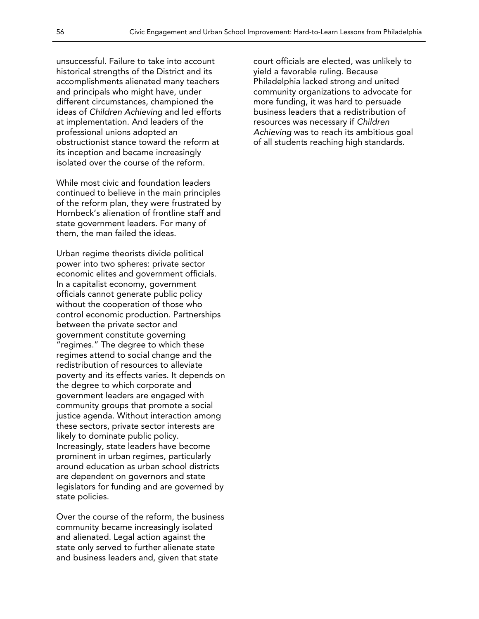unsuccessful. Failure to take into account historical strengths of the District and its accomplishments alienated many teachers and principals who might have, under different circumstances, championed the ideas of *Children Achieving* and led efforts at implementation. And leaders of the professional unions adopted an obstructionist stance toward the reform at its inception and became increasingly isolated over the course of the reform.

While most civic and foundation leaders continued to believe in the main principles of the reform plan, they were frustrated by Hornbeck's alienation of frontline staff and state government leaders. For many of them, the man failed the ideas.

Urban regime theorists divide political power into two spheres: private sector economic elites and government officials. In a capitalist economy, government officials cannot generate public policy without the cooperation of those who control economic production. Partnerships between the private sector and government constitute governing "regimes." The degree to which these regimes attend to social change and the redistribution of resources to alleviate poverty and its effects varies. It depends on the degree to which corporate and government leaders are engaged with community groups that promote a social justice agenda. Without interaction among these sectors, private sector interests are likely to dominate public policy. Increasingly, state leaders have become prominent in urban regimes, particularly around education as urban school districts are dependent on governors and state legislators for funding and are governed by state policies.

Over the course of the reform, the business community became increasingly isolated and alienated. Legal action against the state only served to further alienate state and business leaders and, given that state

court officials are elected, was unlikely to yield a favorable ruling. Because Philadelphia lacked strong and united community organizations to advocate for more funding, it was hard to persuade business leaders that a redistribution of resources was necessary if *Children Achieving* was to reach its ambitious goal of all students reaching high standards.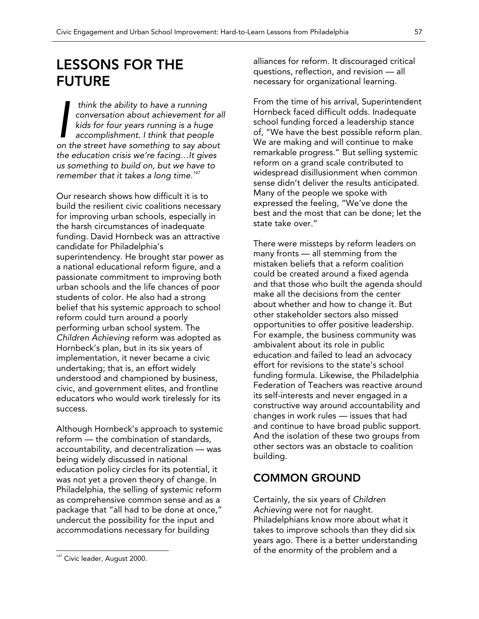## LESSONS FOR THE FUTURE

 *think the ability to have a running conversation about achievement for all kids for four years running is a huge accomplishment. I think that people*  think the ability to have a running<br>conversation about achievement for a<br>kids for four years running is a huge<br>accomplishment. I think that people<br>on the street have something to say about *the education crisis we're facing…It gives us something to build on, but we have to remember that it takes a long time.<sup>147</sup>*

Our research shows how difficult it is to build the resilient civic coalitions necessary for improving urban schools, especially in the harsh circumstances of inadequate funding. David Hornbeck was an attractive candidate for Philadelphia's superintendency. He brought star power as a national educational reform figure, and a passionate commitment to improving both urban schools and the life chances of poor students of color. He also had a strong belief that his systemic approach to school reform could turn around a poorly performing urban school system. The *Children Achieving* reform was adopted as Hornbeck's plan, but in its six years of implementation, it never became a civic undertaking; that is, an effort widely understood and championed by business, civic, and government elites, and frontline educators who would work tirelessly for its success.

Although Hornbeck's approach to systemic reform — the combination of standards, accountability, and decentralization — was being widely discussed in national education policy circles for its potential, it was not yet a proven theory of change. In Philadelphia, the selling of systemic reform as comprehensive common sense and as a package that "all had to be done at once," undercut the possibility for the input and accommodations necessary for building

 $\overline{a}$ 

alliances for reform. It discouraged critical questions, reflection, and revision — all necessary for organizational learning.

From the time of his arrival, Superintendent Hornbeck faced difficult odds. Inadequate school funding forced a leadership stance of, "We have the best possible reform plan. We are making and will continue to make remarkable progress." But selling systemic reform on a grand scale contributed to widespread disillusionment when common sense didn't deliver the results anticipated. Many of the people we spoke with expressed the feeling, "We've done the best and the most that can be done; let the state take over."

There were missteps by reform leaders on many fronts — all stemming from the mistaken beliefs that a reform coalition could be created around a fixed agenda and that those who built the agenda should make all the decisions from the center about whether and how to change it. But other stakeholder sectors also missed opportunities to offer positive leadership. For example, the business community was ambivalent about its role in public education and failed to lead an advocacy effort for revisions to the state's school funding formula. Likewise, the Philadelphia Federation of Teachers was reactive around its self-interests and never engaged in a constructive way around accountability and changes in work rules — issues that had and continue to have broad public support. And the isolation of these two groups from other sectors was an obstacle to coalition building.

### COMMON GROUND

Certainly, the six years of *Children Achieving* were not for naught. Philadelphians know more about what it takes to improve schools than they did six years ago. There is a better understanding of the enormity of the problem and a

<sup>&</sup>lt;sup>147</sup> Civic leader, August 2000.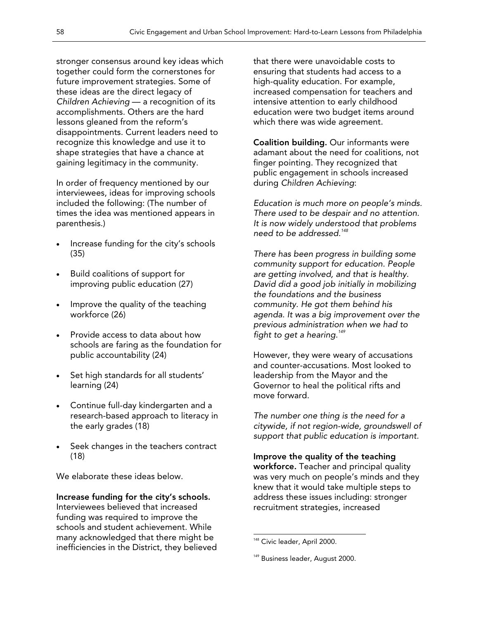stronger consensus around key ideas which together could form the cornerstones for future improvement strategies. Some of these ideas are the direct legacy of *Children Achieving* — a recognition of its accomplishments. Others are the hard lessons gleaned from the reform's disappointments. Current leaders need to recognize this knowledge and use it to shape strategies that have a chance at gaining legitimacy in the community.

In order of frequency mentioned by our interviewees, ideas for improving schools included the following: (The number of times the idea was mentioned appears in parenthesis.)

- Increase funding for the city's schools (35)
- Build coalitions of support for improving public education (27)
- Improve the quality of the teaching workforce (26)
- Provide access to data about how schools are faring as the foundation for public accountability (24)
- Set high standards for all students' learning (24)
- Continue full-day kindergarten and a research-based approach to literacy in the early grades (18)
- Seek changes in the teachers contract (18)

We elaborate these ideas below.

#### Increase funding for the city's schools. Interviewees believed that increased funding was required to improve the schools and student achievement. While many acknowledged that there might be inefficiencies in the District, they believed

that there were unavoidable costs to ensuring that students had access to a high-quality education. For example, increased compensation for teachers and intensive attention to early childhood education were two budget items around which there was wide agreement.

Coalition building. Our informants were adamant about the need for coalitions, not finger pointing. They recognized that public engagement in schools increased during *Children Achieving*:

*Education is much more on people's minds. There used to be despair and no attention. It is now widely understood that problems need to be addressed.<sup>148</sup>* 

*There has been progress in building some community support for education. People are getting involved, and that is healthy. David did a good job initially in mobilizing the foundations and the business community. He got them behind his agenda. It was a big improvement over the previous administration when we had to fight to get a hearing.<sup>149</sup>*

However, they were weary of accusations and counter-accusations. Most looked to leadership from the Mayor and the Governor to heal the political rifts and move forward.

*The number one thing is the need for a citywide, if not region-wide, groundswell of support that public education is important.* 

### Improve the quality of the teaching

workforce. Teacher and principal quality was very much on people's minds and they knew that it would take multiple steps to address these issues including: stronger recruitment strategies, increased

 $\overline{a}$ <sup>148</sup> Civic leader, April 2000.

<sup>&</sup>lt;sup>149</sup> Business leader, August 2000.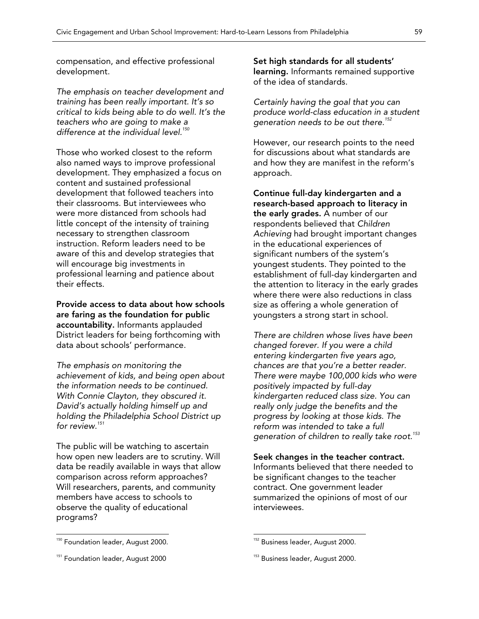compensation, and effective professional development.

*The emphasis on teacher development and training has been really important. It's so critical to kids being able to do well. It's the teachers who are going to make a*  difference at the individual level.<sup>150</sup>

Those who worked closest to the reform also named ways to improve professional development. They emphasized a focus on content and sustained professional development that followed teachers into their classrooms. But interviewees who were more distanced from schools had little concept of the intensity of training necessary to strengthen classroom instruction. Reform leaders need to be aware of this and develop strategies that will encourage big investments in professional learning and patience about their effects.

Provide access to data about how schools are faring as the foundation for public accountability. Informants applauded District leaders for being forthcoming with data about schools' performance.

*The emphasis on monitoring the achievement of kids, and being open about the information needs to be continued. With Connie Clayton, they obscured it. David's actually holding himself up and holding the Philadelphia School District up for review.<sup>151</sup>*

The public will be watching to ascertain how open new leaders are to scrutiny. Will data be readily available in ways that allow comparison across reform approaches? Will researchers, parents, and community members have access to schools to observe the quality of educational programs?

<sup>150</sup> Foundation leader, August 2000.

 $\overline{a}$ 

Set high standards for all students' learning. Informants remained supportive of the idea of standards.

*Certainly having the goal that you can produce world-class education in a student generation needs to be out there.<sup>152</sup>* 

However, our research points to the need for discussions about what standards are and how they are manifest in the reform's approach.

Continue full-day kindergarten and a research-based approach to literacy in the early grades. A number of our respondents believed that *Children Achieving* had brought important changes in the educational experiences of significant numbers of the system's youngest students. They pointed to the establishment of full-day kindergarten and the attention to literacy in the early grades where there were also reductions in class size as offering a whole generation of youngsters a strong start in school.

*There are children whose lives have been changed forever. If you were a child entering kindergarten five years ago, chances are that you're a better reader. There were maybe 100,000 kids who were positively impacted by full-day kindergarten reduced class size. You can really only judge the benefits and the progress by looking at those kids. The reform was intended to take a full generation of children to really take root.<sup>153</sup>*

Seek changes in the teacher contract. Informants believed that there needed to be significant changes to the teacher contract. One government leader summarized the opinions of most of our

interviewees.

<sup>&</sup>lt;sup>151</sup> Foundation leader, August 2000

<sup>&</sup>lt;sup>152</sup> Business leader, August 2000.

<sup>&</sup>lt;sup>153</sup> Business leader, August 2000.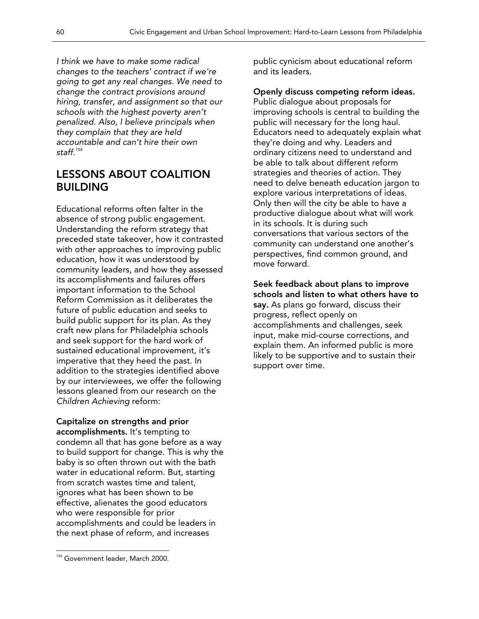*I think we have to make some radical changes to the teachers' contract if we're going to get any real changes. We need to change the contract provisions around hiring, transfer, and assignment so that our schools with the highest poverty aren't penalized. Also, I believe principals when they complain that they are held accountable and can't hire their own staff.154* 

### LESSONS ABOUT COALITION BUILDING

Educational reforms often falter in the absence of strong public engagement. Understanding the reform strategy that preceded state takeover, how it contrasted with other approaches to improving public education, how it was understood by community leaders, and how they assessed its accomplishments and failures offers important information to the School Reform Commission as it deliberates the future of public education and seeks to build public support for its plan. As they craft new plans for Philadelphia schools and seek support for the hard work of sustained educational improvement*,* it's imperative that they heed the past. In addition to the strategies identified above by our interviewees, we offer the following lessons gleaned from our research on the *Children Achieving* reform:

Capitalize on strengths and prior accomplishments. It's tempting to condemn all that has gone before as a way to build support for change. This is why the baby is so often thrown out with the bath water in educational reform. But, starting from scratch wastes time and talent, ignores what has been shown to be effective, alienates the good educators who were responsible for prior accomplishments and could be leaders in the next phase of reform, and increases

public cynicism about educational reform and its leaders.

Openly discuss competing reform ideas. Public dialogue about proposals for improving schools is central to building the public will necessary for the long haul. Educators need to adequately explain what they're doing and why. Leaders and ordinary citizens need to understand and be able to talk about different reform strategies and theories of action. They need to delve beneath education jargon to explore various interpretations of ideas. Only then will the city be able to have a productive dialogue about what will work in its schools. It is during such conversations that various sectors of the community can understand one another's perspectives, find common ground, and move forward.

Seek feedback about plans to improve schools and listen to what others have to say. As plans go forward, discuss their progress, reflect openly on accomplishments and challenges, seek input, make mid-course corrections, and explain them. An informed public is more likely to be supportive and to sustain their support over time.

 $\overline{a}$ <sup>154</sup> Government leader, March 2000.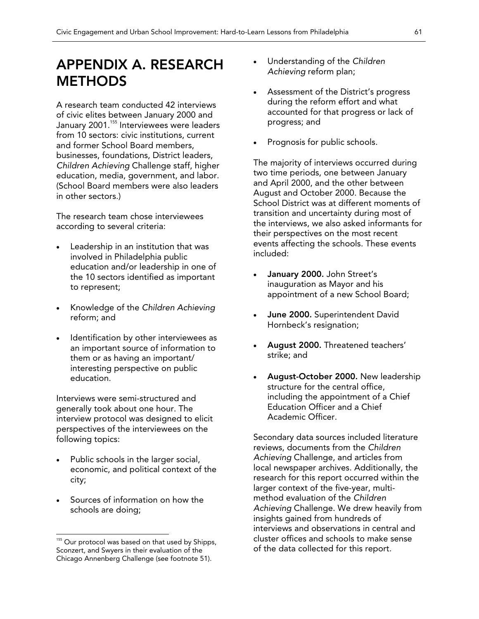## APPENDIX A. RESEARCH **METHODS**

A research team conducted 42 interviews of civic elites between January 2000 and January 2001.<sup>155</sup> Interviewees were leaders from 10 sectors: civic institutions, current and former School Board members, businesses, foundations, District leaders, *Children Achieving* Challenge staff, higher education, media, government, and labor. (School Board members were also leaders in other sectors.)

The research team chose interviewees according to several criteria:

- Leadership in an institution that was involved in Philadelphia public education and/or leadership in one of the 10 sectors identified as important to represent;
- Knowledge of the *Children Achieving* reform; and
- Identification by other interviewees as an important source of information to them or as having an important/ interesting perspective on public education.

Interviews were semi-structured and generally took about one hour. The interview protocol was designed to elicit perspectives of the interviewees on the following topics:

- Public schools in the larger social, economic, and political context of the city;
- Sources of information on how the schools are doing;

 $\overline{a}$ 

- Understanding of the *Children Achieving* reform plan;
- Assessment of the District's progress during the reform effort and what accounted for that progress or lack of progress; and
- Prognosis for public schools.

The majority of interviews occurred during two time periods, one between January and April 2000, and the other between August and October 2000. Because the School District was at different moments of transition and uncertainty during most of the interviews, we also asked informants for their perspectives on the most recent events affecting the schools. These events included:

- January 2000. John Street's inauguration as Mayor and his appointment of a new School Board;
- June 2000. Superintendent David Hornbeck's resignation;
- August 2000. Threatened teachers' strike; and
- August-October 2000. New leadership structure for the central office, including the appointment of a Chief Education Officer and a Chief Academic Officer.

Secondary data sources included literature reviews, documents from the *Children Achieving* Challenge, and articles from local newspaper archives. Additionally, the research for this report occurred within the larger context of the five-year, multimethod evaluation of the *Children Achieving* Challenge. We drew heavily from insights gained from hundreds of interviews and observations in central and cluster offices and schools to make sense of the data collected for this report.

<sup>&</sup>lt;sup>155</sup> Our protocol was based on that used by Shipps, Sconzert, and Swyers in their evaluation of the Chicago Annenberg Challenge (see footnote 51).